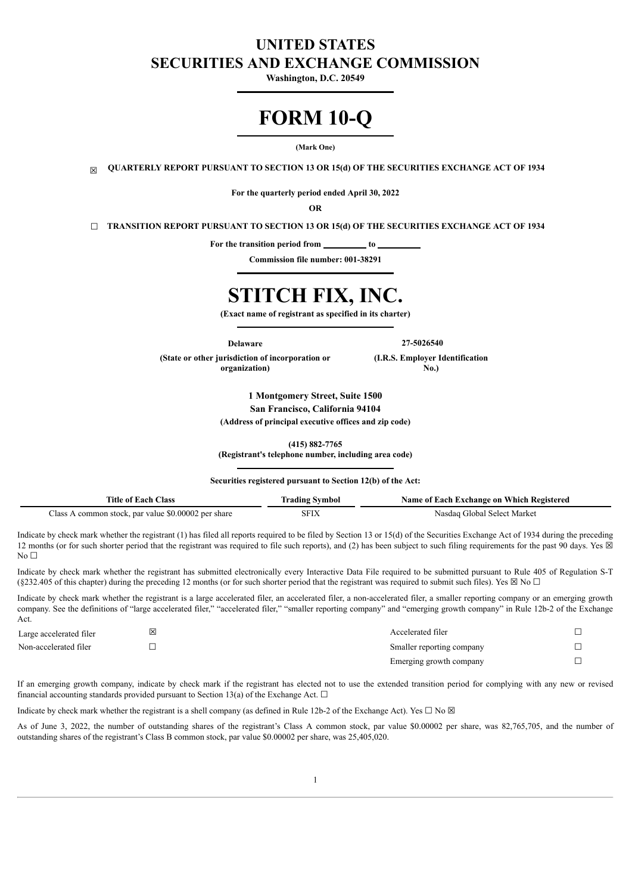# **UNITED STATES SECURITIES AND EXCHANGE COMMISSION**

**Washington, D.C. 20549**

# **FORM 10-Q**

#### **(Mark One)**

☒ **QUARTERLY REPORT PURSUANT TO SECTION 13 OR 15(d) OF THE SECURITIES EXCHANGE ACT OF 1934**

**For the quarterly period ended April 30, 2022**

**OR**

☐ **TRANSITION REPORT PURSUANT TO SECTION 13 OR 15(d) OF THE SECURITIES EXCHANGE ACT OF 1934**

For the transition period from \_\_\_\_\_\_\_\_\_ to \_

**Commission file number: 001-38291**

# **STITCH FIX, INC.**

**(Exact name of registrant as specified in its charter)**

**Delaware 27-5026540**

**(State or other jurisdiction of incorporation or organization)**

**(I.R.S. Employer Identification No.)**

**1 Montgomery Street, Suite 1500 San Francisco, California 94104 (Address of principal executive offices and zip code)**

**(415) 882-7765**

**(Registrant's telephone number, including area code)**

**Securities registered pursuant to Section 12(b) of the Act:**

| Aass<br>i itle<br>ac !<br>-01                                                           | /mno        | 'ach<br>Name of<br>"xchange on -<br>Registered<br>-Which |
|-----------------------------------------------------------------------------------------|-------------|----------------------------------------------------------|
| 0002<br>) ()(<br>lass<br>mmor<br><sup>.</sup> share<br>par value \$0.<br>ı stock<br>nei | <b>SFIA</b> | Marke<br>select<br><b>iloba</b>                          |

Indicate by check mark whether the registrant (1) has filed all reports required to be filed by Section 13 or 15(d) of the Securities Exchange Act of 1934 during the preceding 12 months (or for such shorter period that the registrant was required to file such reports), and (2) has been subject to such filing requirements for the past 90 days. Yes  $\boxtimes$  $No<sub>1</sub>$ 

Indicate by check mark whether the registrant has submitted electronically every Interactive Data File required to be submitted pursuant to Rule 405 of Regulation S-T (§232.405 of this chapter) during the preceding 12 months (or for such shorter period that the registrant was required to submit such files). Yes  $\boxtimes$  No  $\Box$ 

Indicate by check mark whether the registrant is a large accelerated filer, an accelerated filer, a non-accelerated filer, a smaller reporting company or an emerging growth company. See the definitions of "large accelerated filer," "accelerated filer," "smaller reporting company" and "emerging growth company" in Rule 12b-2 of the Exchange Act.

| Large accelerated filer | ⊠ | Accelerated filer         |  |
|-------------------------|---|---------------------------|--|
| Non-accelerated filer   |   | Smaller reporting company |  |
|                         |   | Emerging growth company   |  |

If an emerging growth company, indicate by check mark if the registrant has elected not to use the extended transition period for complying with any new or revised financial accounting standards provided pursuant to Section 13(a) of the Exchange Act.  $\Box$ 

Indicate by check mark whether the registrant is a shell company (as defined in Rule 12b-2 of the Exchange Act). Yes  $\Box$  No  $\boxtimes$ 

As of June 3, 2022, the number of outstanding shares of the registrant's Class A common stock, par value \$0.00002 per share, was 82,765,705, and the number of outstanding shares of the registrant's Class B common stock, par value \$0.00002 per share, was 25,405,020.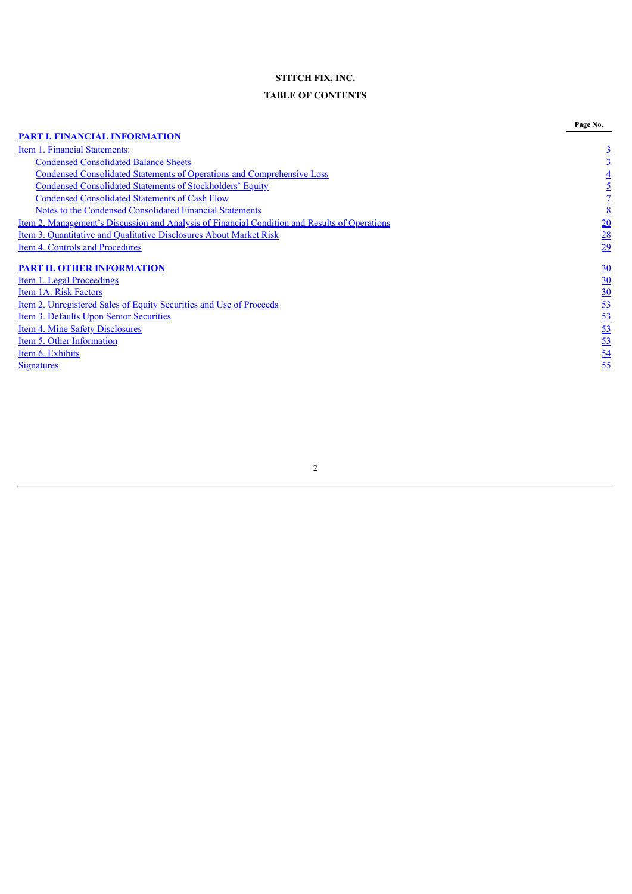# **STITCH FIX, INC.**

# **TABLE OF CONTENTS**

<span id="page-1-0"></span>

|                                                                                                      | Page No.         |
|------------------------------------------------------------------------------------------------------|------------------|
| <b>PART I. FINANCIAL INFORMATION</b>                                                                 |                  |
| Item 1. Financial Statements:                                                                        | $\overline{3}$   |
| <b>Condensed Consolidated Balance Sheets</b>                                                         | $\overline{3}$   |
| <b>Condensed Consolidated Statements of Operations and Comprehensive Loss</b>                        | $\overline{4}$   |
| <b>Condensed Consolidated Statements of Stockholders' Equity</b>                                     | $\overline{5}$   |
| <b>Condensed Consolidated Statements of Cash Flow</b>                                                |                  |
| <b>Notes to the Condensed Consolidated Financial Statements</b>                                      | $\underline{8}$  |
| <u>Item 2. Management's Discussion and Analysis of Financial Condition and Results of Operations</u> | $\overline{20}$  |
| <u>Item 3. Quantitative and Qualitative Disclosures About Market Risk</u>                            | 28               |
| Item 4. Controls and Procedures                                                                      | 29               |
| <b>PART II. OTHER INFORMATION</b>                                                                    | $\frac{30}{2}$   |
| Item 1. Legal Proceedings                                                                            | $\underline{30}$ |
| Item 1A. Risk Factors                                                                                | 30               |
| <u>Item 2. Unregistered Sales of Equity Securities and Use of Proceeds</u>                           | 53               |
| <b>Item 3. Defaults Upon Senior Securities</b>                                                       | 53               |
| Item 4. Mine Safety Disclosures                                                                      | 53               |
| Item 5. Other Information                                                                            | 53               |
| Item 6. Exhibits                                                                                     | 54               |
| <b>Signatures</b>                                                                                    | 55               |
|                                                                                                      |                  |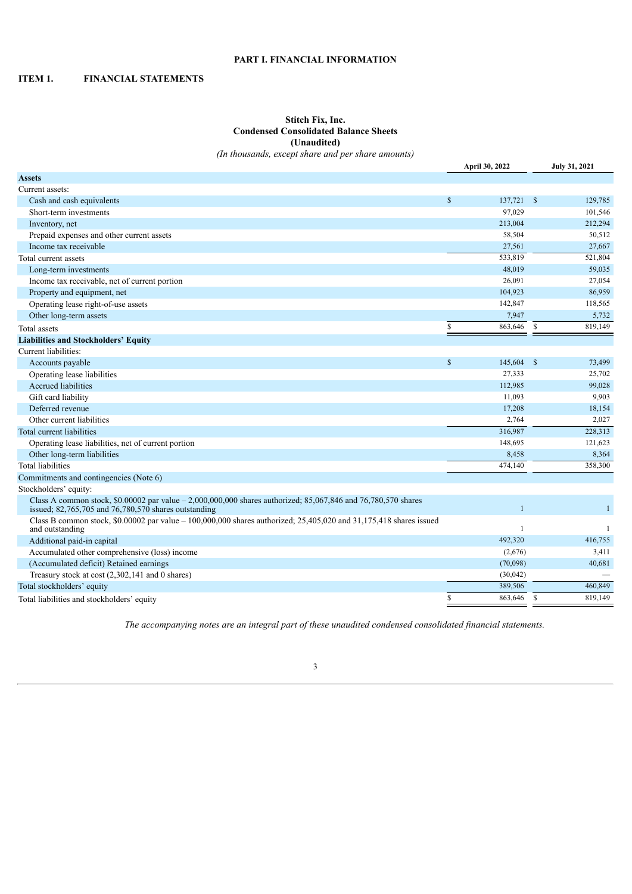# **PART I. FINANCIAL INFORMATION**

# <span id="page-2-1"></span><span id="page-2-0"></span>**ITEM 1. FINANCIAL STATEMENTS**

# **Stitch Fix, Inc. Condensed Consolidated Balance Sheets (Unaudited)**

*(In thousands, except share and per share amounts)*

|                                                                                                                                                                             |               | April 30, 2022 |              | <b>July 31, 2021</b> |
|-----------------------------------------------------------------------------------------------------------------------------------------------------------------------------|---------------|----------------|--------------|----------------------|
| <b>Assets</b>                                                                                                                                                               |               |                |              |                      |
| Current assets:                                                                                                                                                             |               |                |              |                      |
| Cash and cash equivalents                                                                                                                                                   | $\mathbf{s}$  | 137,721        | $\mathbf{s}$ | 129,785              |
| Short-term investments                                                                                                                                                      |               | 97,029         |              | 101,546              |
| Inventory, net                                                                                                                                                              |               | 213,004        |              | 212,294              |
| Prepaid expenses and other current assets                                                                                                                                   |               | 58,504         |              | 50,512               |
| Income tax receivable                                                                                                                                                       |               | 27,561         |              | 27,667               |
| Total current assets                                                                                                                                                        |               | 533,819        |              | 521,804              |
| Long-term investments                                                                                                                                                       |               | 48,019         |              | 59,035               |
| Income tax receivable, net of current portion                                                                                                                               |               | 26,091         |              | 27,054               |
| Property and equipment, net                                                                                                                                                 |               | 104,923        |              | 86,959               |
| Operating lease right-of-use assets                                                                                                                                         |               | 142,847        |              | 118,565              |
| Other long-term assets                                                                                                                                                      |               | 7,947          |              | 5,732                |
| Total assets                                                                                                                                                                | $\mathbb{S}$  | 863,646        | $\mathbb{S}$ | 819,149              |
| <b>Liabilities and Stockholders' Equity</b>                                                                                                                                 |               |                |              |                      |
| Current liabilities:                                                                                                                                                        |               |                |              |                      |
| Accounts payable                                                                                                                                                            | $\mathsf{\$}$ | 145,604        | -S           | 73,499               |
| Operating lease liabilities                                                                                                                                                 |               | 27,333         |              | 25,702               |
| Accrued liabilities                                                                                                                                                         |               | 112,985        |              | 99,028               |
| Gift card liability                                                                                                                                                         |               | 11,093         |              | 9,903                |
| Deferred revenue                                                                                                                                                            |               | 17,208         |              | 18,154               |
| Other current liabilities                                                                                                                                                   |               | 2,764          |              | 2,027                |
| Total current liabilities                                                                                                                                                   |               | 316,987        |              | 228,313              |
| Operating lease liabilities, net of current portion                                                                                                                         |               | 148,695        |              | 121,623              |
| Other long-term liabilities                                                                                                                                                 |               | 8,458          |              | 8,364                |
| <b>Total liabilities</b>                                                                                                                                                    |               | 474,140        |              | 358,300              |
| Commitments and contingencies (Note 6)                                                                                                                                      |               |                |              |                      |
| Stockholders' equity:                                                                                                                                                       |               |                |              |                      |
| Class A common stock, $$0.00002$ par value $-2.000,000,000$ shares authorized; 85,067,846 and 76,780,570 shares<br>issued; $82,765,705$ and $76,780,570$ shares outstanding |               |                |              |                      |
| Class B common stock, $$0.00002$ par value $-100,000,000$ shares authorized; 25,405,020 and 31,175,418 shares issued<br>and outstanding                                     |               | $\mathbf{1}$   |              | $\mathbf{1}$         |
| Additional paid-in capital                                                                                                                                                  |               | 492,320        |              | 416,755              |
| Accumulated other comprehensive (loss) income                                                                                                                               |               | (2,676)        |              | 3,411                |
| (Accumulated deficit) Retained earnings                                                                                                                                     |               | (70,098)       |              | 40,681               |
| Treasury stock at cost (2,302,141 and 0 shares)                                                                                                                             |               | (30,042)       |              |                      |
| Total stockholders' equity                                                                                                                                                  |               | 389,506        |              | 460,849              |
| Total liabilities and stockholders' equity                                                                                                                                  | S             | 863,646        | $\mathbf S$  | 819,149              |

<span id="page-2-2"></span>*The accompanying notes are an integral part of these unaudited condensed consolidated financial statements.*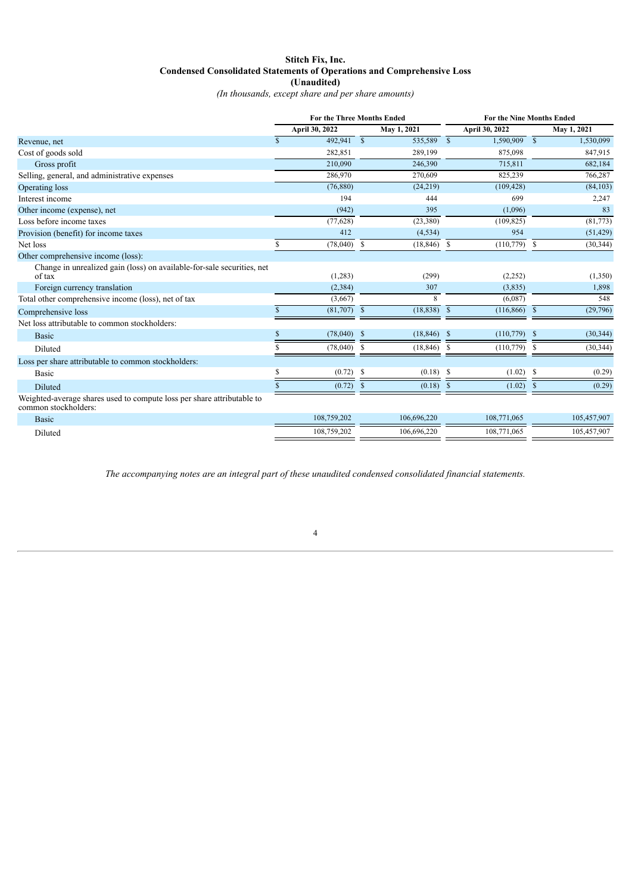# **Stitch Fix, Inc. Condensed Consolidated Statements of Operations and Comprehensive Loss (Unaudited)**

*(In thousands, except share and per share amounts)*

|                                                                                                | <b>For the Three Months Ended</b> |                |               | <b>For the Nine Months Ended</b> |                    |                |               |             |
|------------------------------------------------------------------------------------------------|-----------------------------------|----------------|---------------|----------------------------------|--------------------|----------------|---------------|-------------|
|                                                                                                |                                   | April 30, 2022 |               | May 1, 2021                      |                    | April 30, 2022 |               | May 1, 2021 |
| Revenue, net                                                                                   | $\mathbf{s}$                      | 492,941 \$     |               | 535,589 \$                       |                    | 1,590,909 \$   |               | 1,530,099   |
| Cost of goods sold                                                                             |                                   | 282,851        |               | 289,199                          |                    | 875,098        |               | 847,915     |
| Gross profit                                                                                   |                                   | 210.090        |               | 246.390                          |                    | 715.811        |               | 682,184     |
| Selling, general, and administrative expenses                                                  |                                   | 286,970        |               | 270,609                          |                    | 825,239        |               | 766,287     |
| Operating loss                                                                                 |                                   | (76,880)       |               | (24,219)                         |                    | (109, 428)     |               | (84, 103)   |
| Interest income                                                                                |                                   | 194            |               | 444                              |                    | 699            |               | 2,247       |
| Other income (expense), net                                                                    |                                   | (942)          |               | 395                              |                    | (1,096)        |               | 83          |
| Loss before income taxes                                                                       |                                   | (77, 628)      |               | (23, 380)                        |                    | (109, 825)     |               | (81,773)    |
| Provision (benefit) for income taxes                                                           |                                   | 412            |               | (4, 534)                         |                    | 954            |               | (51, 429)   |
| Net loss                                                                                       | S                                 | (78,040)       | <sup>\$</sup> | $(18, 846)$ \$                   |                    | $(110,779)$ \$ |               | (30, 344)   |
| Other comprehensive income (loss):                                                             |                                   |                |               |                                  |                    |                |               |             |
| Change in unrealized gain (loss) on available-for-sale securities, net<br>of tax               |                                   | (1,283)        |               | (299)                            |                    | (2,252)        |               | (1,350)     |
| Foreign currency translation                                                                   |                                   | (2, 384)       |               | 307                              |                    | (3,835)        |               | 1,898       |
| Total other comprehensive income (loss), net of tax                                            |                                   | (3,667)        |               | 8                                |                    | (6,087)        |               | 548         |
| Comprehensive loss                                                                             |                                   | (81,707)       | $\mathbb{S}$  | (18, 838)                        | $\mathbf{\hat{s}}$ | (116, 866)     | $\mathbf{s}$  | (29,796)    |
| Net loss attributable to common stockholders:                                                  |                                   |                |               |                                  |                    |                |               |             |
| <b>Basic</b>                                                                                   | S                                 | (78,040)       | -\$           | $(18, 846)$ \$                   |                    | (110, 779)     | - \$          | (30, 344)   |
| Diluted                                                                                        |                                   | (78,040)       | \$            | (18, 846)                        | <sup>\$</sup>      | (110, 779)     | \$.           | (30, 344)   |
| Loss per share attributable to common stockholders:                                            |                                   |                |               |                                  |                    |                |               |             |
| <b>Basic</b>                                                                                   |                                   | (0.72)         | <sup>\$</sup> | $(0.18)$ \$                      |                    | (1.02)         | -S            | (0.29)      |
| <b>Diluted</b>                                                                                 | S                                 | (0.72)         | <sup>\$</sup> | (0.18)                           | <sup>\$</sup>      | (1.02)         | <sup>\$</sup> | (0.29)      |
| Weighted-average shares used to compute loss per share attributable to<br>common stockholders: |                                   |                |               |                                  |                    |                |               |             |
| <b>Basic</b>                                                                                   |                                   | 108,759,202    |               | 106,696,220                      |                    | 108,771,065    |               | 105,457,907 |
| Diluted                                                                                        |                                   | 108,759,202    |               | 106,696,220                      |                    | 108,771,065    |               | 105,457,907 |
|                                                                                                |                                   |                |               |                                  |                    |                |               |             |

<span id="page-3-0"></span>*The accompanying notes are an integral part of these unaudited condensed consolidated financial statements.*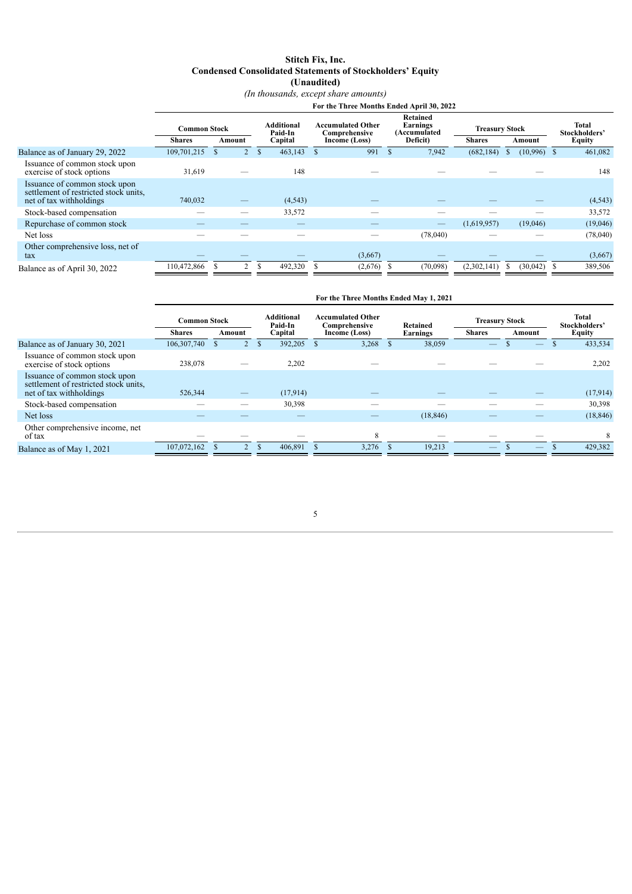# **Stitch Fix, Inc. Condensed Consolidated Statements of Stockholders' Equity**

**(Unaudited)**

*(In thousands, except share amounts)*

|                                                                                                   |                     |                |               |                       |               | For the Three Months Ended April 30, 2022 |                                             |                       |              |               |                        |
|---------------------------------------------------------------------------------------------------|---------------------|----------------|---------------|-----------------------|---------------|-------------------------------------------|---------------------------------------------|-----------------------|--------------|---------------|------------------------|
|                                                                                                   | <b>Common Stock</b> |                |               | Additional<br>Paid-In |               | Accumulated Other<br>Comprehensive        | <b>Retained</b><br>Earnings<br>(Accumulated | <b>Treasury Stock</b> |              |               | Total<br>Stockholders' |
|                                                                                                   | <b>Shares</b>       | Amount         |               | Capital               |               | Income (Loss)                             | Deficit)                                    | <b>Shares</b>         |              | Amount        | <b>Equity</b>          |
| Balance as of January 29, 2022                                                                    | 109,701,215         |                | $\mathbf{s}$  | 463,143               | $\mathcal{S}$ | 991                                       | 7,942                                       | (682, 184)            | <sup>3</sup> | $(10,996)$ \$ | 461,082                |
| Issuance of common stock upon<br>exercise of stock options                                        | 31,619              |                |               | 148                   |               |                                           |                                             |                       |              |               | 148                    |
| Issuance of common stock upon<br>settlement of restricted stock units.<br>net of tax withholdings | 740,032             | —              |               | (4,543)               |               |                                           |                                             |                       |              |               | (4, 543)               |
| Stock-based compensation                                                                          |                     |                |               | 33,572                |               |                                           |                                             |                       |              |               | 33,572                 |
| Repurchase of common stock                                                                        |                     |                |               |                       |               |                                           |                                             | (1,619.957)           |              | (19,046)      | (19,046)               |
| Net loss                                                                                          |                     |                |               |                       |               |                                           | (78,040)                                    |                       |              |               | (78,040)               |
| Other comprehensive loss, net of<br>tax                                                           |                     |                |               |                       |               | (3,667)                                   |                                             |                       |              |               | (3,667)                |
| Balance as of April 30, 2022                                                                      | 110,472,866         | $\mathfrak{D}$ | <sup>\$</sup> | 492,320               | - \$          | (2,676)                                   | (70,098)                                    | (2,302,141)           |              | $(30,042)$ \$ | 389,506                |
|                                                                                                   |                     |                |               |                       |               |                                           |                                             |                       |              |               |                        |

|                                                                                                   |                     |               |                              | For the Three Months Ended May 1, 2021    |           |                          |        |                               |
|---------------------------------------------------------------------------------------------------|---------------------|---------------|------------------------------|-------------------------------------------|-----------|--------------------------|--------|-------------------------------|
|                                                                                                   | <b>Common Stock</b> |               | <b>Additional</b><br>Paid-In | <b>Accumulated Other</b><br>Comprehensive | Retained  | <b>Treasury Stock</b>    |        | <b>Total</b><br>Stockholders' |
|                                                                                                   | <b>Shares</b>       | Amount        | Capital                      | Income (Loss)                             | Earnings  | <b>Shares</b>            | Amount | Equity                        |
| Balance as of January 30, 2021                                                                    | 106,307,740         |               | 392,205                      | 3,268                                     | 38,059    |                          |        | 433,534                       |
| Issuance of common stock upon<br>exercise of stock options                                        | 238,078             |               | 2,202                        |                                           |           |                          |        | 2,202                         |
| Issuance of common stock upon<br>settlement of restricted stock units.<br>net of tax withholdings | 526,344             |               | (17,914)                     |                                           |           |                          |        | (17,914)                      |
| Stock-based compensation                                                                          |                     |               | 30,398                       |                                           |           |                          |        | 30,398                        |
| Net loss                                                                                          |                     |               |                              |                                           | (18, 846) |                          |        | (18, 846)                     |
| Other comprehensive income, net<br>of tax                                                         |                     |               |                              | 8                                         |           |                          |        | 8                             |
| Balance as of May 1, 2021                                                                         | 107,072,162         | $\mathcal{L}$ | 406,891                      | 3,276                                     | 19,213    | $\overline{\phantom{0}}$ |        | 429,382                       |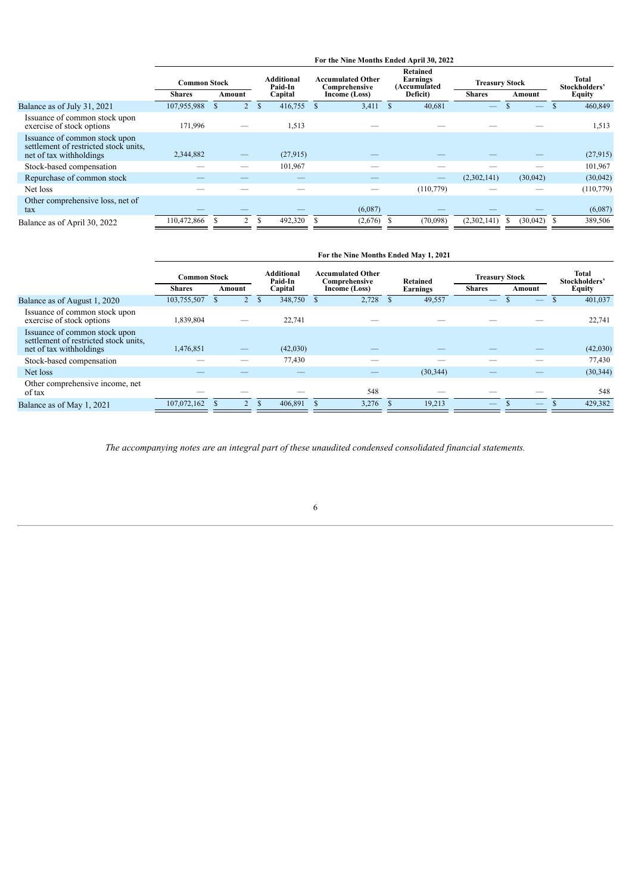| <b>Retained</b><br><b>Additional</b><br><b>Total</b><br><b>Accumulated Other</b><br>Earnings<br><b>Common Stock</b><br><b>Treasury Stock</b><br>(Accumulated<br>Paid-In<br>Stockholders'<br>Comprehensive<br>Deficit)<br>Equity<br>Capital<br><b>Shares</b><br><b>Shares</b><br>Income (Loss)<br>Amount<br>Amount<br>416,755<br>460,849<br>107,955,988<br>3,411<br>40,681<br>Balance as of July 31, 2021<br>Issuance of common stock upon<br>exercise of stock options<br>171,996<br>1,513<br>1,513<br>Issuance of common stock upon<br>settlement of restricted stock units,<br>(27,915)<br>net of tax withholdings<br>2,344,882<br>101,967<br>101,967<br>Stock-based compensation<br>Repurchase of common stock<br>(2,302,141)<br>(30,042)<br>(30,042)<br>(110, 779)<br>Net loss<br>Other comprehensive loss, net of<br>(6,087)<br>(6,087)<br>tax<br>110,472,866<br>492,320<br>(2,302,141)<br>$\mathcal{D}$<br>(2,676)<br>(70,098)<br>(30,042)<br>389,506<br>Balance as of April 30, 2022 |  |  |  | For the Nine Months Ended April 30, 2022 |  |  |  |  |
|---------------------------------------------------------------------------------------------------------------------------------------------------------------------------------------------------------------------------------------------------------------------------------------------------------------------------------------------------------------------------------------------------------------------------------------------------------------------------------------------------------------------------------------------------------------------------------------------------------------------------------------------------------------------------------------------------------------------------------------------------------------------------------------------------------------------------------------------------------------------------------------------------------------------------------------------------------------------------------------------|--|--|--|------------------------------------------|--|--|--|--|
| (27, 915)<br>(110, 779)                                                                                                                                                                                                                                                                                                                                                                                                                                                                                                                                                                                                                                                                                                                                                                                                                                                                                                                                                                     |  |  |  |                                          |  |  |  |  |
|                                                                                                                                                                                                                                                                                                                                                                                                                                                                                                                                                                                                                                                                                                                                                                                                                                                                                                                                                                                             |  |  |  |                                          |  |  |  |  |
|                                                                                                                                                                                                                                                                                                                                                                                                                                                                                                                                                                                                                                                                                                                                                                                                                                                                                                                                                                                             |  |  |  |                                          |  |  |  |  |
|                                                                                                                                                                                                                                                                                                                                                                                                                                                                                                                                                                                                                                                                                                                                                                                                                                                                                                                                                                                             |  |  |  |                                          |  |  |  |  |
|                                                                                                                                                                                                                                                                                                                                                                                                                                                                                                                                                                                                                                                                                                                                                                                                                                                                                                                                                                                             |  |  |  |                                          |  |  |  |  |
|                                                                                                                                                                                                                                                                                                                                                                                                                                                                                                                                                                                                                                                                                                                                                                                                                                                                                                                                                                                             |  |  |  |                                          |  |  |  |  |
|                                                                                                                                                                                                                                                                                                                                                                                                                                                                                                                                                                                                                                                                                                                                                                                                                                                                                                                                                                                             |  |  |  |                                          |  |  |  |  |
|                                                                                                                                                                                                                                                                                                                                                                                                                                                                                                                                                                                                                                                                                                                                                                                                                                                                                                                                                                                             |  |  |  |                                          |  |  |  |  |
|                                                                                                                                                                                                                                                                                                                                                                                                                                                                                                                                                                                                                                                                                                                                                                                                                                                                                                                                                                                             |  |  |  |                                          |  |  |  |  |
|                                                                                                                                                                                                                                                                                                                                                                                                                                                                                                                                                                                                                                                                                                                                                                                                                                                                                                                                                                                             |  |  |  |                                          |  |  |  |  |

|                                                                                                   |                     |        |              |                       | For the Nine Months Ended May 1, 2021     |           |                       |        |     |                               |
|---------------------------------------------------------------------------------------------------|---------------------|--------|--------------|-----------------------|-------------------------------------------|-----------|-----------------------|--------|-----|-------------------------------|
|                                                                                                   | <b>Common Stock</b> |        |              | Additional<br>Paid-In | <b>Accumulated Other</b><br>Comprehensive | Retained  | <b>Treasury Stock</b> |        |     | <b>Total</b><br>Stockholders' |
|                                                                                                   | <b>Shares</b>       | Amount |              | Capital               | Income (Loss)                             | Earnings  | <b>Shares</b>         | Amount |     | Equity                        |
| Balance as of August 1, 2020                                                                      | 103,755,507         |        | $\mathbf{s}$ | 348,750               | 2,728                                     | 49,557    |                       |        | $-$ | 401,037                       |
| Issuance of common stock upon<br>exercise of stock options                                        | 1,839,804           | __     |              | 22,741                |                                           |           |                       |        |     | 22,741                        |
| Issuance of common stock upon<br>settlement of restricted stock units.<br>net of tax withholdings | 1,476,851           | —      |              | (42,030)              |                                           |           |                       |        |     | (42,030)                      |
| Stock-based compensation                                                                          |                     |        |              | 77,430                |                                           |           |                       |        |     | 77,430                        |
| Net loss                                                                                          |                     |        |              |                       |                                           | (30, 344) |                       |        |     | (30, 344)                     |
| Other comprehensive income, net<br>of tax                                                         |                     |        |              |                       | 548                                       |           |                       |        |     | 548                           |
| Balance as of May 1, 2021                                                                         | 107,072,162         |        | $\mathbf{s}$ | 406,891               | 3,276                                     | 19,213    |                       |        |     | 429,382                       |

<span id="page-5-0"></span>*The accompanying notes are an integral part of these unaudited condensed consolidated financial statements.*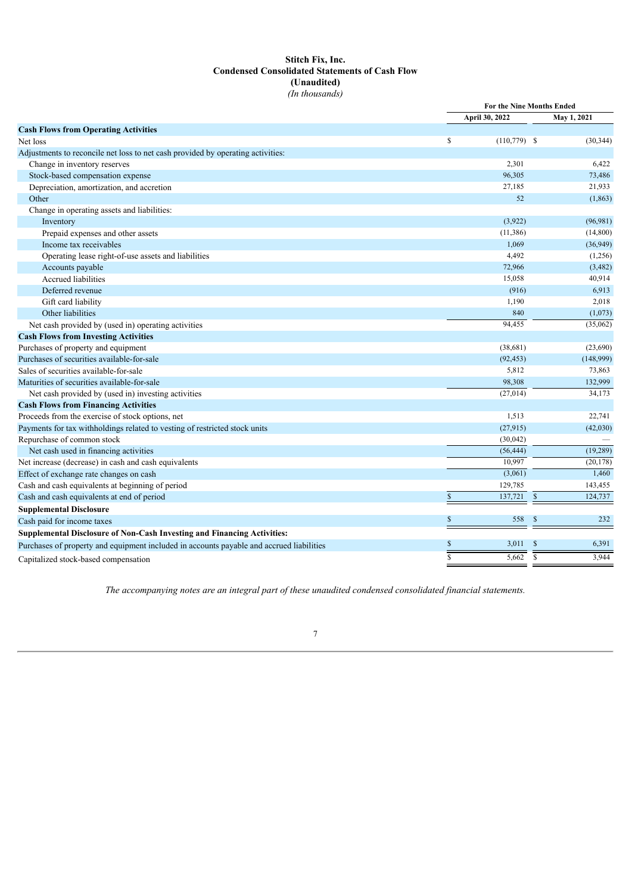# **Stitch Fix, Inc. Condensed Consolidated Statements of Cash Flow (Unaudited)** *(In thousands)*

|                                                                                          |                | For the Nine Months Ended |                |             |
|------------------------------------------------------------------------------------------|----------------|---------------------------|----------------|-------------|
|                                                                                          |                | April 30, 2022            |                | May 1, 2021 |
| <b>Cash Flows from Operating Activities</b>                                              |                |                           |                |             |
| Net loss                                                                                 | $\mathbb{S}$   | $(110,779)$ \$            |                | (30, 344)   |
| Adjustments to reconcile net loss to net cash provided by operating activities:          |                |                           |                |             |
| Change in inventory reserves                                                             |                | 2,301                     |                | 6,422       |
| Stock-based compensation expense                                                         |                | 96,305                    |                | 73,486      |
| Depreciation, amortization, and accretion                                                |                | 27,185                    |                | 21,933      |
| Other                                                                                    |                | 52                        |                | (1, 863)    |
| Change in operating assets and liabilities:                                              |                |                           |                |             |
| Inventory                                                                                |                | (3,922)                   |                | (96, 981)   |
| Prepaid expenses and other assets                                                        |                | (11, 386)                 |                | (14,800)    |
| Income tax receivables                                                                   |                | 1,069                     |                | (36,949)    |
| Operating lease right-of-use assets and liabilities                                      |                | 4,492                     |                | (1,256)     |
| Accounts payable                                                                         |                | 72,966                    |                | (3,482)     |
| Accrued liabilities                                                                      |                | 15,058                    |                | 40,914      |
| Deferred revenue                                                                         |                | (916)                     |                | 6,913       |
| Gift card liability                                                                      |                | 1,190                     |                | 2,018       |
| Other liabilities                                                                        |                | 840                       |                | (1,073)     |
| Net cash provided by (used in) operating activities                                      |                | 94,455                    |                | (35,062)    |
| <b>Cash Flows from Investing Activities</b>                                              |                |                           |                |             |
| Purchases of property and equipment                                                      |                | (38,681)                  |                | (23,690)    |
| Purchases of securities available-for-sale                                               |                | (92, 453)                 |                | (148,999)   |
| Sales of securities available-for-sale                                                   |                | 5,812                     |                | 73,863      |
| Maturities of securities available-for-sale                                              |                | 98,308                    |                | 132,999     |
| Net cash provided by (used in) investing activities                                      |                | (27, 014)                 |                | 34,173      |
| <b>Cash Flows from Financing Activities</b>                                              |                |                           |                |             |
| Proceeds from the exercise of stock options, net                                         |                | 1,513                     |                | 22,741      |
| Payments for tax withholdings related to vesting of restricted stock units               |                | (27,915)                  |                | (42,030)    |
| Repurchase of common stock                                                               |                | (30,042)                  |                |             |
| Net cash used in financing activities                                                    |                | (56, 444)                 |                | (19, 289)   |
| Net increase (decrease) in cash and cash equivalents                                     |                | 10,997                    |                | (20, 178)   |
| Effect of exchange rate changes on cash                                                  |                | (3,061)                   |                | 1,460       |
| Cash and cash equivalents at beginning of period                                         |                | 129,785                   |                | 143,455     |
| Cash and cash equivalents at end of period                                               | $\mathbb{S}$   | 137,721                   | $\mathbb{S}$   | 124,737     |
| <b>Supplemental Disclosure</b>                                                           |                |                           |                |             |
| Cash paid for income taxes                                                               | \$             | 558                       | \$             | 232         |
| Supplemental Disclosure of Non-Cash Investing and Financing Activities:                  |                |                           |                |             |
| Purchases of property and equipment included in accounts payable and accrued liabilities | \$             | 3,011                     | $\mathbb{S}$   | 6,391       |
| Capitalized stock-based compensation                                                     | $\overline{s}$ | 5,662                     | $\overline{s}$ | 3,944       |
|                                                                                          |                |                           |                |             |

<span id="page-6-0"></span>*The accompanying notes are an integral part of these unaudited condensed consolidated financial statements.*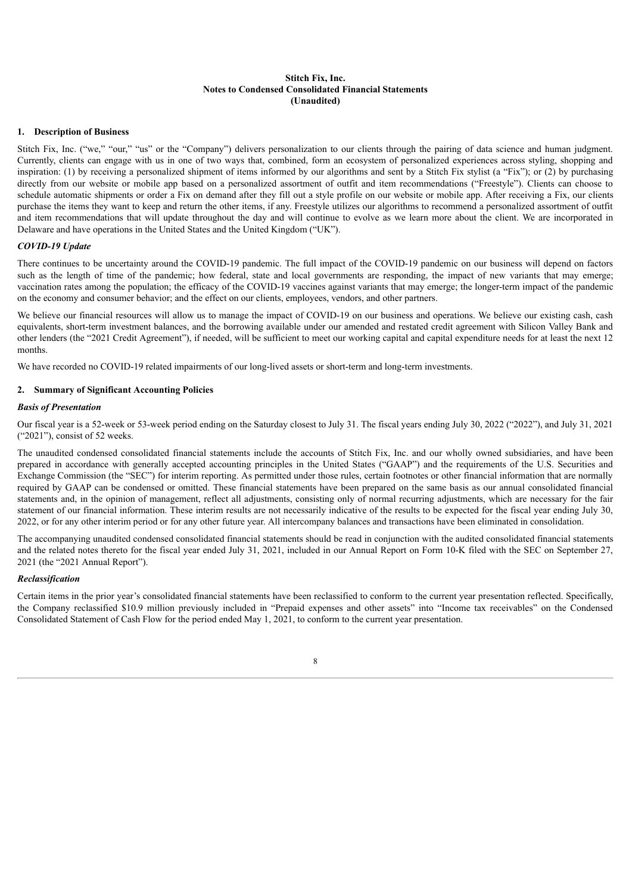# **Stitch Fix, Inc. Notes to Condensed Consolidated Financial Statements (Unaudited)**

# **1. Description of Business**

Stitch Fix, Inc. ("we," "our," "us" or the "Company") delivers personalization to our clients through the pairing of data science and human judgment. Currently, clients can engage with us in one of two ways that, combined, form an ecosystem of personalized experiences across styling, shopping and inspiration: (1) by receiving a personalized shipment of items informed by our algorithms and sent by a Stitch Fix stylist (a "Fix"); or (2) by purchasing directly from our website or mobile app based on a personalized assortment of outfit and item recommendations ("Freestyle"). Clients can choose to schedule automatic shipments or order a Fix on demand after they fill out a style profile on our website or mobile app. After receiving a Fix, our clients purchase the items they want to keep and return the other items, if any. Freestyle utilizes our algorithms to recommend a personalized assortment of outfit and item recommendations that will update throughout the day and will continue to evolve as we learn more about the client. We are incorporated in Delaware and have operations in the United States and the United Kingdom ("UK").

# *COVID-19 Update*

There continues to be uncertainty around the COVID-19 pandemic. The full impact of the COVID-19 pandemic on our business will depend on factors such as the length of time of the pandemic; how federal, state and local governments are responding, the impact of new variants that may emerge; vaccination rates among the population; the efficacy of the COVID-19 vaccines against variants that may emerge; the longer-term impact of the pandemic on the economy and consumer behavior; and the effect on our clients, employees, vendors, and other partners.

We believe our financial resources will allow us to manage the impact of COVID-19 on our business and operations. We believe our existing cash, cash equivalents, short-term investment balances, and the borrowing available under our amended and restated credit agreement with Silicon Valley Bank and other lenders (the "2021 Credit Agreement"), if needed, will be sufficient to meet our working capital and capital expenditure needs for at least the next 12 months.

We have recorded no COVID-19 related impairments of our long-lived assets or short-term and long-term investments.

# **2. Summary of Significant Accounting Policies**

# *Basis of Presentation*

Our fiscal year is a 52-week or 53-week period ending on the Saturday closest to July 31. The fiscal years ending July 30, 2022 ("2022"), and July 31, 2021 ("2021"), consist of 52 weeks.

The unaudited condensed consolidated financial statements include the accounts of Stitch Fix, Inc. and our wholly owned subsidiaries, and have been prepared in accordance with generally accepted accounting principles in the United States ("GAAP") and the requirements of the U.S. Securities and Exchange Commission (the "SEC") for interim reporting. As permitted under those rules, certain footnotes or other financial information that are normally required by GAAP can be condensed or omitted. These financial statements have been prepared on the same basis as our annual consolidated financial statements and, in the opinion of management, reflect all adjustments, consisting only of normal recurring adjustments, which are necessary for the fair statement of our financial information. These interim results are not necessarily indicative of the results to be expected for the fiscal year ending July 30, 2022, or for any other interim period or for any other future year. All intercompany balances and transactions have been eliminated in consolidation.

The accompanying unaudited condensed consolidated financial statements should be read in conjunction with the audited consolidated financial statements and the related notes thereto for the fiscal year ended July 31, 2021, included in our Annual Report on Form 10-K filed with the SEC on September 27, 2021 (the "2021 Annual Report").

# *Reclassification*

Certain items in the prior year's consolidated financial statements have been reclassified to conform to the current year presentation reflected. Specifically, the Company reclassified \$10.9 million previously included in "Prepaid expenses and other assets" into "Income tax receivables" on the Condensed Consolidated Statement of Cash Flow for the period ended May 1, 2021, to conform to the current year presentation.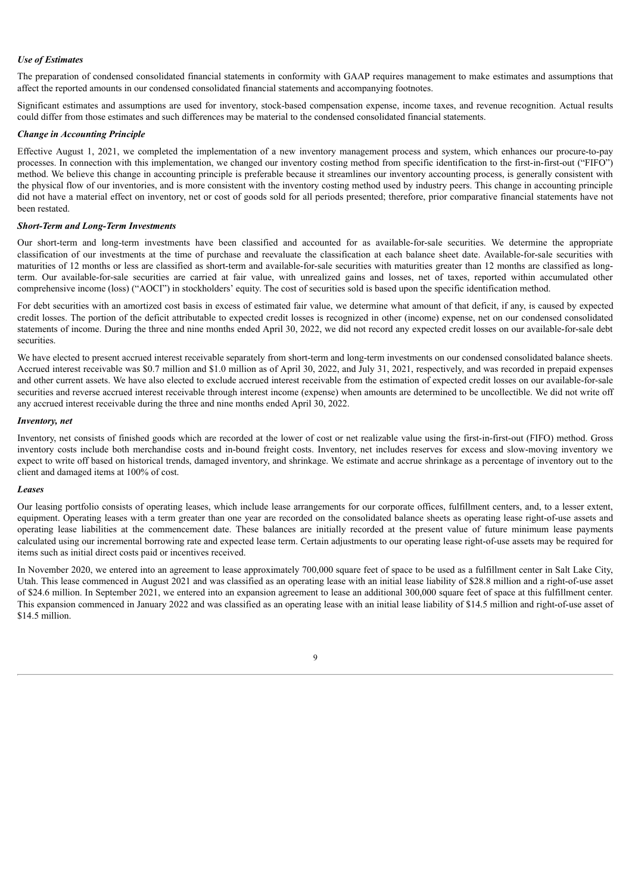# *Use of Estimates*

The preparation of condensed consolidated financial statements in conformity with GAAP requires management to make estimates and assumptions that affect the reported amounts in our condensed consolidated financial statements and accompanying footnotes.

Significant estimates and assumptions are used for inventory, stock-based compensation expense, income taxes, and revenue recognition. Actual results could differ from those estimates and such differences may be material to the condensed consolidated financial statements.

# *Change in Accounting Principle*

Effective August 1, 2021, we completed the implementation of a new inventory management process and system, which enhances our procure-to-pay processes. In connection with this implementation, we changed our inventory costing method from specific identification to the first-in-first-out ("FIFO") method. We believe this change in accounting principle is preferable because it streamlines our inventory accounting process, is generally consistent with the physical flow of our inventories, and is more consistent with the inventory costing method used by industry peers. This change in accounting principle did not have a material effect on inventory, net or cost of goods sold for all periods presented; therefore, prior comparative financial statements have not been restated.

# *Short-Term and Long-Term Investments*

Our short-term and long-term investments have been classified and accounted for as available-for-sale securities. We determine the appropriate classification of our investments at the time of purchase and reevaluate the classification at each balance sheet date. Available-for-sale securities with maturities of 12 months or less are classified as short-term and available-for-sale securities with maturities greater than 12 months are classified as longterm. Our available-for-sale securities are carried at fair value, with unrealized gains and losses, net of taxes, reported within accumulated other comprehensive income (loss) ("AOCI") in stockholders' equity. The cost of securities sold is based upon the specific identification method.

For debt securities with an amortized cost basis in excess of estimated fair value, we determine what amount of that deficit, if any, is caused by expected credit losses. The portion of the deficit attributable to expected credit losses is recognized in other (income) expense, net on our condensed consolidated statements of income. During the three and nine months ended April 30, 2022, we did not record any expected credit losses on our available-for-sale debt securities.

We have elected to present accrued interest receivable separately from short-term and long-term investments on our condensed consolidated balance sheets. Accrued interest receivable was \$0.7 million and \$1.0 million as of April 30, 2022, and July 31, 2021, respectively, and was recorded in prepaid expenses and other current assets. We have also elected to exclude accrued interest receivable from the estimation of expected credit losses on our available-for-sale securities and reverse accrued interest receivable through interest income (expense) when amounts are determined to be uncollectible. We did not write off any accrued interest receivable during the three and nine months ended April 30, 2022.

#### *Inventory, net*

Inventory, net consists of finished goods which are recorded at the lower of cost or net realizable value using the first-in-first-out (FIFO) method. Gross inventory costs include both merchandise costs and in-bound freight costs. Inventory, net includes reserves for excess and slow-moving inventory we expect to write off based on historical trends, damaged inventory, and shrinkage. We estimate and accrue shrinkage as a percentage of inventory out to the client and damaged items at 100% of cost.

#### *Leases*

Our leasing portfolio consists of operating leases, which include lease arrangements for our corporate offices, fulfillment centers, and, to a lesser extent, equipment. Operating leases with a term greater than one year are recorded on the consolidated balance sheets as operating lease right-of-use assets and operating lease liabilities at the commencement date. These balances are initially recorded at the present value of future minimum lease payments calculated using our incremental borrowing rate and expected lease term. Certain adjustments to our operating lease right-of-use assets may be required for items such as initial direct costs paid or incentives received.

In November 2020, we entered into an agreement to lease approximately 700,000 square feet of space to be used as a fulfillment center in Salt Lake City, Utah. This lease commenced in August 2021 and was classified as an operating lease with an initial lease liability of \$28.8 million and a right-of-use asset of \$24.6 million. In September 2021, we entered into an expansion agreement to lease an additional 300,000 square feet of space at this fulfillment center. This expansion commenced in January 2022 and was classified as an operating lease with an initial lease liability of \$14.5 million and right-of-use asset of \$14.5 million.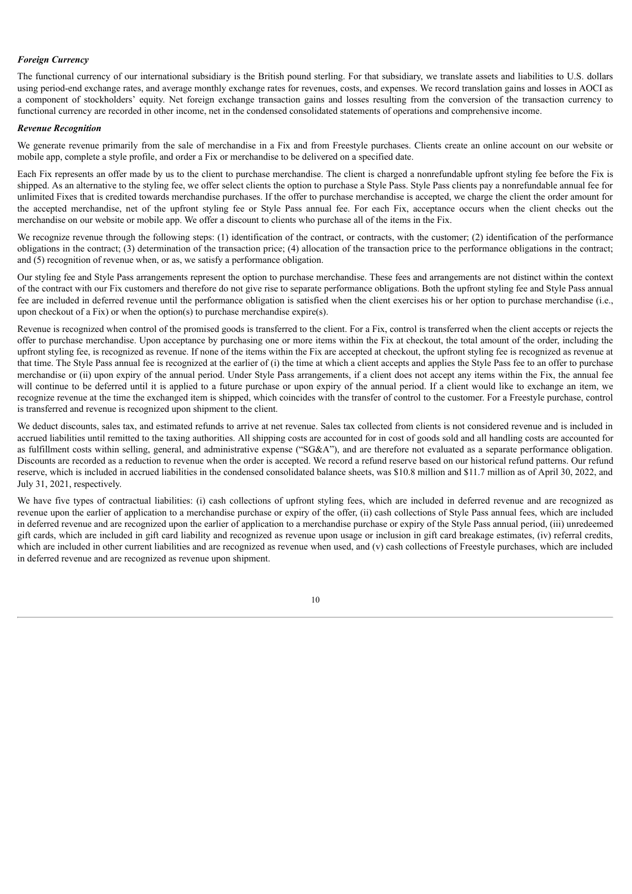# *Foreign Currency*

The functional currency of our international subsidiary is the British pound sterling. For that subsidiary, we translate assets and liabilities to U.S. dollars using period-end exchange rates, and average monthly exchange rates for revenues, costs, and expenses. We record translation gains and losses in AOCI as a component of stockholders' equity. Net foreign exchange transaction gains and losses resulting from the conversion of the transaction currency to functional currency are recorded in other income, net in the condensed consolidated statements of operations and comprehensive income.

#### *Revenue Recognition*

We generate revenue primarily from the sale of merchandise in a Fix and from Freestyle purchases. Clients create an online account on our website or mobile app, complete a style profile, and order a Fix or merchandise to be delivered on a specified date.

Each Fix represents an offer made by us to the client to purchase merchandise. The client is charged a nonrefundable upfront styling fee before the Fix is shipped. As an alternative to the styling fee, we offer select clients the option to purchase a Style Pass. Style Pass clients pay a nonrefundable annual fee for unlimited Fixes that is credited towards merchandise purchases. If the offer to purchase merchandise is accepted, we charge the client the order amount for the accepted merchandise, net of the upfront styling fee or Style Pass annual fee. For each Fix, acceptance occurs when the client checks out the merchandise on our website or mobile app. We offer a discount to clients who purchase all of the items in the Fix.

We recognize revenue through the following steps: (1) identification of the contract, or contracts, with the customer; (2) identification of the performance obligations in the contract; (3) determination of the transaction price; (4) allocation of the transaction price to the performance obligations in the contract; and (5) recognition of revenue when, or as, we satisfy a performance obligation.

Our styling fee and Style Pass arrangements represent the option to purchase merchandise. These fees and arrangements are not distinct within the context of the contract with our Fix customers and therefore do not give rise to separate performance obligations. Both the upfront styling fee and Style Pass annual fee are included in deferred revenue until the performance obligation is satisfied when the client exercises his or her option to purchase merchandise (i.e., upon checkout of a Fix) or when the option(s) to purchase merchandise expire(s).

Revenue is recognized when control of the promised goods is transferred to the client. For a Fix, control is transferred when the client accepts or rejects the offer to purchase merchandise. Upon acceptance by purchasing one or more items within the Fix at checkout, the total amount of the order, including the upfront styling fee, is recognized as revenue. If none of the items within the Fix are accepted at checkout, the upfront styling fee is recognized as revenue at that time. The Style Pass annual fee is recognized at the earlier of (i) the time at which a client accepts and applies the Style Pass fee to an offer to purchase merchandise or (ii) upon expiry of the annual period. Under Style Pass arrangements, if a client does not accept any items within the Fix, the annual fee will continue to be deferred until it is applied to a future purchase or upon expiry of the annual period. If a client would like to exchange an item, we recognize revenue at the time the exchanged item is shipped, which coincides with the transfer of control to the customer. For a Freestyle purchase, control is transferred and revenue is recognized upon shipment to the client.

We deduct discounts, sales tax, and estimated refunds to arrive at net revenue. Sales tax collected from clients is not considered revenue and is included in accrued liabilities until remitted to the taxing authorities. All shipping costs are accounted for in cost of goods sold and all handling costs are accounted for as fulfillment costs within selling, general, and administrative expense ("SG&A"), and are therefore not evaluated as a separate performance obligation. Discounts are recorded as a reduction to revenue when the order is accepted. We record a refund reserve based on our historical refund patterns. Our refund reserve, which is included in accrued liabilities in the condensed consolidated balance sheets, was \$10.8 million and \$11.7 million as of April 30, 2022, and July 31, 2021, respectively.

We have five types of contractual liabilities: (i) cash collections of upfront styling fees, which are included in deferred revenue and are recognized as revenue upon the earlier of application to a merchandise purchase or expiry of the offer, (ii) cash collections of Style Pass annual fees, which are included in deferred revenue and are recognized upon the earlier of application to a merchandise purchase or expiry of the Style Pass annual period, (iii) unredeemed gift cards, which are included in gift card liability and recognized as revenue upon usage or inclusion in gift card breakage estimates, (iv) referral credits, which are included in other current liabilities and are recognized as revenue when used, and (v) cash collections of Freestyle purchases, which are included in deferred revenue and are recognized as revenue upon shipment.

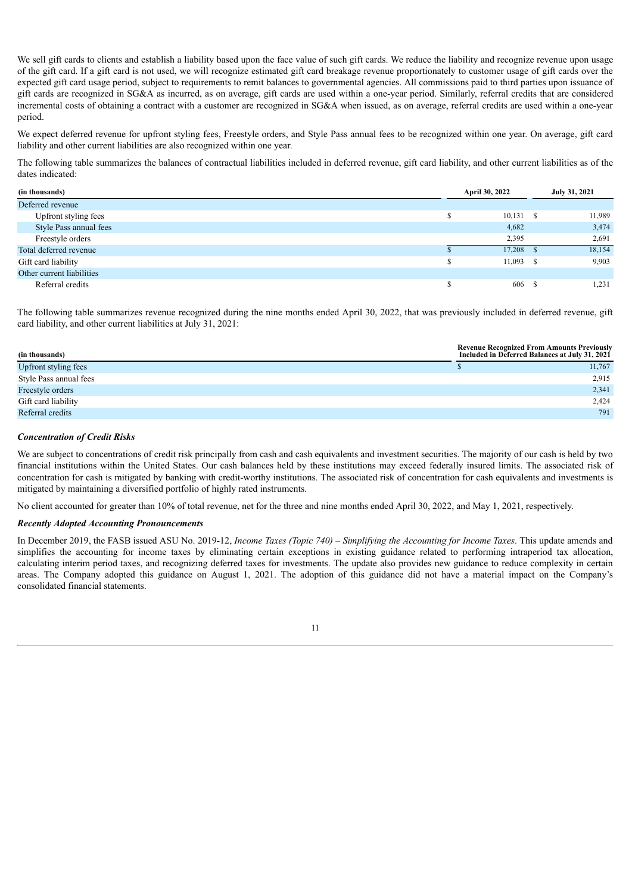We sell gift cards to clients and establish a liability based upon the face value of such gift cards. We reduce the liability and recognize revenue upon usage of the gift card. If a gift card is not used, we will recognize estimated gift card breakage revenue proportionately to customer usage of gift cards over the expected gift card usage period, subject to requirements to remit balances to governmental agencies. All commissions paid to third parties upon issuance of gift cards are recognized in SG&A as incurred, as on average, gift cards are used within a one-year period. Similarly, referral credits that are considered incremental costs of obtaining a contract with a customer are recognized in SG&A when issued, as on average, referral credits are used within a one-year period.

We expect deferred revenue for upfront styling fees, Freestyle orders, and Style Pass annual fees to be recognized within one year. On average, gift card liability and other current liabilities are also recognized within one year.

The following table summarizes the balances of contractual liabilities included in deferred revenue, gift card liability, and other current liabilities as of the dates indicated:

| (in thousands)            | April 30, 2022 | July 31, 2021 |
|---------------------------|----------------|---------------|
| Deferred revenue          |                |               |
| Upfront styling fees      | 10,131<br>- 8  | 11,989        |
| Style Pass annual fees    | 4,682          | 3,474         |
| Freestyle orders          | 2,395          | 2,691         |
| Total deferred revenue    | 17,208         | 18,154        |
| Gift card liability       | 11,093         | 9,903         |
| Other current liabilities |                |               |
| Referral credits          | 606            | 1,231         |

The following table summarizes revenue recognized during the nine months ended April 30, 2022, that was previously included in deferred revenue, gift card liability, and other current liabilities at July 31, 2021:

| (in thousands)         | <b>Revenue Recognized From Amounts Previously</b><br>Included in Deferred Balances at July 31, 2021 |        |
|------------------------|-----------------------------------------------------------------------------------------------------|--------|
| Upfront styling fees   |                                                                                                     | 11.767 |
| Style Pass annual fees |                                                                                                     | 2,915  |
| Freestyle orders       |                                                                                                     | 2,341  |
| Gift card liability    |                                                                                                     | 2,424  |
| Referral credits       |                                                                                                     | 791    |

#### *Concentration of Credit Risks*

We are subject to concentrations of credit risk principally from cash and cash equivalents and investment securities. The majority of our cash is held by two financial institutions within the United States. Our cash balances held by these institutions may exceed federally insured limits. The associated risk of concentration for cash is mitigated by banking with credit-worthy institutions. The associated risk of concentration for cash equivalents and investments is mitigated by maintaining a diversified portfolio of highly rated instruments.

No client accounted for greater than 10% of total revenue, net for the three and nine months ended April 30, 2022, and May 1, 2021, respectively.

#### *Recently Adopted Accounting Pronouncements*

In December 2019, the FASB issued ASU No. 2019-12, *Income Taxes (Topic 740) – Simplifying the Accounting for Income Taxes*. This update amends and simplifies the accounting for income taxes by eliminating certain exceptions in existing guidance related to performing intraperiod tax allocation, calculating interim period taxes, and recognizing deferred taxes for investments. The update also provides new guidance to reduce complexity in certain areas. The Company adopted this guidance on August 1, 2021. The adoption of this guidance did not have a material impact on the Company's consolidated financial statements.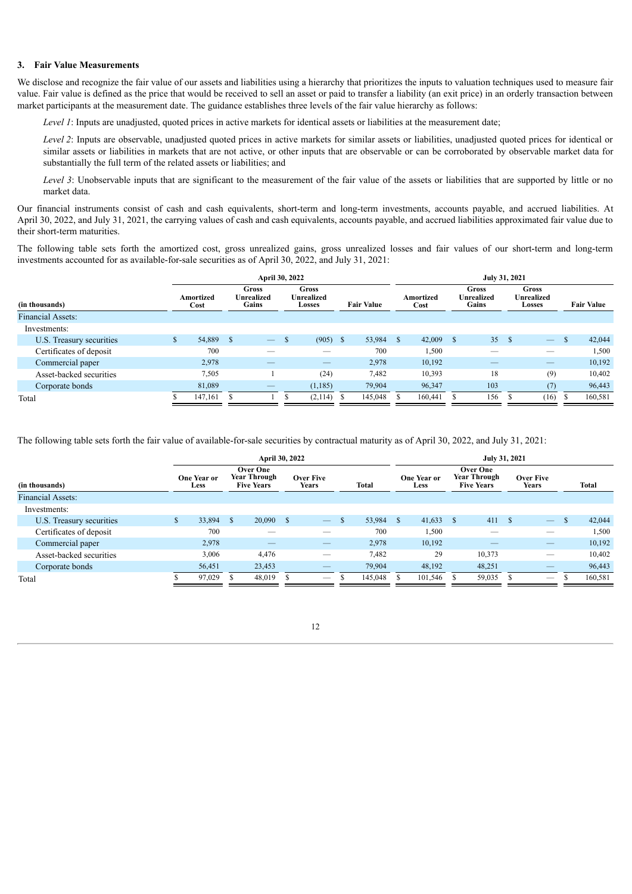#### **3. Fair Value Measurements**

We disclose and recognize the fair value of our assets and liabilities using a hierarchy that prioritizes the inputs to valuation techniques used to measure fair value. Fair value is defined as the price that would be received to sell an asset or paid to transfer a liability (an exit price) in an orderly transaction between market participants at the measurement date. The guidance establishes three levels of the fair value hierarchy as follows:

*Level 1*: Inputs are unadjusted, quoted prices in active markets for identical assets or liabilities at the measurement date;

*Level* 2: Inputs are observable, unadjusted quoted prices in active markets for similar assets or liabilities, unadjusted quoted prices for identical or similar assets or liabilities in markets that are not active, or other inputs that are observable or can be corroborated by observable market data for substantially the full term of the related assets or liabilities; and

*Level* 3: Unobservable inputs that are significant to the measurement of the fair value of the assets or liabilities that are supported by little or no market data.

Our financial instruments consist of cash and cash equivalents, short-term and long-term investments, accounts payable, and accrued liabilities. At April 30, 2022, and July 31, 2021, the carrying values of cash and cash equivalents, accounts payable, and accrued liabilities approximated fair value due to their short-term maturities.

The following table sets forth the amortized cost, gross unrealized gains, gross unrealized losses and fair values of our short-term and long-term investments accounted for as available-for-sale securities as of April 30, 2022, and July 31, 2021:

|                          |                          | April 30, 2022    |  |                                     |  |                                             |  |                   |  | July 31, 2021     |  |                                            |     |                                                    |               |                   |  |  |  |
|--------------------------|--------------------------|-------------------|--|-------------------------------------|--|---------------------------------------------|--|-------------------|--|-------------------|--|--------------------------------------------|-----|----------------------------------------------------|---------------|-------------------|--|--|--|
| (in thousands)           |                          | Amortized<br>Cost |  | <b>Gross</b><br>Unrealized<br>Gains |  | Gross<br><b>Unrealized</b><br><b>Losses</b> |  | <b>Fair Value</b> |  | Amortized<br>Cost |  | <b>Gross</b><br><b>Unrealized</b><br>Gains |     | <b>Gross</b><br><b>Unrealized</b><br><b>Losses</b> |               | <b>Fair Value</b> |  |  |  |
| <b>Financial Assets:</b> |                          |                   |  |                                     |  |                                             |  |                   |  |                   |  |                                            |     |                                                    |               |                   |  |  |  |
|                          | Investments:             |                   |  |                                     |  |                                             |  |                   |  |                   |  |                                            |     |                                                    |               |                   |  |  |  |
|                          | U.S. Treasury securities | 54,889 \$         |  | $\overline{\phantom{m}}$            |  | $(905)$ \$                                  |  | 53,984 \$         |  | $42,009$ \$       |  | 35                                         | - S | $\overline{\phantom{m}}$                           | <sup>\$</sup> | 42,044            |  |  |  |
|                          | Certificates of deposit  | 700               |  |                                     |  |                                             |  | 700               |  | 1,500             |  |                                            |     |                                                    |               | 1,500             |  |  |  |
|                          | Commercial paper         | 2,978             |  |                                     |  |                                             |  | 2,978             |  | 10,192            |  |                                            |     |                                                    |               | 10,192            |  |  |  |
|                          | Asset-backed securities  | 7,505             |  |                                     |  | (24)                                        |  | 7,482             |  | 10,393            |  | 18                                         |     | (9)                                                |               | 10,402            |  |  |  |
|                          | Corporate bonds          | 81,089            |  |                                     |  | (1,185)                                     |  | 79,904            |  | 96,347            |  | 103                                        |     | (7)                                                |               | 96,443            |  |  |  |
| Total                    |                          | 147,161           |  |                                     |  | (2,114)                                     |  | 145,048           |  | 160,441           |  | 156                                        |     | (16)                                               |               | 160,581           |  |  |  |

The following table sets forth the fair value of available-for-sale securities by contractual maturity as of April 30, 2022, and July 31, 2021:

|                          |  |                            | April 30, 2022 |                                                             |  | July 31, 2021             |  |           |  |                                   |  |                                                      |      |                           |  |         |
|--------------------------|--|----------------------------|----------------|-------------------------------------------------------------|--|---------------------------|--|-----------|--|-----------------------------------|--|------------------------------------------------------|------|---------------------------|--|---------|
| (in thousands)           |  | <b>One Year or</b><br>Less |                | <b>Over One</b><br><b>Year Through</b><br><b>Five Years</b> |  | <b>Over Five</b><br>Years |  | Total     |  | <b>One Year or</b><br><b>Less</b> |  | Over One<br><b>Year Through</b><br><b>Five Years</b> |      | Over Five<br><b>Years</b> |  | Total   |
| <b>Financial Assets:</b> |  |                            |                |                                                             |  |                           |  |           |  |                                   |  |                                                      |      |                           |  |         |
| Investments:             |  |                            |                |                                                             |  |                           |  |           |  |                                   |  |                                                      |      |                           |  |         |
| U.S. Treasury securities |  | 33,894                     | <sup>S</sup>   | $20,090$ \$                                                 |  | $\overline{\phantom{m}}$  |  | 53,984 \$ |  | $41,633$ \$                       |  | 411                                                  | - \$ | $\qquad \qquad -$         |  | 42,044  |
| Certificates of deposit  |  | 700                        |                |                                                             |  |                           |  | 700       |  | 1,500                             |  |                                                      |      |                           |  | 1,500   |
| Commercial paper         |  | 2,978                      |                |                                                             |  |                           |  | 2,978     |  | 10,192                            |  |                                                      |      |                           |  | 10,192  |
| Asset-backed securities  |  | 3,006                      |                | 4,476                                                       |  |                           |  | 7,482     |  | 29                                |  | 10,373                                               |      |                           |  | 10,402  |
| Corporate bonds          |  | 56,451                     |                | 23,453                                                      |  |                           |  | 79.904    |  | 48,192                            |  | 48,251                                               |      |                           |  | 96,443  |
| Total                    |  | 97,029                     |                | 48,019                                                      |  | $\overline{\phantom{m}}$  |  | 145,048   |  | 101,546                           |  | 59,035                                               |      | $\overline{\phantom{m}}$  |  | 160,581 |
|                          |  |                            |                |                                                             |  |                           |  |           |  |                                   |  |                                                      |      |                           |  |         |

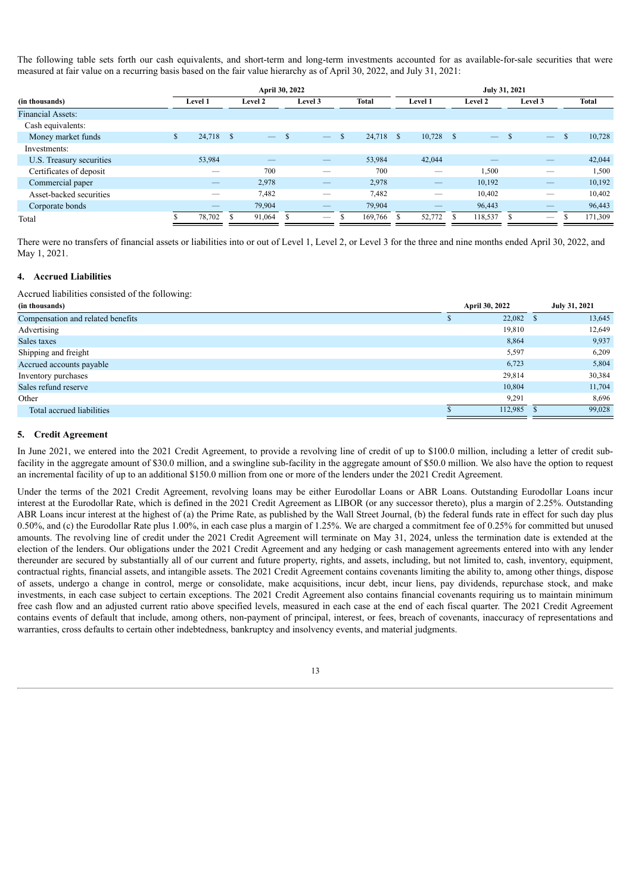The following table sets forth our cash equivalents, and short-term and long-term investments accounted for as available-for-sale securities that were measured at fair value on a recurring basis based on the fair value hierarchy as of April 30, 2022, and July 31, 2021:

|                          | April 30, 2022 |           |  |                          |  |                          |   |              |  | July 31, 2021 |         |                          |         |                          |  |         |  |
|--------------------------|----------------|-----------|--|--------------------------|--|--------------------------|---|--------------|--|---------------|---------|--------------------------|---------|--------------------------|--|---------|--|
| (in thousands)           | Level 1        |           |  | Level 2                  |  | Level 3                  |   | <b>Total</b> |  | Level 1       | Level 2 |                          | Level 3 |                          |  | Total   |  |
| Financial Assets:        |                |           |  |                          |  |                          |   |              |  |               |         |                          |         |                          |  |         |  |
| Cash equivalents:        |                |           |  |                          |  |                          |   |              |  |               |         |                          |         |                          |  |         |  |
| Money market funds       | D.             | 24,718 \$ |  | $\overline{\phantom{a}}$ |  | $\overline{\phantom{m}}$ | S | 24.718 \$    |  | $10,728$ \$   |         | $\overline{\phantom{m}}$ |         | $\overline{\phantom{m}}$ |  | 10,728  |  |
| Investments:             |                |           |  |                          |  |                          |   |              |  |               |         |                          |         |                          |  |         |  |
| U.S. Treasury securities |                | 53,984    |  |                          |  |                          |   | 53,984       |  | 42,044        |         |                          |         |                          |  | 42,044  |  |
| Certificates of deposit  |                |           |  | 700                      |  |                          |   | 700          |  | __            |         | 1,500                    |         |                          |  | 1,500   |  |
| Commercial paper         |                |           |  | 2,978                    |  |                          |   | 2,978        |  |               |         | 10,192                   |         |                          |  | 10,192  |  |
| Asset-backed securities  |                |           |  | 7,482                    |  | __                       |   | 7,482        |  | __            |         | 10,402                   |         |                          |  | 10,402  |  |
| Corporate bonds          |                | __        |  | 79,904                   |  |                          |   | 79,904       |  |               |         | 96,443                   |         |                          |  | 96,443  |  |
| Total                    |                | 78,702    |  | 91,064                   |  |                          |   | 169,766      |  | 52,772        |         | 118,537                  |         | $\overline{\phantom{0}}$ |  | 171,309 |  |

There were no transfers of financial assets or liabilities into or out of Level 1, Level 2, or Level 3 for the three and nine months ended April 30, 2022, and May 1, 2021.

# **4. Accrued Liabilities**

Accrued liabilities consisted of the following:

| (in thousands)                    | April 30, 2022 | July 31, 2021 |
|-----------------------------------|----------------|---------------|
| Compensation and related benefits | 22,082         | 13,645        |
| Advertising                       | 19,810         | 12,649        |
| Sales taxes                       | 8,864          | 9,937         |
| Shipping and freight              | 5,597          | 6,209         |
| Accrued accounts payable          | 6,723          | 5,804         |
| Inventory purchases               | 29,814         | 30,384        |
| Sales refund reserve              | 10,804         | 11,704        |
| Other                             | 9.291          | 8,696         |
| Total accrued liabilities         | 112,985        | 99,028        |

# **5. Credit Agreement**

In June 2021, we entered into the 2021 Credit Agreement, to provide a revolving line of credit of up to \$100.0 million, including a letter of credit subfacility in the aggregate amount of \$30.0 million, and a swingline sub-facility in the aggregate amount of \$50.0 million. We also have the option to request an incremental facility of up to an additional \$150.0 million from one or more of the lenders under the 2021 Credit Agreement.

Under the terms of the 2021 Credit Agreement, revolving loans may be either Eurodollar Loans or ABR Loans. Outstanding Eurodollar Loans incur interest at the Eurodollar Rate, which is defined in the 2021 Credit Agreement as LIBOR (or any successor thereto), plus a margin of 2.25%. Outstanding ABR Loans incur interest at the highest of (a) the Prime Rate, as published by the Wall Street Journal, (b) the federal funds rate in effect for such day plus 0.50%, and (c) the Eurodollar Rate plus 1.00%, in each case plus a margin of 1.25%. We are charged a commitment fee of 0.25% for committed but unused amounts. The revolving line of credit under the 2021 Credit Agreement will terminate on May 31, 2024, unless the termination date is extended at the election of the lenders. Our obligations under the 2021 Credit Agreement and any hedging or cash management agreements entered into with any lender thereunder are secured by substantially all of our current and future property, rights, and assets, including, but not limited to, cash, inventory, equipment, contractual rights, financial assets, and intangible assets. The 2021 Credit Agreement contains covenants limiting the ability to, among other things, dispose of assets, undergo a change in control, merge or consolidate, make acquisitions, incur debt, incur liens, pay dividends, repurchase stock, and make investments, in each case subject to certain exceptions. The 2021 Credit Agreement also contains financial covenants requiring us to maintain minimum free cash flow and an adjusted current ratio above specified levels, measured in each case at the end of each fiscal quarter. The 2021 Credit Agreement contains events of default that include, among others, non-payment of principal, interest, or fees, breach of covenants, inaccuracy of representations and warranties, cross defaults to certain other indebtedness, bankruptcy and insolvency events, and material judgments.

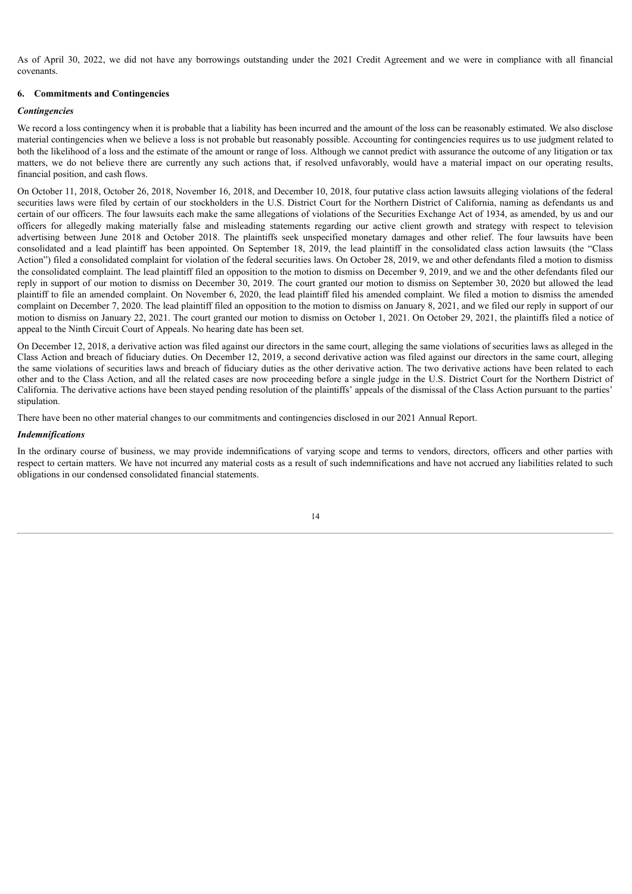As of April 30, 2022, we did not have any borrowings outstanding under the 2021 Credit Agreement and we were in compliance with all financial covenants.

#### **6. Commitments and Contingencies**

#### *Contingencies*

We record a loss contingency when it is probable that a liability has been incurred and the amount of the loss can be reasonably estimated. We also disclose material contingencies when we believe a loss is not probable but reasonably possible. Accounting for contingencies requires us to use judgment related to both the likelihood of a loss and the estimate of the amount or range of loss. Although we cannot predict with assurance the outcome of any litigation or tax matters, we do not believe there are currently any such actions that, if resolved unfavorably, would have a material impact on our operating results, financial position, and cash flows.

On October 11, 2018, October 26, 2018, November 16, 2018, and December 10, 2018, four putative class action lawsuits alleging violations of the federal securities laws were filed by certain of our stockholders in the U.S. District Court for the Northern District of California, naming as defendants us and certain of our officers. The four lawsuits each make the same allegations of violations of the Securities Exchange Act of 1934, as amended, by us and our officers for allegedly making materially false and misleading statements regarding our active client growth and strategy with respect to television advertising between June 2018 and October 2018. The plaintiffs seek unspecified monetary damages and other relief. The four lawsuits have been consolidated and a lead plaintiff has been appointed. On September 18, 2019, the lead plaintiff in the consolidated class action lawsuits (the "Class Action") filed a consolidated complaint for violation of the federal securities laws. On October 28, 2019, we and other defendants filed a motion to dismiss the consolidated complaint. The lead plaintiff filed an opposition to the motion to dismiss on December 9, 2019, and we and the other defendants filed our reply in support of our motion to dismiss on December 30, 2019. The court granted our motion to dismiss on September 30, 2020 but allowed the lead plaintiff to file an amended complaint. On November 6, 2020, the lead plaintiff filed his amended complaint. We filed a motion to dismiss the amended complaint on December 7, 2020. The lead plaintiff filed an opposition to the motion to dismiss on January 8, 2021, and we filed our reply in support of our motion to dismiss on January 22, 2021. The court granted our motion to dismiss on October 1, 2021. On October 29, 2021, the plaintiffs filed a notice of appeal to the Ninth Circuit Court of Appeals. No hearing date has been set.

On December 12, 2018, a derivative action was filed against our directors in the same court, alleging the same violations of securities laws as alleged in the Class Action and breach of fiduciary duties. On December 12, 2019, a second derivative action was filed against our directors in the same court, alleging the same violations of securities laws and breach of fiduciary duties as the other derivative action. The two derivative actions have been related to each other and to the Class Action, and all the related cases are now proceeding before a single judge in the U.S. District Court for the Northern District of California. The derivative actions have been stayed pending resolution of the plaintiffs' appeals of the dismissal of the Class Action pursuant to the parties' stipulation.

There have been no other material changes to our commitments and contingencies disclosed in our 2021 Annual Report.

#### *Indemnifications*

In the ordinary course of business, we may provide indemnifications of varying scope and terms to vendors, directors, officers and other parties with respect to certain matters. We have not incurred any material costs as a result of such indemnifications and have not accrued any liabilities related to such obligations in our condensed consolidated financial statements.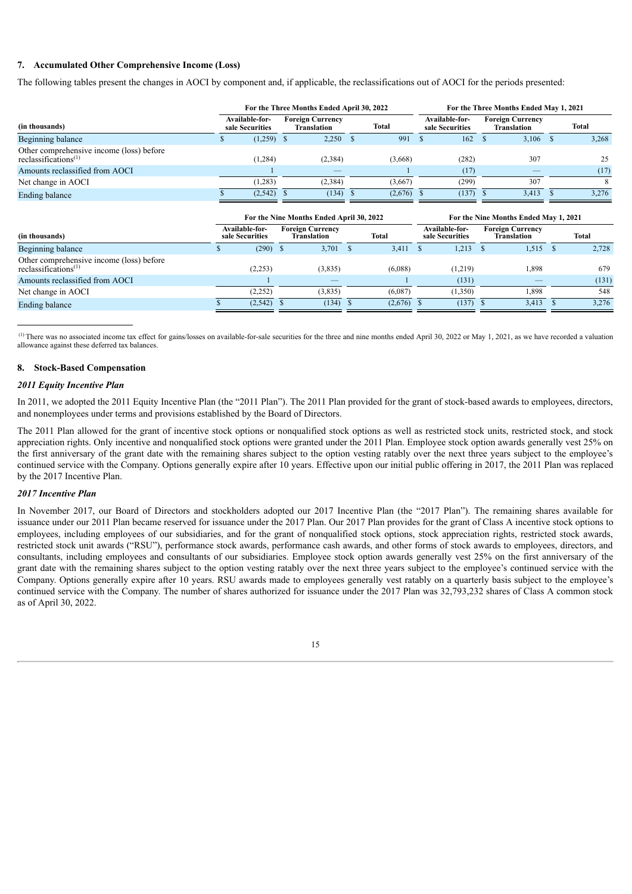# **7. Accumulated Other Comprehensive Income (Loss)**

The following tables present the changes in AOCI by component and, if applicable, the reclassifications out of AOCI for the periods presented:

|          |                                          |                    | For the Three Months Ended May 1, 2021 |         |                                                         |              |                                   |             |                         |              |
|----------|------------------------------------------|--------------------|----------------------------------------|---------|---------------------------------------------------------|--------------|-----------------------------------|-------------|-------------------------|--------------|
|          |                                          | <b>Translation</b> |                                        | Total   |                                                         |              |                                   | Translation |                         | <b>Total</b> |
|          |                                          | 2,250              |                                        | 991     |                                                         | 162          |                                   | 3.106       |                         | 3,268        |
| (1, 284) |                                          | (2, 384)           |                                        | (3,668) |                                                         | (282)        |                                   | 307         |                         | 25           |
|          |                                          |                    |                                        |         |                                                         | (17)         |                                   |             |                         | (17)         |
| (1, 283) |                                          | (2, 384)           |                                        | (3,667) |                                                         | (299)        |                                   | 307         |                         |              |
| (2,542)  |                                          |                    |                                        |         |                                                         |              |                                   | 3.413       |                         | 3,276        |
|          | <b>Available-for-</b><br>sale Securities | $(1,259)$ \$       | <b>Foreign Currency</b>                |         | For the Three Months Ended April 30, 2022<br>$(134)$ \$ | $(2,676)$ \$ | Available-for-<br>sale Securities | $(137)$ \$  | <b>Foreign Currency</b> |              |

| Total |
|-------|
| 2,728 |
| 679   |
| (131) |
| 548   |
| 3,276 |
|       |

 $(1)$  There was no associated income tax effect for gains/losses on available-for-sale securities for the three and nine months ended April 30, 2022 or May 1, 2021, as we have recorded a valuation allowance against these deferred tax balances.

# **8. Stock-Based Compensation**

# *2011 Equity Incentive Plan*

In 2011, we adopted the 2011 Equity Incentive Plan (the "2011 Plan"). The 2011 Plan provided for the grant of stock-based awards to employees, directors, and nonemployees under terms and provisions established by the Board of Directors.

The 2011 Plan allowed for the grant of incentive stock options or nonqualified stock options as well as restricted stock units, restricted stock, and stock appreciation rights. Only incentive and nonqualified stock options were granted under the 2011 Plan. Employee stock option awards generally vest 25% on the first anniversary of the grant date with the remaining shares subject to the option vesting ratably over the next three years subject to the employee's continued service with the Company. Options generally expire after 10 years. Effective upon our initial public offering in 2017, the 2011 Plan was replaced by the 2017 Incentive Plan.

# *2017 Incentive Plan*

In November 2017, our Board of Directors and stockholders adopted our 2017 Incentive Plan (the "2017 Plan"). The remaining shares available for issuance under our 2011 Plan became reserved for issuance under the 2017 Plan. Our 2017 Plan provides for the grant of Class A incentive stock options to employees, including employees of our subsidiaries, and for the grant of nonqualified stock options, stock appreciation rights, restricted stock awards, restricted stock unit awards ("RSU"), performance stock awards, performance cash awards, and other forms of stock awards to employees, directors, and consultants, including employees and consultants of our subsidiaries. Employee stock option awards generally vest 25% on the first anniversary of the grant date with the remaining shares subject to the option vesting ratably over the next three years subject to the employee's continued service with the Company. Options generally expire after 10 years. RSU awards made to employees generally vest ratably on a quarterly basis subject to the employee's continued service with the Company. The number of shares authorized for issuance under the 2017 Plan was 32,793,232 shares of Class A common stock as of April 30, 2022.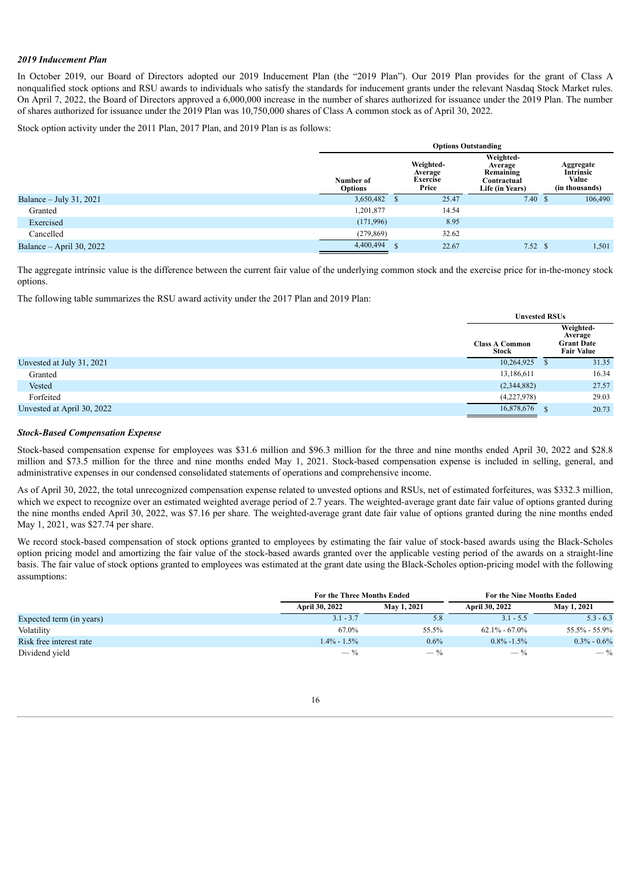# *2019 Inducement Plan*

In October 2019, our Board of Directors adopted our 2019 Inducement Plan (the "2019 Plan"). Our 2019 Plan provides for the grant of Class A nonqualified stock options and RSU awards to individuals who satisfy the standards for inducement grants under the relevant Nasdaq Stock Market rules. On April 7, 2022, the Board of Directors approved a 6,000,000 increase in the number of shares authorized for issuance under the 2019 Plan. The number of shares authorized for issuance under the 2019 Plan was 10,750,000 shares of Class A common stock as of April 30, 2022.

Stock option activity under the 2011 Plan, 2017 Plan, and 2019 Plan is as follows:

|                            |                             | <b>Options Outstanding</b> |                                           |                                                                     |  |                                                          |  |  |  |  |  |  |
|----------------------------|-----------------------------|----------------------------|-------------------------------------------|---------------------------------------------------------------------|--|----------------------------------------------------------|--|--|--|--|--|--|
|                            | Number of<br><b>Options</b> |                            | Weighted-<br>Average<br>Exercise<br>Price | Weighted-<br>Average<br>Remaining<br>Contractual<br>Life (in Years) |  | Aggregate<br><b>Intrinsic</b><br>Value<br>(in thousands) |  |  |  |  |  |  |
| Balance $-$ July 31, 2021  | 3,650,482                   |                            | 25.47                                     | 7.40 S                                                              |  | 106,490                                                  |  |  |  |  |  |  |
| Granted                    | 1,201,877                   |                            | 14.54                                     |                                                                     |  |                                                          |  |  |  |  |  |  |
| Exercised                  | (171,996)                   |                            | 8.95                                      |                                                                     |  |                                                          |  |  |  |  |  |  |
| Cancelled                  | (279, 869)                  |                            | 32.62                                     |                                                                     |  |                                                          |  |  |  |  |  |  |
| Balance $-$ April 30, 2022 | 4,400,494                   |                            | 22.67                                     | 7.52                                                                |  | 1,501                                                    |  |  |  |  |  |  |

The aggregate intrinsic value is the difference between the current fair value of the underlying common stock and the exercise price for in-the-money stock options.

The following table summarizes the RSU award activity under the 2017 Plan and 2019 Plan:

|                            |                                | <b>Unvested RSUs</b> |                                                                |  |  |
|----------------------------|--------------------------------|----------------------|----------------------------------------------------------------|--|--|
|                            | <b>Class A Common</b><br>Stock |                      | Weighted-<br>Average<br><b>Grant Date</b><br><b>Fair Value</b> |  |  |
| Unvested at July 31, 2021  | 10,264,925                     |                      | 31.35                                                          |  |  |
| Granted                    | 13,186,611                     |                      | 16.34                                                          |  |  |
| Vested                     | (2,344,882)                    |                      | 27.57                                                          |  |  |
| Forfeited                  | (4,227,978)                    |                      | 29.03                                                          |  |  |
| Unvested at April 30, 2022 | 16,878,676                     |                      | 20.73                                                          |  |  |

#### *Stock-Based Compensation Expense*

Stock-based compensation expense for employees was \$31.6 million and \$96.3 million for the three and nine months ended April 30, 2022 and \$28.8 million and \$73.5 million for the three and nine months ended May 1, 2021. Stock-based compensation expense is included in selling, general, and administrative expenses in our condensed consolidated statements of operations and comprehensive income.

As of April 30, 2022, the total unrecognized compensation expense related to unvested options and RSUs, net of estimated forfeitures, was \$332.3 million, which we expect to recognize over an estimated weighted average period of 2.7 years. The weighted-average grant date fair value of options granted during the nine months ended April 30, 2022, was \$7.16 per share. The weighted-average grant date fair value of options granted during the nine months ended May 1, 2021, was \$27.74 per share.

We record stock-based compensation of stock options granted to employees by estimating the fair value of stock-based awards using the Black-Scholes option pricing model and amortizing the fair value of the stock-based awards granted over the applicable vesting period of the awards on a straight-line basis. The fair value of stock options granted to employees was estimated at the grant date using the Black-Scholes option-pricing model with the following assumptions:

|                          | <b>For the Three Months Ended</b> |             | For the Nine Months Ended |                   |  |  |
|--------------------------|-----------------------------------|-------------|---------------------------|-------------------|--|--|
|                          | <b>April 30, 2022</b>             | May 1, 2021 | April 30, 2022            | May 1, 2021       |  |  |
| Expected term (in years) | $3.1 - 3.7$                       | 5.8         | $3.1 - 5.5$               | $5.3 - 6.3$       |  |  |
| Volatility               | 67.0%                             | 55.5%       | $62.1\% - 67.0\%$         | $55.5\% - 55.9\%$ |  |  |
| Risk free interest rate  | $1.4\% - 1.5\%$                   | 0.6%        | $0.8\% - 1.5\%$           | $0.3\% - 0.6\%$   |  |  |
| Dividend yield           | $-$ %                             | $-$ %       | $-$ %                     | $-$ %             |  |  |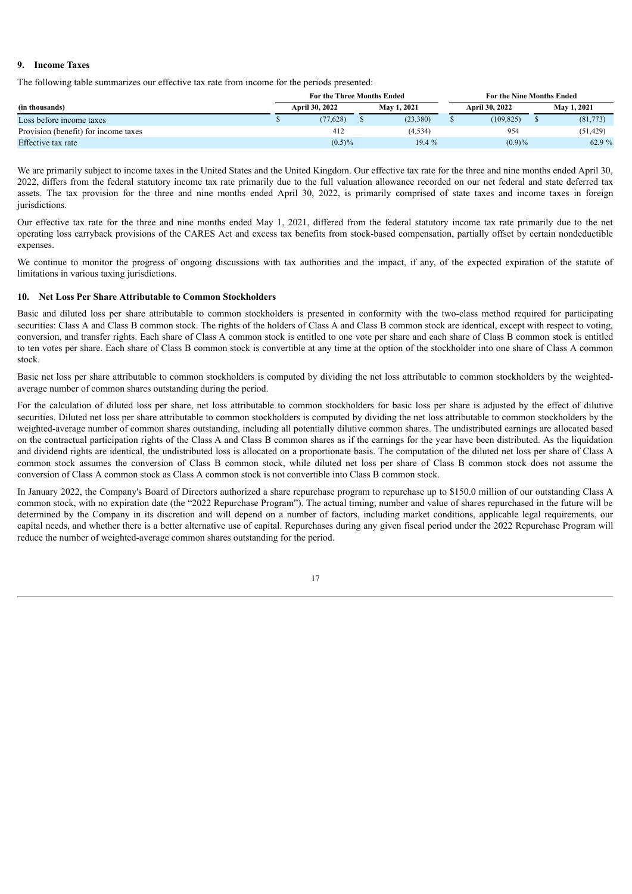# **9. Income Taxes**

The following table summarizes our effective tax rate from income for the periods presented:

|                                      |  | <b>For the Three Months Ended</b> |             | For the Nine Months Ended |  |                    |  |  |  |
|--------------------------------------|--|-----------------------------------|-------------|---------------------------|--|--------------------|--|--|--|
| (in thousands)                       |  | April 30, 2022                    | May 1, 2021 | April 30, 2022            |  | <b>May 1, 2021</b> |  |  |  |
| Loss before income taxes             |  | (77.628)                          | (23,380)    | (109, 825)                |  | (81,773)           |  |  |  |
| Provision (benefit) for income taxes |  | 412                               | (4, 534)    | 954                       |  | (51, 429)          |  |  |  |
| Effective tax rate                   |  | $(0.5)\%$                         | 19.4%       | $(0.9)\%$                 |  | 62.9 %             |  |  |  |

We are primarily subject to income taxes in the United States and the United Kingdom. Our effective tax rate for the three and nine months ended April 30, 2022, differs from the federal statutory income tax rate primarily due to the full valuation allowance recorded on our net federal and state deferred tax assets. The tax provision for the three and nine months ended April 30, 2022, is primarily comprised of state taxes and income taxes in foreign jurisdictions.

Our effective tax rate for the three and nine months ended May 1, 2021, differed from the federal statutory income tax rate primarily due to the net operating loss carryback provisions of the CARES Act and excess tax benefits from stock-based compensation, partially offset by certain nondeductible expenses.

We continue to monitor the progress of ongoing discussions with tax authorities and the impact, if any, of the expected expiration of the statute of limitations in various taxing jurisdictions.

# **10. Net Loss Per Share Attributable to Common Stockholders**

Basic and diluted loss per share attributable to common stockholders is presented in conformity with the two-class method required for participating securities: Class A and Class B common stock. The rights of the holders of Class A and Class B common stock are identical, except with respect to voting, conversion, and transfer rights. Each share of Class A common stock is entitled to one vote per share and each share of Class B common stock is entitled to ten votes per share. Each share of Class B common stock is convertible at any time at the option of the stockholder into one share of Class A common stock.

Basic net loss per share attributable to common stockholders is computed by dividing the net loss attributable to common stockholders by the weightedaverage number of common shares outstanding during the period.

For the calculation of diluted loss per share, net loss attributable to common stockholders for basic loss per share is adjusted by the effect of dilutive securities. Diluted net loss per share attributable to common stockholders is computed by dividing the net loss attributable to common stockholders by the weighted-average number of common shares outstanding, including all potentially dilutive common shares. The undistributed earnings are allocated based on the contractual participation rights of the Class A and Class B common shares as if the earnings for the year have been distributed. As the liquidation and dividend rights are identical, the undistributed loss is allocated on a proportionate basis. The computation of the diluted net loss per share of Class A common stock assumes the conversion of Class B common stock, while diluted net loss per share of Class B common stock does not assume the conversion of Class A common stock as Class A common stock is not convertible into Class B common stock.

In January 2022, the Company's Board of Directors authorized a share repurchase program to repurchase up to \$150.0 million of our outstanding Class A common stock, with no expiration date (the "2022 Repurchase Program"). The actual timing, number and value of shares repurchased in the future will be determined by the Company in its discretion and will depend on a number of factors, including market conditions, applicable legal requirements, our capital needs, and whether there is a better alternative use of capital. Repurchases during any given fiscal period under the 2022 Repurchase Program will reduce the number of weighted-average common shares outstanding for the period.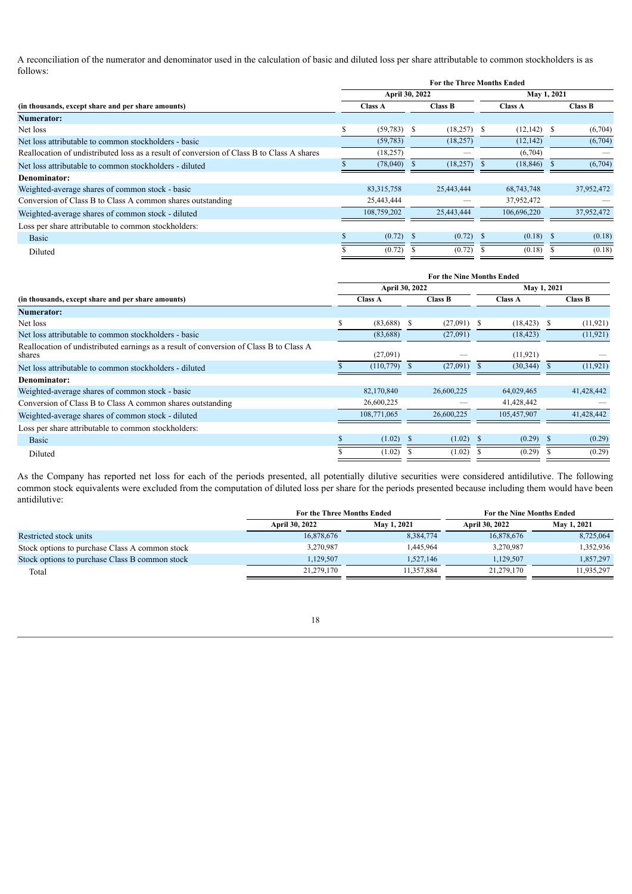A reconciliation of the numerator and denominator used in the calculation of basic and diluted loss per share attributable to common stockholders is as follows:

|                                                                                           |                |                | <b>For the Three Months Ended</b> |                |  |                |  |  |  |  |
|-------------------------------------------------------------------------------------------|----------------|----------------|-----------------------------------|----------------|--|----------------|--|--|--|--|
|                                                                                           | April 30, 2022 |                | May 1, 2021                       |                |  |                |  |  |  |  |
| (in thousands, except share and per share amounts)                                        | <b>Class A</b> | <b>Class B</b> |                                   | <b>Class A</b> |  | <b>Class B</b> |  |  |  |  |
| Numerator:                                                                                |                |                |                                   |                |  |                |  |  |  |  |
| Net loss                                                                                  | $(59,783)$ \$  | $(18,257)$ \$  |                                   | $(12, 142)$ \$ |  | (6,704)        |  |  |  |  |
| Net loss attributable to common stockholders - basic                                      | (59, 783)      | (18, 257)      |                                   | (12, 142)      |  | (6,704)        |  |  |  |  |
| Reallocation of undistributed loss as a result of conversion of Class B to Class A shares | (18, 257)      |                |                                   | (6,704)        |  |                |  |  |  |  |
| Net loss attributable to common stockholders - diluted                                    | (78,040)       | (18,257)       |                                   | (18, 846)      |  | (6,704)        |  |  |  |  |
| Denominator:                                                                              |                |                |                                   |                |  |                |  |  |  |  |
| Weighted-average shares of common stock - basic                                           | 83, 315, 758   | 25,443,444     |                                   | 68,743,748     |  | 37,952,472     |  |  |  |  |
| Conversion of Class B to Class A common shares outstanding                                | 25,443,444     |                |                                   | 37,952,472     |  |                |  |  |  |  |
| Weighted-average shares of common stock - diluted                                         | 108,759,202    | 25,443,444     |                                   | 106,696,220    |  | 37,952,472     |  |  |  |  |
| Loss per share attributable to common stockholders:                                       |                |                |                                   |                |  |                |  |  |  |  |
| <b>Basic</b>                                                                              | (0.72)         | $(0.72)$ \$    |                                   | $(0.18)$ \$    |  | (0.18)         |  |  |  |  |
| Diluted                                                                                   | (0.72)         | (0.72)         |                                   | (0.18)         |  | (0.18)         |  |  |  |  |

|                                                                                                  | <b>For the Nine Months Ended</b> |                 |                |            |     |                |             |                |  |  |  |  |
|--------------------------------------------------------------------------------------------------|----------------------------------|-----------------|----------------|------------|-----|----------------|-------------|----------------|--|--|--|--|
|                                                                                                  |                                  | April 30, 2022  |                |            |     |                | May 1, 2021 |                |  |  |  |  |
| (in thousands, except share and per share amounts)                                               |                                  | <b>Class A</b>  | <b>Class B</b> |            |     | <b>Class A</b> |             | <b>Class B</b> |  |  |  |  |
| <b>Numerator:</b>                                                                                |                                  |                 |                |            |     |                |             |                |  |  |  |  |
| Net loss                                                                                         |                                  | $(83,688)$ \$   |                | (27,091)   | -S  | (18, 423)      | -S          | (11, 921)      |  |  |  |  |
| Net loss attributable to common stockholders - basic                                             |                                  | (83,688)        |                | (27,091)   |     | (18, 423)      |             | (11, 921)      |  |  |  |  |
| Reallocation of undistributed earnings as a result of conversion of Class B to Class A<br>shares |                                  | (27,091)        |                |            |     | (11, 921)      |             |                |  |  |  |  |
| Net loss attributable to common stockholders - diluted                                           |                                  | $(110, 779)$ \$ |                | (27,091)   |     | (30, 344)      |             | (11, 921)      |  |  |  |  |
| Denominator:                                                                                     |                                  |                 |                |            |     |                |             |                |  |  |  |  |
| Weighted-average shares of common stock - basic                                                  |                                  | 82,170,840      |                | 26,600,225 |     | 64,029,465     |             | 41,428,442     |  |  |  |  |
| Conversion of Class B to Class A common shares outstanding                                       |                                  | 26,600,225      |                |            |     | 41,428,442     |             |                |  |  |  |  |
| Weighted-average shares of common stock - diluted                                                |                                  | 108,771,065     |                | 26,600,225 |     | 105,457,907    |             | 41,428,442     |  |  |  |  |
| Loss per share attributable to common stockholders:                                              |                                  |                 |                |            |     |                |             |                |  |  |  |  |
| <b>Basic</b>                                                                                     |                                  | (1.02)          |                | (1.02)     | -\$ | $(0.29)$ \$    |             | (0.29)         |  |  |  |  |
| Diluted                                                                                          |                                  | (1.02)          |                | (1.02)     |     | (0.29)         |             | (0.29)         |  |  |  |  |

As the Company has reported net loss for each of the periods presented, all potentially dilutive securities were considered antidilutive. The following common stock equivalents were excluded from the computation of diluted loss per share for the periods presented because including them would have been antidilutive:

|                                                | For the Three Months Ended |                    | <b>For the Nine Months Ended</b> |             |  |
|------------------------------------------------|----------------------------|--------------------|----------------------------------|-------------|--|
|                                                | April 30, 2022             | <b>May 1, 2021</b> | April 30, 2022                   | May 1, 2021 |  |
| Restricted stock units                         | 16,878,676                 | 8,384,774          | 16,878,676                       | 8,725,064   |  |
| Stock options to purchase Class A common stock | 3,270,987                  | 1,445,964          | 3,270,987                        | 1,352,936   |  |
| Stock options to purchase Class B common stock | 1.129.507                  | 1.527.146          | 1.129.507                        | 1,857,297   |  |
| Total                                          | 21,279,170                 | 11,357,884         | 21,279,170                       | 1,935,297   |  |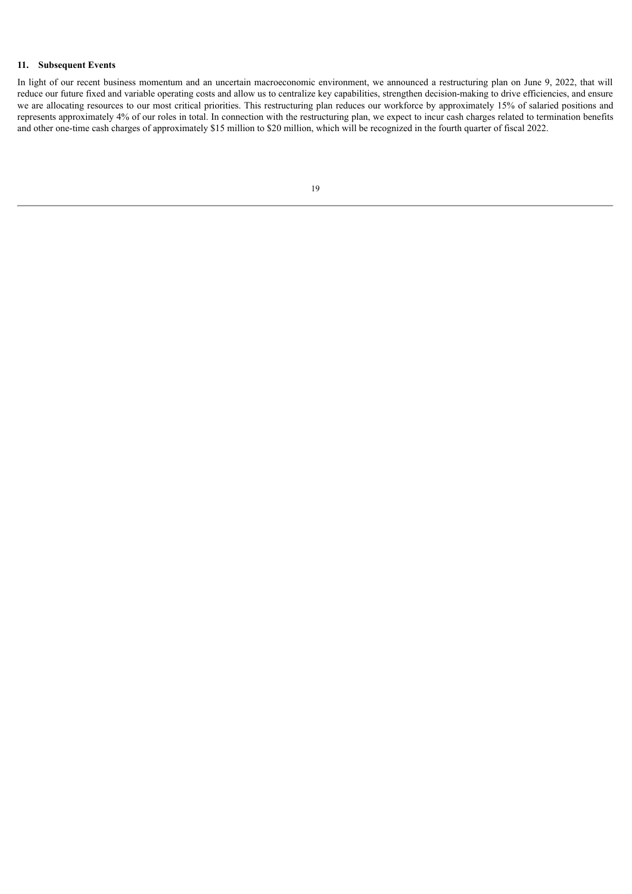# **11. Subsequent Events**

<span id="page-18-0"></span>In light of our recent business momentum and an uncertain macroeconomic environment, we announced a restructuring plan on June 9, 2022, that will reduce our future fixed and variable operating costs and allow us to centralize key capabilities, strengthen decision-making to drive efficiencies, and ensure we are allocating resources to our most critical priorities. This restructuring plan reduces our workforce by approximately 15% of salaried positions and represents approximately 4% of our roles in total. In connection with the restructuring plan, we expect to incur cash charges related to termination benefits and other one-time cash charges of approximately \$15 million to \$20 million, which will be recognized in the fourth quarter of fiscal 2022.

| I |                       |
|---|-----------------------|
|   | I<br>I<br>I<br>I<br>٧ |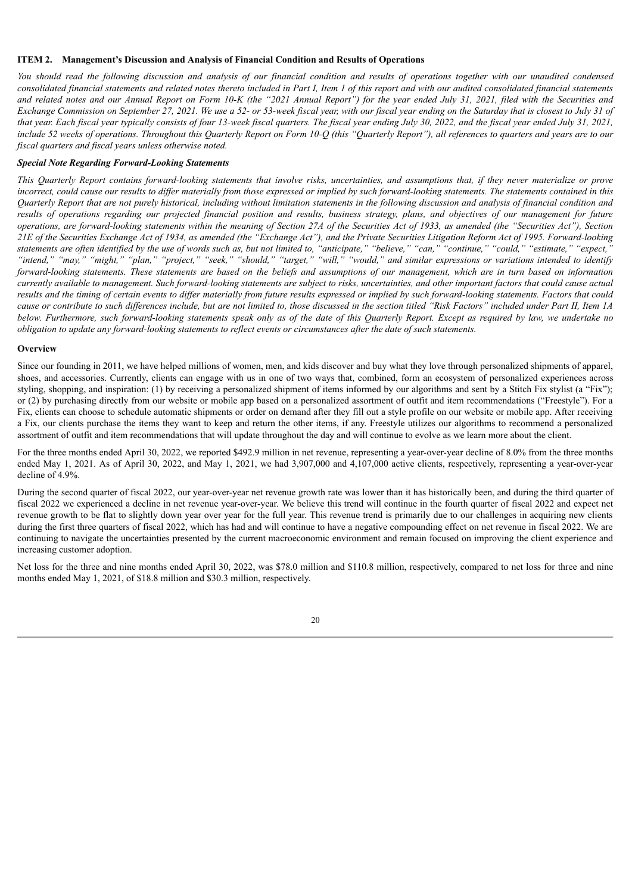#### **ITEM 2. Management's Discussion and Analysis of Financial Condition and Results of Operations**

You should read the following discussion and analysis of our financial condition and results of operations together with our unaudited condensed consolidated financial statements and related notes thereto included in Part I, Item 1 of this report and with our audited consolidated financial statements and related notes and our Annual Report on Form 10-K (the "2021 Annual Report") for the year ended July 31, 2021, filed with the Securities and Exchange Commission on September 27, 2021. We use a 52- or 53-week fiscal year, with our fiscal year ending on the Saturday that is closest to July 31 of that year. Each fiscal year typically consists of four 13-week fiscal quarters. The fiscal year ending July 30, 2022, and the fiscal year ended July 31, 2021, include 52 weeks of operations. Throughout this Quarterly Report on Form 10-Q (this "Quarterly Report"), all references to quarters and years are to our *fiscal quarters and fiscal years unless otherwise noted.*

# *Special Note Regarding Forward-Looking Statements*

This Quarterly Report contains forward-looking statements that involve risks, uncertainties, and assumptions that, if they never materialize or prove incorrect, could cause our results to differ materially from those expressed or implied by such forward-looking statements. The statements contained in this Quarterly Report that are not purely historical, including without limitation statements in the following discussion and analysis of financial condition and results of operations regarding our projected financial position and results, business strategy, plans, and objectives of our management for future operations, are forward-looking statements within the meaning of Section 27A of the Securities Act of 1933, as amended (the "Securities Act"), Section 21E of the Securities Exchange Act of 1934, as amended (the "Exchange Act"), and the Private Securities Litigation Reform Act of 1995. Forward-looking statements are often identified by the use of words such as, but not limited to, "anticipate," "believe," "can," "continue," "could," "estimate," "expect, "intend," "may," "might," "plan," "project," "seek," "should," "target," "will," "would," and similar expressions or variations intended to identify forward-looking statements. These statements are based on the beliefs and assumptions of our management, which are in turn based on information currently available to management. Such forward-looking statements are subject to risks, uncertainties, and other important factors that could cause actual results and the timing of certain events to differ materially from future results expressed or implied by such forward-looking statements. Factors that could cause or contribute to such differences include, but are not limited to, those discussed in the section titled "Risk Factors" included under Part II, Item 1A below. Furthermore, such forward-looking statements speak only as of the date of this Quarterly Report. Except as required by law, we undertake no obligation to update any forward-looking statements to reflect events or circumstances after the date of such statements.

# **Overview**

Since our founding in 2011, we have helped millions of women, men, and kids discover and buy what they love through personalized shipments of apparel, shoes, and accessories. Currently, clients can engage with us in one of two ways that, combined, form an ecosystem of personalized experiences across styling, shopping, and inspiration: (1) by receiving a personalized shipment of items informed by our algorithms and sent by a Stitch Fix stylist (a "Fix"); or (2) by purchasing directly from our website or mobile app based on a personalized assortment of outfit and item recommendations ("Freestyle"). For a Fix, clients can choose to schedule automatic shipments or order on demand after they fill out a style profile on our website or mobile app. After receiving a Fix, our clients purchase the items they want to keep and return the other items, if any. Freestyle utilizes our algorithms to recommend a personalized assortment of outfit and item recommendations that will update throughout the day and will continue to evolve as we learn more about the client.

For the three months ended April 30, 2022, we reported \$492.9 million in net revenue, representing a year-over-year decline of 8.0% from the three months ended May 1, 2021. As of April 30, 2022, and May 1, 2021, we had 3,907,000 and 4,107,000 active clients, respectively, representing a year-over-year decline of 4.9%.

During the second quarter of fiscal 2022, our year-over-year net revenue growth rate was lower than it has historically been, and during the third quarter of fiscal 2022 we experienced a decline in net revenue year-over-year. We believe this trend will continue in the fourth quarter of fiscal 2022 and expect net revenue growth to be flat to slightly down year over year for the full year. This revenue trend is primarily due to our challenges in acquiring new clients during the first three quarters of fiscal 2022, which has had and will continue to have a negative compounding effect on net revenue in fiscal 2022. We are continuing to navigate the uncertainties presented by the current macroeconomic environment and remain focused on improving the client experience and increasing customer adoption.

Net loss for the three and nine months ended April 30, 2022, was \$78.0 million and \$110.8 million, respectively, compared to net loss for three and nine months ended May 1, 2021, of \$18.8 million and \$30.3 million, respectively.

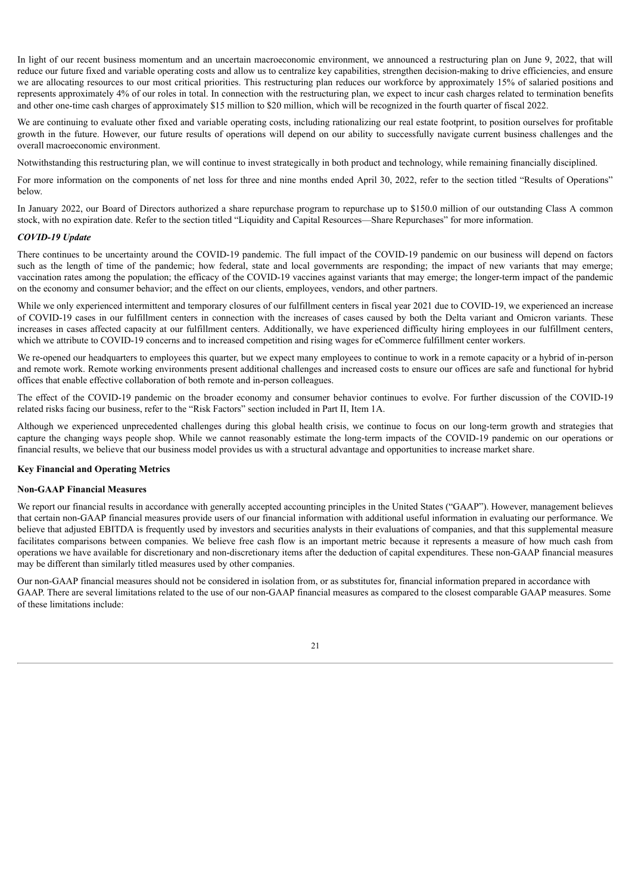In light of our recent business momentum and an uncertain macroeconomic environment, we announced a restructuring plan on June 9, 2022, that will reduce our future fixed and variable operating costs and allow us to centralize key capabilities, strengthen decision-making to drive efficiencies, and ensure we are allocating resources to our most critical priorities. This restructuring plan reduces our workforce by approximately 15% of salaried positions and represents approximately 4% of our roles in total. In connection with the restructuring plan, we expect to incur cash charges related to termination benefits and other one-time cash charges of approximately \$15 million to \$20 million, which will be recognized in the fourth quarter of fiscal 2022.

We are continuing to evaluate other fixed and variable operating costs, including rationalizing our real estate footprint, to position ourselves for profitable growth in the future. However, our future results of operations will depend on our ability to successfully navigate current business challenges and the overall macroeconomic environment.

Notwithstanding this restructuring plan, we will continue to invest strategically in both product and technology, while remaining financially disciplined.

For more information on the components of net loss for three and nine months ended April 30, 2022, refer to the section titled "Results of Operations" below.

In January 2022, our Board of Directors authorized a share repurchase program to repurchase up to \$150.0 million of our outstanding Class A common stock, with no expiration date. Refer to the section titled "Liquidity and Capital Resources—Share Repurchases" for more information.

#### *COVID-19 Update*

There continues to be uncertainty around the COVID-19 pandemic. The full impact of the COVID-19 pandemic on our business will depend on factors such as the length of time of the pandemic; how federal, state and local governments are responding; the impact of new variants that may emerge; vaccination rates among the population; the efficacy of the COVID-19 vaccines against variants that may emerge; the longer-term impact of the pandemic on the economy and consumer behavior; and the effect on our clients, employees, vendors, and other partners.

While we only experienced intermittent and temporary closures of our fulfillment centers in fiscal year 2021 due to COVID-19, we experienced an increase of COVID-19 cases in our fulfillment centers in connection with the increases of cases caused by both the Delta variant and Omicron variants. These increases in cases affected capacity at our fulfillment centers. Additionally, we have experienced difficulty hiring employees in our fulfillment centers, which we attribute to COVID-19 concerns and to increased competition and rising wages for eCommerce fulfillment center workers.

We re-opened our headquarters to employees this quarter, but we expect many employees to continue to work in a remote capacity or a hybrid of in-person and remote work. Remote working environments present additional challenges and increased costs to ensure our offices are safe and functional for hybrid offices that enable effective collaboration of both remote and in-person colleagues.

The effect of the COVID-19 pandemic on the broader economy and consumer behavior continues to evolve. For further discussion of the COVID-19 related risks facing our business, refer to the "Risk Factors" section included in Part II, Item 1A.

Although we experienced unprecedented challenges during this global health crisis, we continue to focus on our long-term growth and strategies that capture the changing ways people shop. While we cannot reasonably estimate the long-term impacts of the COVID-19 pandemic on our operations or financial results, we believe that our business model provides us with a structural advantage and opportunities to increase market share.

# **Key Financial and Operating Metrics**

#### **Non-GAAP Financial Measures**

We report our financial results in accordance with generally accepted accounting principles in the United States ("GAAP"). However, management believes that certain non-GAAP financial measures provide users of our financial information with additional useful information in evaluating our performance. We believe that adjusted EBITDA is frequently used by investors and securities analysts in their evaluations of companies, and that this supplemental measure facilitates comparisons between companies. We believe free cash flow is an important metric because it represents a measure of how much cash from operations we have available for discretionary and non-discretionary items after the deduction of capital expenditures. These non-GAAP financial measures may be different than similarly titled measures used by other companies.

Our non-GAAP financial measures should not be considered in isolation from, or as substitutes for, financial information prepared in accordance with GAAP. There are several limitations related to the use of our non-GAAP financial measures as compared to the closest comparable GAAP measures. Some of these limitations include:

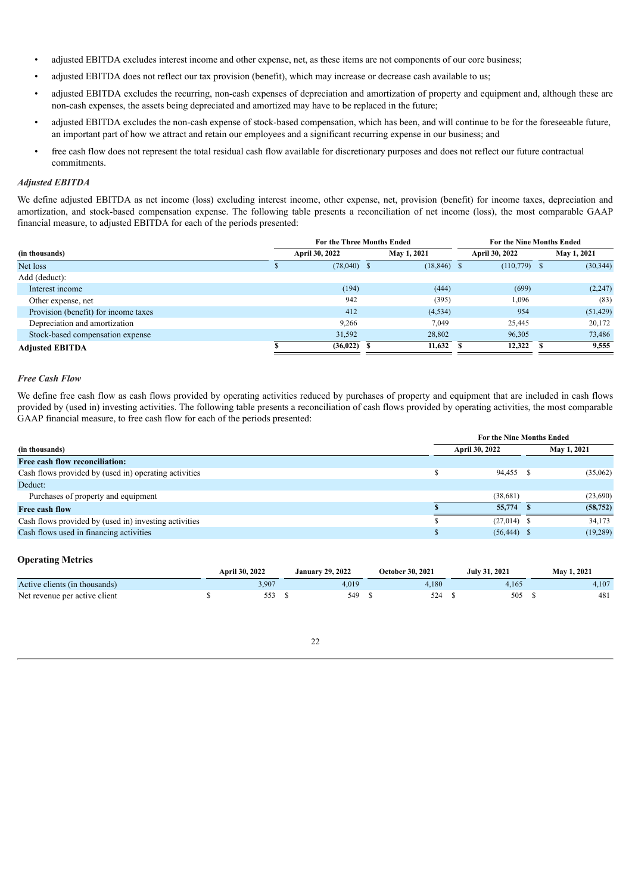- adjusted EBITDA excludes interest income and other expense, net, as these items are not components of our core business;
- adjusted EBITDA does not reflect our tax provision (benefit), which may increase or decrease cash available to us;
- adjusted EBITDA excludes the recurring, non-cash expenses of depreciation and amortization of property and equipment and, although these are non-cash expenses, the assets being depreciated and amortized may have to be replaced in the future;
- adjusted EBITDA excludes the non-cash expense of stock-based compensation, which has been, and will continue to be for the foreseeable future, an important part of how we attract and retain our employees and a significant recurring expense in our business; and
- free cash flow does not represent the total residual cash flow available for discretionary purposes and does not reflect our future contractual commitments.

# *Adjusted EBITDA*

We define adjusted EBITDA as net income (loss) excluding interest income, other expense, net, provision (benefit) for income taxes, depreciation and amortization, and stock-based compensation expense. The following table presents a reconciliation of net income (loss), the most comparable GAAP financial measure, to adjusted EBITDA for each of the periods presented:

|                                      | <b>For the Three Months Ended</b> |                       |  | For the Nine Months Ended |  |                       |  |             |
|--------------------------------------|-----------------------------------|-----------------------|--|---------------------------|--|-----------------------|--|-------------|
| (in thousands)                       |                                   | <b>April 30, 2022</b> |  | <b>May 1, 2021</b>        |  | <b>April 30, 2022</b> |  | May 1, 2021 |
| Net loss                             |                                   | $(78,040)$ \$         |  | $(18, 846)$ \$            |  | $(110,779)$ \$        |  | (30, 344)   |
| Add (deduct):                        |                                   |                       |  |                           |  |                       |  |             |
| Interest income                      |                                   | (194)                 |  | (444)                     |  | (699)                 |  | (2, 247)    |
| Other expense, net                   |                                   | 942                   |  | (395)                     |  | 1,096                 |  | (83)        |
| Provision (benefit) for income taxes |                                   | 412                   |  | (4, 534)                  |  | 954                   |  | (51, 429)   |
| Depreciation and amortization        |                                   | 9,266                 |  | 7,049                     |  | 25,445                |  | 20,172      |
| Stock-based compensation expense     |                                   | 31,592                |  | 28,802                    |  | 96,305                |  | 73,486      |
| <b>Adiusted EBITDA</b>               |                                   | (36, 022)             |  | 11.632                    |  | 12.322                |  | 9,555       |

# *Free Cash Flow*

We define free cash flow as cash flows provided by operating activities reduced by purchases of property and equipment that are included in cash flows provided by (used in) investing activities. The following table presents a reconciliation of cash flows provided by operating activities, the most comparable GAAP financial measure, to free cash flow for each of the periods presented:

|                                                       |  | <b>For the Nine Months Ended</b> |  |             |  |  |
|-------------------------------------------------------|--|----------------------------------|--|-------------|--|--|
| (in thousands)                                        |  | <b>April 30, 2022</b>            |  | May 1, 2021 |  |  |
| Free cash flow reconciliation:                        |  |                                  |  |             |  |  |
| Cash flows provided by (used in) operating activities |  | 94,455 \$                        |  | (35,062)    |  |  |
| Deduct:                                               |  |                                  |  |             |  |  |
| Purchases of property and equipment                   |  | (38,681)                         |  | (23,690)    |  |  |
| Free cash flow                                        |  | 55,774                           |  | (58, 752)   |  |  |
| Cash flows provided by (used in) investing activities |  | $(27,014)$ \$                    |  | 34,173      |  |  |
| Cash flows used in financing activities               |  | $(56, 444)$ \$                   |  | (19, 289)   |  |  |
|                                                       |  |                                  |  |             |  |  |

# **Operating Metrics**

|                               | April 30, 2022 | <b>January 29, 2022</b> | October 30, 2021 | <b>July 31, 2021</b> | May 1, 2021 |
|-------------------------------|----------------|-------------------------|------------------|----------------------|-------------|
| Active clients (in thousands) | 3,907          | 4,019                   | 4.180            |                      | 4,107       |
| Net revenue per active client |                | 549                     | 524              | 505                  | 481         |

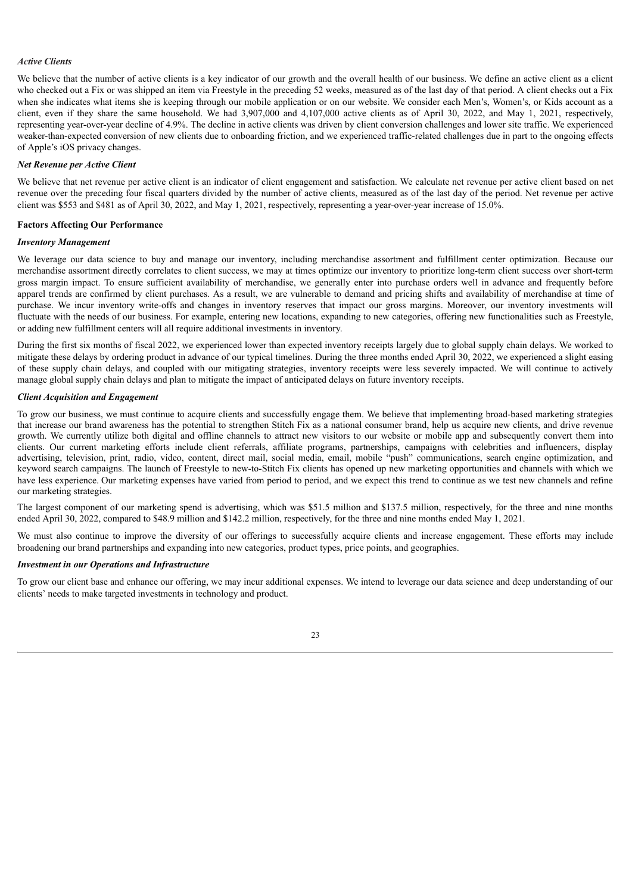# *Active Clients*

We believe that the number of active clients is a key indicator of our growth and the overall health of our business. We define an active client as a client who checked out a Fix or was shipped an item via Freestyle in the preceding 52 weeks, measured as of the last day of that period. A client checks out a Fix when she indicates what items she is keeping through our mobile application or on our website. We consider each Men's, Women's, or Kids account as a client, even if they share the same household. We had 3,907,000 and 4,107,000 active clients as of April 30, 2022, and May 1, 2021, respectively, representing year-over-year decline of 4.9%. The decline in active clients was driven by client conversion challenges and lower site traffic. We experienced weaker-than-expected conversion of new clients due to onboarding friction, and we experienced traffic-related challenges due in part to the ongoing effects of Apple's iOS privacy changes.

#### *Net Revenue per Active Client*

We believe that net revenue per active client is an indicator of client engagement and satisfaction. We calculate net revenue per active client based on net revenue over the preceding four fiscal quarters divided by the number of active clients, measured as of the last day of the period. Net revenue per active client was \$553 and \$481 as of April 30, 2022, and May 1, 2021, respectively, representing a year-over-year increase of 15.0%.

# **Factors Affecting Our Performance**

# *Inventory Management*

We leverage our data science to buy and manage our inventory, including merchandise assortment and fulfillment center optimization. Because our merchandise assortment directly correlates to client success, we may at times optimize our inventory to prioritize long-term client success over short-term gross margin impact. To ensure sufficient availability of merchandise, we generally enter into purchase orders well in advance and frequently before apparel trends are confirmed by client purchases. As a result, we are vulnerable to demand and pricing shifts and availability of merchandise at time of purchase. We incur inventory write-offs and changes in inventory reserves that impact our gross margins. Moreover, our inventory investments will fluctuate with the needs of our business. For example, entering new locations, expanding to new categories, offering new functionalities such as Freestyle, or adding new fulfillment centers will all require additional investments in inventory.

During the first six months of fiscal 2022, we experienced lower than expected inventory receipts largely due to global supply chain delays. We worked to mitigate these delays by ordering product in advance of our typical timelines. During the three months ended April 30, 2022, we experienced a slight easing of these supply chain delays, and coupled with our mitigating strategies, inventory receipts were less severely impacted. We will continue to actively manage global supply chain delays and plan to mitigate the impact of anticipated delays on future inventory receipts.

#### *Client Acquisition and Engagement*

To grow our business, we must continue to acquire clients and successfully engage them. We believe that implementing broad-based marketing strategies that increase our brand awareness has the potential to strengthen Stitch Fix as a national consumer brand, help us acquire new clients, and drive revenue growth. We currently utilize both digital and offline channels to attract new visitors to our website or mobile app and subsequently convert them into clients. Our current marketing efforts include client referrals, affiliate programs, partnerships, campaigns with celebrities and influencers, display advertising, television, print, radio, video, content, direct mail, social media, email, mobile "push" communications, search engine optimization, and keyword search campaigns. The launch of Freestyle to new-to-Stitch Fix clients has opened up new marketing opportunities and channels with which we have less experience. Our marketing expenses have varied from period to period, and we expect this trend to continue as we test new channels and refine our marketing strategies.

The largest component of our marketing spend is advertising, which was \$51.5 million and \$137.5 million, respectively, for the three and nine months ended April 30, 2022, compared to \$48.9 million and \$142.2 million, respectively, for the three and nine months ended May 1, 2021.

We must also continue to improve the diversity of our offerings to successfully acquire clients and increase engagement. These efforts may include broadening our brand partnerships and expanding into new categories, product types, price points, and geographies.

# *Investment in our Operations and Infrastructure*

To grow our client base and enhance our offering, we may incur additional expenses. We intend to leverage our data science and deep understanding of our clients' needs to make targeted investments in technology and product.

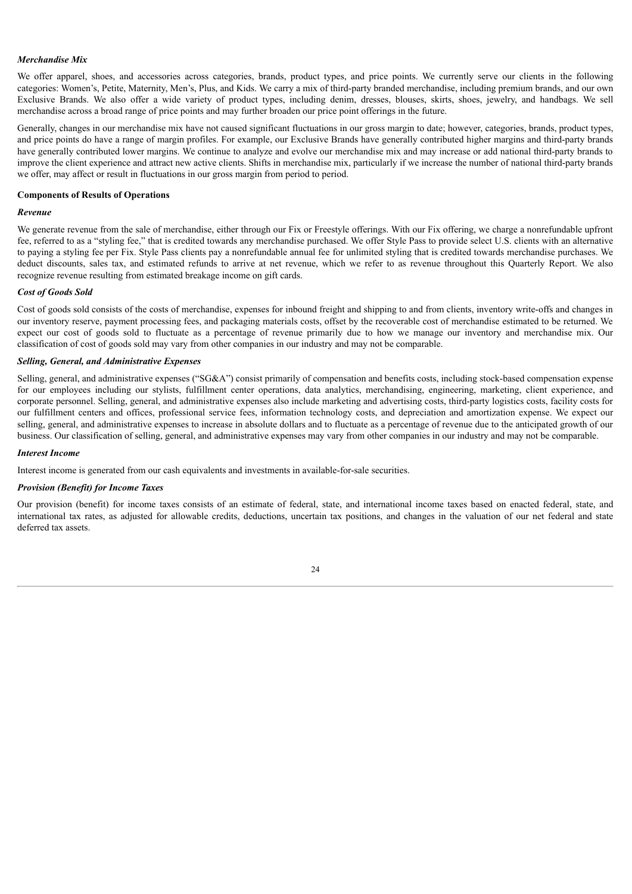### *Merchandise Mix*

We offer apparel, shoes, and accessories across categories, brands, product types, and price points. We currently serve our clients in the following categories: Women's, Petite, Maternity, Men's, Plus, and Kids. We carry a mix of third-party branded merchandise, including premium brands, and our own Exclusive Brands. We also offer a wide variety of product types, including denim, dresses, blouses, skirts, shoes, jewelry, and handbags. We sell merchandise across a broad range of price points and may further broaden our price point offerings in the future.

Generally, changes in our merchandise mix have not caused significant fluctuations in our gross margin to date; however, categories, brands, product types, and price points do have a range of margin profiles. For example, our Exclusive Brands have generally contributed higher margins and third-party brands have generally contributed lower margins. We continue to analyze and evolve our merchandise mix and may increase or add national third-party brands to improve the client experience and attract new active clients. Shifts in merchandise mix, particularly if we increase the number of national third-party brands we offer, may affect or result in fluctuations in our gross margin from period to period.

# **Components of Results of Operations**

#### *Revenue*

We generate revenue from the sale of merchandise, either through our Fix or Freestyle offerings. With our Fix offering, we charge a nonrefundable upfront fee, referred to as a "styling fee," that is credited towards any merchandise purchased. We offer Style Pass to provide select U.S. clients with an alternative to paying a styling fee per Fix. Style Pass clients pay a nonrefundable annual fee for unlimited styling that is credited towards merchandise purchases. We deduct discounts, sales tax, and estimated refunds to arrive at net revenue, which we refer to as revenue throughout this Quarterly Report. We also recognize revenue resulting from estimated breakage income on gift cards.

#### *Cost of Goods Sold*

Cost of goods sold consists of the costs of merchandise, expenses for inbound freight and shipping to and from clients, inventory write-offs and changes in our inventory reserve, payment processing fees, and packaging materials costs, offset by the recoverable cost of merchandise estimated to be returned. We expect our cost of goods sold to fluctuate as a percentage of revenue primarily due to how we manage our inventory and merchandise mix. Our classification of cost of goods sold may vary from other companies in our industry and may not be comparable.

#### *Selling, General, and Administrative Expenses*

Selling, general, and administrative expenses ("SG&A") consist primarily of compensation and benefits costs, including stock-based compensation expense for our employees including our stylists, fulfillment center operations, data analytics, merchandising, engineering, marketing, client experience, and corporate personnel. Selling, general, and administrative expenses also include marketing and advertising costs, third-party logistics costs, facility costs for our fulfillment centers and offices, professional service fees, information technology costs, and depreciation and amortization expense. We expect our selling, general, and administrative expenses to increase in absolute dollars and to fluctuate as a percentage of revenue due to the anticipated growth of our business. Our classification of selling, general, and administrative expenses may vary from other companies in our industry and may not be comparable.

#### *Interest Income*

Interest income is generated from our cash equivalents and investments in available-for-sale securities.

#### *Provision (Benefit) for Income Taxes*

Our provision (benefit) for income taxes consists of an estimate of federal, state, and international income taxes based on enacted federal, state, and international tax rates, as adjusted for allowable credits, deductions, uncertain tax positions, and changes in the valuation of our net federal and state deferred tax assets.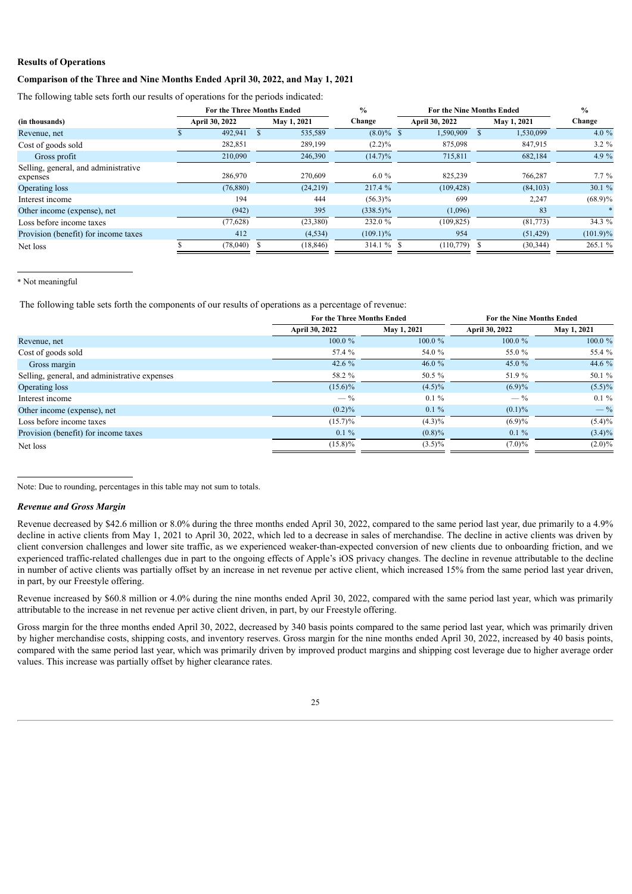# **Results of Operations**

# **Comparison of the Three and Nine Months Ended April 30, 2022, and May 1, 2021**

The following table sets forth our results of operations for the periods indicated:

|                                                  | <b>For the Three Months Ended</b> |             | $\frac{0}{0}$ |                 | For the Nine Months Ended |             |  |  |
|--------------------------------------------------|-----------------------------------|-------------|---------------|-----------------|---------------------------|-------------|--|--|
| (in thousands)                                   | April 30, 2022                    | May 1, 2021 | Change        | April 30, 2022  | May 1, 2021               | Change      |  |  |
| Revenue, net                                     | 492,941                           | 535,589     | $(8.0)\%$ \$  | 1,590,909       | 1,530,099                 | 4.0 $%$     |  |  |
| Cost of goods sold                               | 282,851                           | 289,199     | $(2.2)\%$     | 875,098         | 847.915                   | $3.2 \%$    |  |  |
| Gross profit                                     | 210,090                           | 246,390     | $(14.7)\%$    | 715,811         | 682,184                   | 4.9 $%$     |  |  |
| Selling, general, and administrative<br>expenses | 286,970                           | 270,609     | $6.0\%$       | 825,239         | 766,287                   | $7.7\%$     |  |  |
| Operating loss                                   | (76, 880)                         | (24, 219)   | 217.4 %       | (109, 428)      | (84, 103)                 | 30.1 %      |  |  |
| Interest income                                  | 194                               | 444         | $(56.3)\%$    | 699             | 2,247                     | $(68.9)\%$  |  |  |
| Other income (expense), net                      | (942)                             | 395         | $(338.5)\%$   | (1,096)         | 83                        |             |  |  |
| Loss before income taxes                         | (77, 628)                         | (23,380)    | 232.0 %       | (109, 825)      | (81,773)                  | 34.3 %      |  |  |
| Provision (benefit) for income taxes             | 412                               | (4, 534)    | $(109.1)\%$   | 954             | (51, 429)                 | $(101.9)\%$ |  |  |
| Net loss                                         | (78,040)                          | (18, 846)   | $314.1%$ \$   | $(110, 779)$ \$ | (30, 344)                 | 265.1 %     |  |  |

#### \* Not meaningful

The following table sets forth the components of our results of operations as a percentage of revenue:

|                                               | For the Three Months Ended |             |                       | <b>For the Nine Months Ended</b> |  |
|-----------------------------------------------|----------------------------|-------------|-----------------------|----------------------------------|--|
|                                               | April 30, 2022             | May 1, 2021 | <b>April 30, 2022</b> | May 1, 2021                      |  |
| Revenue, net                                  | $100.0 \%$                 | $100.0 \%$  | 100.0%                | 100.0%                           |  |
| Cost of goods sold                            | 57.4 %                     | 54.0 %      | 55.0 %                | 55.4 %                           |  |
| Gross margin                                  | 42.6 $%$                   | 46.0 $%$    | 45.0 %                | 44.6 %                           |  |
| Selling, general, and administrative expenses | 58.2 %                     | 50.5 %      | 51.9%                 | 50.1 %                           |  |
| Operating loss                                | $(15.6)\%$                 | $(4.5)\%$   | $(6.9)\%$             | $(5.5)\%$                        |  |
| Interest income                               | $-$ %                      | $0.1 \%$    | $-\frac{9}{6}$        | $0.1 \%$                         |  |
| Other income (expense), net                   | $(0.2)\%$                  | $0.1 \%$    | $(0.1)\%$             | $-$ %                            |  |
| Loss before income taxes                      | $(15.7)\%$                 | $(4.3)\%$   | $(6.9)\%$             | $(5.4)\%$                        |  |
| Provision (benefit) for income taxes          | $0.1 \%$                   | $(0.8)\%$   | $0.1 \%$              | $(3.4)\%$                        |  |
| Net loss                                      | $(15.8)\%$                 | $(3.5)\%$   | $(7.0)\%$             | $(2.0)\%$                        |  |
|                                               |                            |             |                       |                                  |  |

Note: Due to rounding, percentages in this table may not sum to totals.

## *Revenue and Gross Margin*

Revenue decreased by \$42.6 million or 8.0% during the three months ended April 30, 2022, compared to the same period last year, due primarily to a 4.9% decline in active clients from May 1, 2021 to April 30, 2022, which led to a decrease in sales of merchandise. The decline in active clients was driven by client conversion challenges and lower site traffic, as we experienced weaker-than-expected conversion of new clients due to onboarding friction, and we experienced traffic-related challenges due in part to the ongoing effects of Apple's iOS privacy changes. The decline in revenue attributable to the decline in number of active clients was partially offset by an increase in net revenue per active client, which increased 15% from the same period last year driven, in part, by our Freestyle offering.

Revenue increased by \$60.8 million or 4.0% during the nine months ended April 30, 2022, compared with the same period last year, which was primarily attributable to the increase in net revenue per active client driven, in part, by our Freestyle offering.

Gross margin for the three months ended April 30, 2022, decreased by 340 basis points compared to the same period last year, which was primarily driven by higher merchandise costs, shipping costs, and inventory reserves. Gross margin for the nine months ended April 30, 2022, increased by 40 basis points, compared with the same period last year, which was primarily driven by improved product margins and shipping cost leverage due to higher average order values. This increase was partially offset by higher clearance rates.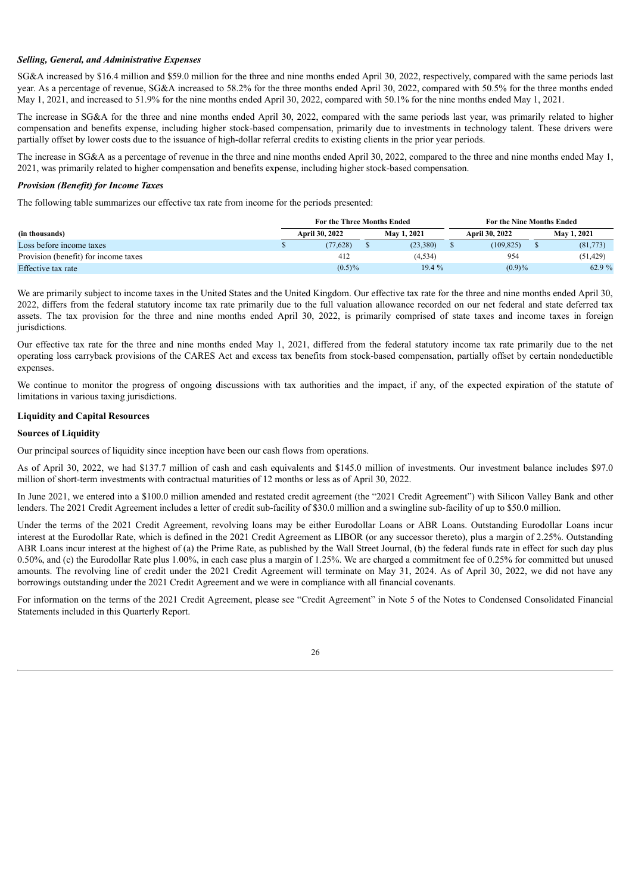# *Selling, General, and Administrative Expenses*

SG&A increased by \$16.4 million and \$59.0 million for the three and nine months ended April 30, 2022, respectively, compared with the same periods last year. As a percentage of revenue, SG&A increased to 58.2% for the three months ended April 30, 2022, compared with 50.5% for the three months ended May 1, 2021, and increased to 51.9% for the nine months ended April 30, 2022, compared with 50.1% for the nine months ended May 1, 2021.

The increase in SG&A for the three and nine months ended April 30, 2022, compared with the same periods last year, was primarily related to higher compensation and benefits expense, including higher stock-based compensation, primarily due to investments in technology talent. These drivers were partially offset by lower costs due to the issuance of high-dollar referral credits to existing clients in the prior year periods.

The increase in SG&A as a percentage of revenue in the three and nine months ended April 30, 2022, compared to the three and nine months ended May 1, 2021, was primarily related to higher compensation and benefits expense, including higher stock-based compensation.

#### *Provision (Benefit) for Income Taxes*

The following table summarizes our effective tax rate from income for the periods presented:

|                                      | <b>For the Three Months Ended</b> |           |             |           |                | For the Nine Months Ended |             |          |  |
|--------------------------------------|-----------------------------------|-----------|-------------|-----------|----------------|---------------------------|-------------|----------|--|
| (in thousands)                       | April 30, 2022                    |           | May 1, 2021 |           | April 30, 2022 |                           | May 1, 2021 |          |  |
| Loss before income taxes             |                                   | (77.628)  |             | (23, 380) |                | (109, 825)                |             | (81,773) |  |
| Provision (benefit) for income taxes |                                   | 412       |             | (4, 534)  |                | 954                       |             | (51.429) |  |
| Effective tax rate                   |                                   | $(0.5)\%$ |             | 19.4 %    |                | $(0.9)\%$                 |             | 62.9 %   |  |

We are primarily subject to income taxes in the United States and the United Kingdom. Our effective tax rate for the three and nine months ended April 30, 2022, differs from the federal statutory income tax rate primarily due to the full valuation allowance recorded on our net federal and state deferred tax assets. The tax provision for the three and nine months ended April 30, 2022, is primarily comprised of state taxes and income taxes in foreign jurisdictions.

Our effective tax rate for the three and nine months ended May 1, 2021, differed from the federal statutory income tax rate primarily due to the net operating loss carryback provisions of the CARES Act and excess tax benefits from stock-based compensation, partially offset by certain nondeductible expenses.

We continue to monitor the progress of ongoing discussions with tax authorities and the impact, if any, of the expected expiration of the statute of limitations in various taxing jurisdictions.

# **Liquidity and Capital Resources**

# **Sources of Liquidity**

Our principal sources of liquidity since inception have been our cash flows from operations.

As of April 30, 2022, we had \$137.7 million of cash and cash equivalents and \$145.0 million of investments. Our investment balance includes \$97.0 million of short-term investments with contractual maturities of 12 months or less as of April 30, 2022.

In June 2021, we entered into a \$100.0 million amended and restated credit agreement (the "2021 Credit Agreement") with Silicon Valley Bank and other lenders. The 2021 Credit Agreement includes a letter of credit sub-facility of \$30.0 million and a swingline sub-facility of up to \$50.0 million.

Under the terms of the 2021 Credit Agreement, revolving loans may be either Eurodollar Loans or ABR Loans. Outstanding Eurodollar Loans incur interest at the Eurodollar Rate, which is defined in the 2021 Credit Agreement as LIBOR (or any successor thereto), plus a margin of 2.25%. Outstanding ABR Loans incur interest at the highest of (a) the Prime Rate, as published by the Wall Street Journal, (b) the federal funds rate in effect for such day plus 0.50%, and (c) the Eurodollar Rate plus 1.00%, in each case plus a margin of 1.25%. We are charged a commitment fee of 0.25% for committed but unused amounts. The revolving line of credit under the 2021 Credit Agreement will terminate on May 31, 2024. As of April 30, 2022, we did not have any borrowings outstanding under the 2021 Credit Agreement and we were in compliance with all financial covenants.

For information on the terms of the 2021 Credit Agreement, please see "Credit Agreement" in Note 5 of the Notes to Condensed Consolidated Financial Statements included in this Quarterly Report.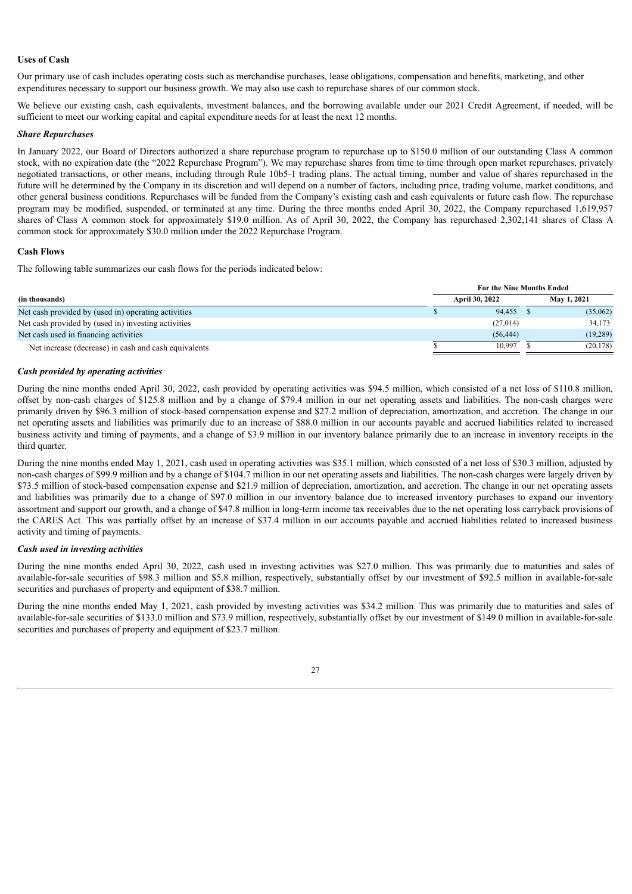# **Uses of Cash**

Our primary use of cash includes operating costs such as merchandise purchases, lease obligations, compensation and benefits, marketing, and other expenditures necessary to support our business growth. We may also use cash to repurchase shares of our common stock.

We believe our existing cash, cash equivalents, investment balances, and the borrowing available under our 2021 Credit Agreement, if needed, will be sufficient to meet our working capital and capital expenditure needs for at least the next 12 months.

# *Share Repurchases*

In January 2022, our Board of Directors authorized a share repurchase program to repurchase up to \$150.0 million of our outstanding Class A common stock, with no expiration date (the "2022 Repurchase Program"). We may repurchase shares from time to time through open market repurchases, privately negotiated transactions, or other means, including through Rule 10b5-1 trading plans. The actual timing, number and value of shares repurchased in the future will be determined by the Company in its discretion and will depend on a number of factors, including price, trading volume, market conditions, and other general business conditions. Repurchases will be funded from the Company's existing cash and cash equivalents or future cash flow. The repurchase program may be modified, suspended, or terminated at any time. During the three months ended April 30, 2022, the Company repurchased 1,619,957 shares of Class A common stock for approximately \$19.0 million. As of April 30, 2022, the Company has repurchased 2,302,141 shares of Class A common stock for approximately \$30.0 million under the 2022 Repurchase Program.

# **Cash Flows**

The following table summarizes our cash flows for the periods indicated below:

|                                                      | For the Nine Months Ended |  |             |  |
|------------------------------------------------------|---------------------------|--|-------------|--|
| (in thousands)                                       | April 30, 2022            |  | May 1, 2021 |  |
| Net cash provided by (used in) operating activities  | 94,455                    |  | (35,062)    |  |
| Net cash provided by (used in) investing activities  | (27,014)                  |  | 34,173      |  |
| Net cash used in financing activities                | (56, 444)                 |  | (19, 289)   |  |
| Net increase (decrease) in cash and cash equivalents | 10.997                    |  | (20, 178)   |  |

# *Cash provided by operating activities*

During the nine months ended April 30, 2022, cash provided by operating activities was \$94.5 million, which consisted of a net loss of \$110.8 million, offset by non-cash charges of \$125.8 million and by a change of \$79.4 million in our net operating assets and liabilities. The non-cash charges were primarily driven by \$96.3 million of stock-based compensation expense and \$27.2 million of depreciation, amortization, and accretion. The change in our net operating assets and liabilities was primarily due to an increase of \$88.0 million in our accounts payable and accrued liabilities related to increased business activity and timing of payments, and a change of \$3.9 million in our inventory balance primarily due to an increase in inventory receipts in the third quarter.

During the nine months ended May 1, 2021, cash used in operating activities was \$35.1 million, which consisted of a net loss of \$30.3 million, adjusted by non-cash charges of \$99.9 million and by a change of \$104.7 million in our net operating assets and liabilities. The non-cash charges were largely driven by \$73.5 million of stock-based compensation expense and \$21.9 million of depreciation, amortization, and accretion. The change in our net operating assets and liabilities was primarily due to a change of \$97.0 million in our inventory balance due to increased inventory purchases to expand our inventory assortment and support our growth, and a change of \$47.8 million in long-term income tax receivables due to the net operating loss carryback provisions of the CARES Act. This was partially offset by an increase of \$37.4 million in our accounts payable and accrued liabilities related to increased business activity and timing of payments.

#### *Cash used in investing activities*

During the nine months ended April 30, 2022, cash used in investing activities was \$27.0 million. This was primarily due to maturities and sales of available-for-sale securities of \$98.3 million and \$5.8 million, respectively, substantially offset by our investment of \$92.5 million in available-for-sale securities and purchases of property and equipment of \$38.7 million.

During the nine months ended May 1, 2021, cash provided by investing activities was \$34.2 million. This was primarily due to maturities and sales of available-for-sale securities of \$133.0 million and \$73.9 million, respectively, substantially offset by our investment of \$149.0 million in available-for-sale securities and purchases of property and equipment of \$23.7 million.

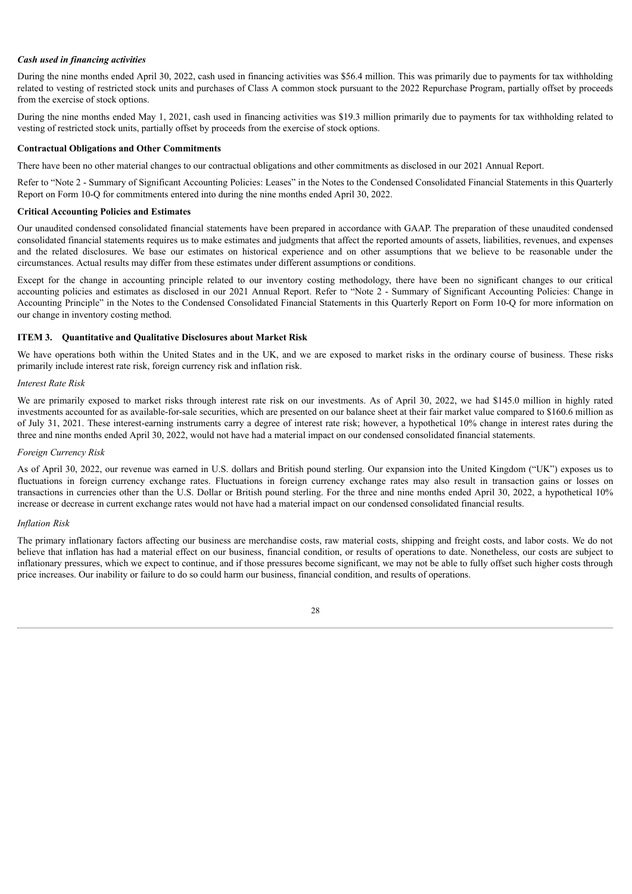# *Cash used in financing activities*

During the nine months ended April 30, 2022, cash used in financing activities was \$56.4 million. This was primarily due to payments for tax withholding related to vesting of restricted stock units and purchases of Class A common stock pursuant to the 2022 Repurchase Program, partially offset by proceeds from the exercise of stock options.

During the nine months ended May 1, 2021, cash used in financing activities was \$19.3 million primarily due to payments for tax withholding related to vesting of restricted stock units, partially offset by proceeds from the exercise of stock options.

#### **Contractual Obligations and Other Commitments**

There have been no other material changes to our contractual obligations and other commitments as disclosed in our 2021 Annual Report.

Refer to "Note 2 - Summary of Significant Accounting Policies: Leases" in the Notes to the Condensed Consolidated Financial Statements in this Quarterly Report on Form 10-Q for commitments entered into during the nine months ended April 30, 2022.

# **Critical Accounting Policies and Estimates**

Our unaudited condensed consolidated financial statements have been prepared in accordance with GAAP. The preparation of these unaudited condensed consolidated financial statements requires us to make estimates and judgments that affect the reported amounts of assets, liabilities, revenues, and expenses and the related disclosures. We base our estimates on historical experience and on other assumptions that we believe to be reasonable under the circumstances. Actual results may differ from these estimates under different assumptions or conditions.

Except for the change in accounting principle related to our inventory costing methodology, there have been no significant changes to our critical accounting policies and estimates as disclosed in our 2021 Annual Report. Refer to "Note 2 - Summary of Significant Accounting Policies: Change in Accounting Principle" in the Notes to the Condensed Consolidated Financial Statements in this Quarterly Report on Form 10-Q for more information on our change in inventory costing method.

# <span id="page-27-0"></span>**ITEM 3. Quantitative and Qualitative Disclosures about Market Risk**

We have operations both within the United States and in the UK, and we are exposed to market risks in the ordinary course of business. These risks primarily include interest rate risk, foreign currency risk and inflation risk.

# *Interest Rate Risk*

We are primarily exposed to market risks through interest rate risk on our investments. As of April 30, 2022, we had \$145.0 million in highly rated investments accounted for as available-for-sale securities, which are presented on our balance sheet at their fair market value compared to \$160.6 million as of July 31, 2021. These interest-earning instruments carry a degree of interest rate risk; however, a hypothetical 10% change in interest rates during the three and nine months ended April 30, 2022, would not have had a material impact on our condensed consolidated financial statements.

#### *Foreign Currency Risk*

As of April 30, 2022, our revenue was earned in U.S. dollars and British pound sterling. Our expansion into the United Kingdom ("UK") exposes us to fluctuations in foreign currency exchange rates. Fluctuations in foreign currency exchange rates may also result in transaction gains or losses on transactions in currencies other than the U.S. Dollar or British pound sterling. For the three and nine months ended April 30, 2022, a hypothetical 10% increase or decrease in current exchange rates would not have had a material impact on our condensed consolidated financial results.

#### *Inflation Risk*

<span id="page-27-1"></span>The primary inflationary factors affecting our business are merchandise costs, raw material costs, shipping and freight costs, and labor costs. We do not believe that inflation has had a material effect on our business, financial condition, or results of operations to date. Nonetheless, our costs are subject to inflationary pressures, which we expect to continue, and if those pressures become significant, we may not be able to fully offset such higher costs through price increases. Our inability or failure to do so could harm our business, financial condition, and results of operations.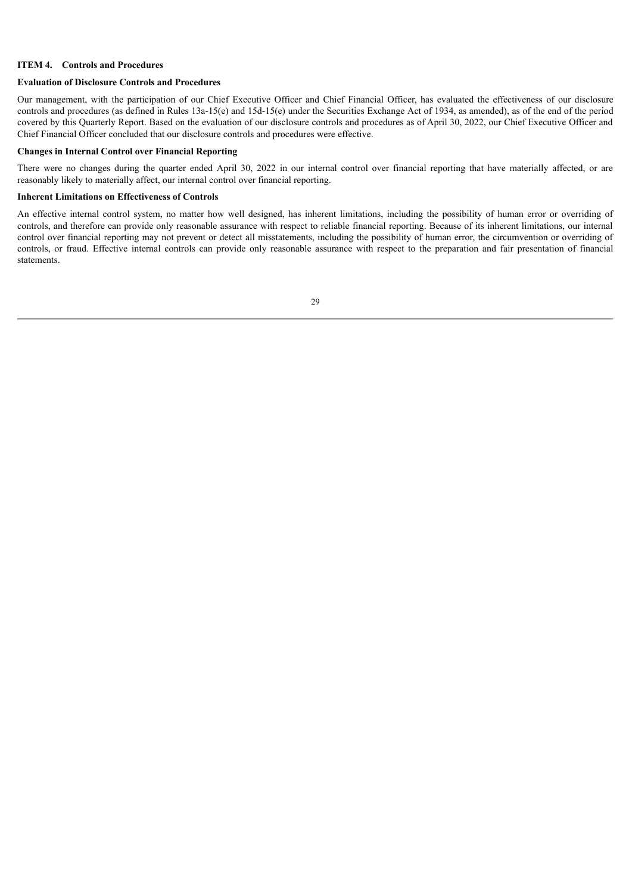#### **ITEM 4. Controls and Procedures**

#### **Evaluation of Disclosure Controls and Procedures**

Our management, with the participation of our Chief Executive Officer and Chief Financial Officer, has evaluated the effectiveness of our disclosure controls and procedures (as defined in Rules 13a-15(e) and 15d-15(e) under the Securities Exchange Act of 1934, as amended), as of the end of the period covered by this Quarterly Report. Based on the evaluation of our disclosure controls and procedures as of April 30, 2022, our Chief Executive Officer and Chief Financial Officer concluded that our disclosure controls and procedures were effective.

#### **Changes in Internal Control over Financial Reporting**

There were no changes during the quarter ended April 30, 2022 in our internal control over financial reporting that have materially affected, or are reasonably likely to materially affect, our internal control over financial reporting.

# **Inherent Limitations on Effectiveness of Controls**

<span id="page-28-0"></span>An effective internal control system, no matter how well designed, has inherent limitations, including the possibility of human error or overriding of controls, and therefore can provide only reasonable assurance with respect to reliable financial reporting. Because of its inherent limitations, our internal control over financial reporting may not prevent or detect all misstatements, including the possibility of human error, the circumvention or overriding of controls, or fraud. Effective internal controls can provide only reasonable assurance with respect to the preparation and fair presentation of financial statements.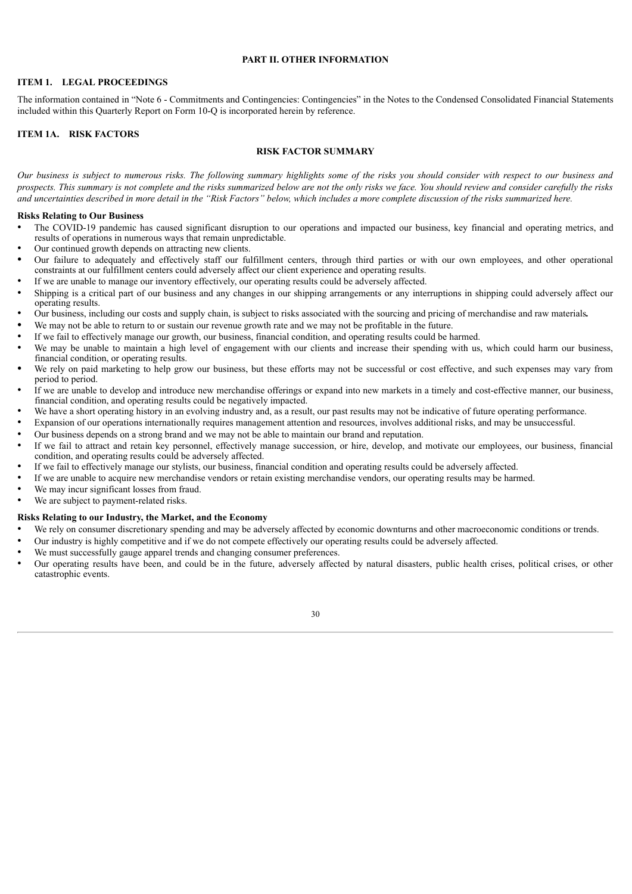#### **PART II. OTHER INFORMATION**

# <span id="page-29-0"></span>**ITEM 1. LEGAL PROCEEDINGS**

The information contained in "Note 6 - Commitments and Contingencies: Contingencies" in the Notes to the Condensed Consolidated Financial Statements included within this Quarterly Report on Form 10-Q is incorporated herein by reference.

# <span id="page-29-1"></span>**ITEM 1A. RISK FACTORS**

# **RISK FACTOR SUMMARY**

Our business is subject to numerous risks. The following summary highlights some of the risks you should consider with respect to our business and prospects. This summary is not complete and the risks summarized below are not the only risks we face. You should review and consider carefully the risks and uncertainties described in more detail in the "Risk Factors" below, which includes a more complete discussion of the risks summarized here.

# **Risks Relating to Our Business**

- The COVID-19 pandemic has caused significant disruption to our operations and impacted our business, key financial and operating metrics, and results of operations in numerous ways that remain unpredictable.
- Our continued growth depends on attracting new clients.
- *•* Our failure to adequately and effectively staff our fulfillment centers, through third parties or with our own employees, and other operational constraints at our fulfillment centers could adversely affect our client experience and operating results.
- If we are unable to manage our inventory effectively, our operating results could be adversely affected.
- Shipping is a critical part of our business and any changes in our shipping arrangements or any interruptions in shipping could adversely affect our operating results.
- Our business, including our costs and supply chain, is subject to risks associated with the sourcing and pricing of merchandise and raw materials*.*
- We may not be able to return to or sustain our revenue growth rate and we may not be profitable in the future.
- If we fail to effectively manage our growth, our business, financial condition, and operating results could be harmed.
- We may be unable to maintain a high level of engagement with our clients and increase their spending with us, which could harm our business, financial condition, or operating results.
- We rely on paid marketing to help grow our business, but these efforts may not be successful or cost effective, and such expenses may vary from period to period.
- If we are unable to develop and introduce new merchandise offerings or expand into new markets in a timely and cost-effective manner, our business, financial condition, and operating results could be negatively impacted.
- We have a short operating history in an evolving industry and, as a result, our past results may not be indicative of future operating performance.
- Expansion of our operations internationally requires management attention and resources, involves additional risks, and may be unsuccessful.
- Our business depends on a strong brand and we may not be able to maintain our brand and reputation.
- If we fail to attract and retain key personnel, effectively manage succession, or hire, develop, and motivate our employees, our business, financial condition, and operating results could be adversely affected.
- If we fail to effectively manage our stylists, our business, financial condition and operating results could be adversely affected.
- If we are unable to acquire new merchandise vendors or retain existing merchandise vendors, our operating results may be harmed.
- We may incur significant losses from fraud.
- We are subject to payment-related risks.

# **Risks Relating to our Industry, the Market, and the Economy**

- We rely on consumer discretionary spending and may be adversely affected by economic downturns and other macroeconomic conditions or trends.
- Our industry is highly competitive and if we do not compete effectively our operating results could be adversely affected.
- We must successfully gauge apparel trends and changing consumer preferences.
- Our operating results have been, and could be in the future, adversely affected by natural disasters, public health crises, political crises, or other catastrophic events.

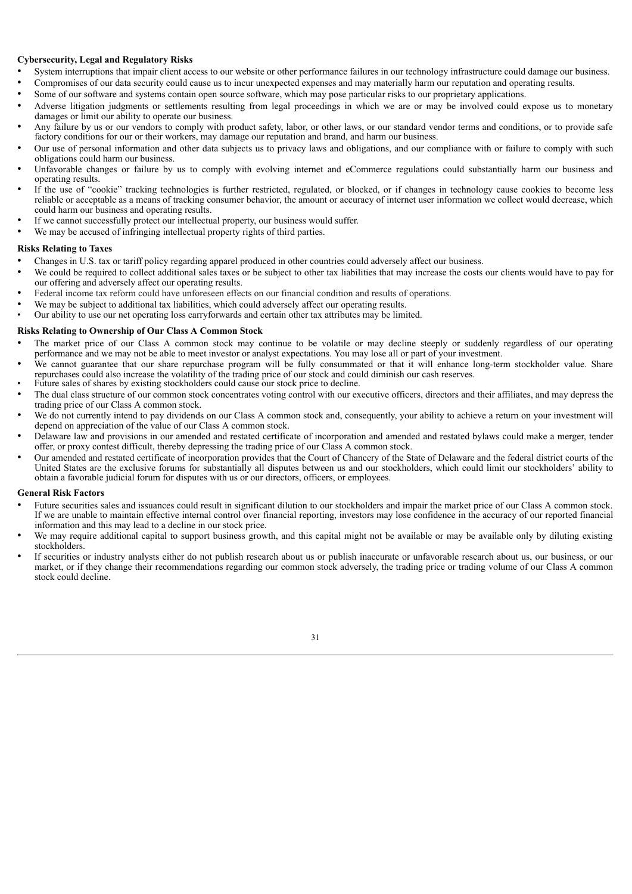# **Cybersecurity, Legal and Regulatory Risks**

- System interruptions that impair client access to our website or other performance failures in our technology infrastructure could damage our business.
- Compromises of our data security could cause us to incur unexpected expenses and may materially harm our reputation and operating results.
- Some of our software and systems contain open source software, which may pose particular risks to our proprietary applications.
- Adverse litigation judgments or settlements resulting from legal proceedings in which we are or may be involved could expose us to monetary damages or limit our ability to operate our business.
- Any failure by us or our vendors to comply with product safety, labor, or other laws, or our standard vendor terms and conditions, or to provide safe factory conditions for our or their workers, may damage our reputation and brand, and harm our business.
- Our use of personal information and other data subjects us to privacy laws and obligations, and our compliance with or failure to comply with such obligations could harm our business.
- Unfavorable changes or failure by us to comply with evolving internet and eCommerce regulations could substantially harm our business and operating results.
- If the use of "cookie" tracking technologies is further restricted, regulated, or blocked, or if changes in technology cause cookies to become less reliable or acceptable as a means of tracking consumer behavior, the amount or accuracy of internet user information we collect would decrease, which could harm our business and operating results.
- If we cannot successfully protect our intellectual property, our business would suffer.
- We may be accused of infringing intellectual property rights of third parties.

# **Risks Relating to Taxes**

- Changes in U.S. tax or tariff policy regarding apparel produced in other countries could adversely affect our business.
- We could be required to collect additional sales taxes or be subject to other tax liabilities that may increase the costs our clients would have to pay for our offering and adversely affect our operating results.
- Federal income tax reform could have unforeseen effects on our financial condition and results of operations.
- We may be subject to additional tax liabilities, which could adversely affect our operating results.
- Our ability to use our net operating loss carryforwards and certain other tax attributes may be limited.

#### **Risks Relating to Ownership of Our Class A Common Stock**

- The market price of our Class A common stock may continue to be volatile or may decline steeply or suddenly regardless of our operating performance and we may not be able to meet investor or analyst expectations. You may lose all or part of your investment.
- We cannot guarantee that our share repurchase program will be fully consummated or that it will enhance long-term stockholder value. Share repurchases could also increase the volatility of the trading price of our stock and could diminish our cash reserves.
- Future sales of shares by existing stockholders could cause our stock price to decline.
- The dual class structure of our common stock concentrates voting control with our executive officers, directors and their affiliates, and may depress the trading price of our Class A common stock.
- We do not currently intend to pay dividends on our Class A common stock and, consequently, your ability to achieve a return on your investment will depend on appreciation of the value of our Class A common stock.
- Delaware law and provisions in our amended and restated certificate of incorporation and amended and restated bylaws could make a merger, tender offer, or proxy contest difficult, thereby depressing the trading price of our Class A common stock.
- Our amended and restated certificate of incorporation provides that the Court of Chancery of the State of Delaware and the federal district courts of the United States are the exclusive forums for substantially all disputes between us and our stockholders, which could limit our stockholders' ability to obtain a favorable judicial forum for disputes with us or our directors, officers, or employees.

#### **General Risk Factors**

- Future securities sales and issuances could result in significant dilution to our stockholders and impair the market price of our Class A common stock. If we are unable to maintain effective internal control over financial reporting, investors may lose confidence in the accuracy of our reported financial information and this may lead to a decline in our stock price.
- We may require additional capital to support business growth, and this capital might not be available or may be available only by diluting existing stockholders.
- If securities or industry analysts either do not publish research about us or publish inaccurate or unfavorable research about us, our business, or our market, or if they change their recommendations regarding our common stock adversely, the trading price or trading volume of our Class A common stock could decline.

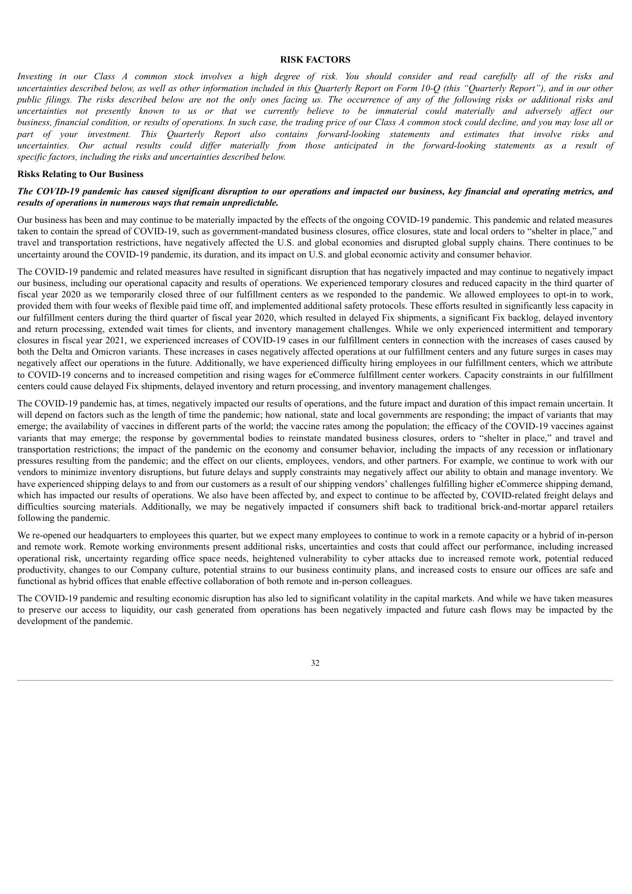#### **RISK FACTORS**

Investing in our Class A common stock involves a high degree of risk. You should consider and read carefully all of the risks and uncertainties described below, as well as other information included in this Quarterly Report on Form 10-Q (this "Quarterly Report"), and in our other public filings. The risks described below are not the only ones facing us. The occurrence of any of the following risks or additional risks and uncertainties not presently known to us or that we currently believe to be immaterial could materially and adversely affect our business, financial condition, or results of operations. In such case, the trading price of our Class A common stock could decline, and you may lose all or part of your investment. This Quarterly Report also contains forward-looking statements and estimates that involve risks and uncertainties. Our actual results could differ materially from those anticipated in the forward-looking statements as a result of *specific factors, including the risks and uncertainties described below.*

#### **Risks Relating to Our Business**

# The COVID-19 pandemic has caused significant disruption to our operations and impacted our business, key financial and operating metrics, and *results of operations in numerous ways that remain unpredictable.*

Our business has been and may continue to be materially impacted by the effects of the ongoing COVID-19 pandemic. This pandemic and related measures taken to contain the spread of COVID-19, such as government-mandated business closures, office closures, state and local orders to "shelter in place," and travel and transportation restrictions, have negatively affected the U.S. and global economies and disrupted global supply chains. There continues to be uncertainty around the COVID-19 pandemic, its duration, and its impact on U.S. and global economic activity and consumer behavior.

The COVID-19 pandemic and related measures have resulted in significant disruption that has negatively impacted and may continue to negatively impact our business, including our operational capacity and results of operations. We experienced temporary closures and reduced capacity in the third quarter of fiscal year 2020 as we temporarily closed three of our fulfillment centers as we responded to the pandemic. We allowed employees to opt-in to work, provided them with four weeks of flexible paid time off, and implemented additional safety protocols. These efforts resulted in significantly less capacity in our fulfillment centers during the third quarter of fiscal year 2020, which resulted in delayed Fix shipments, a significant Fix backlog, delayed inventory and return processing, extended wait times for clients, and inventory management challenges. While we only experienced intermittent and temporary closures in fiscal year 2021, we experienced increases of COVID-19 cases in our fulfillment centers in connection with the increases of cases caused by both the Delta and Omicron variants. These increases in cases negatively affected operations at our fulfillment centers and any future surges in cases may negatively affect our operations in the future. Additionally, we have experienced difficulty hiring employees in our fulfillment centers, which we attribute to COVID-19 concerns and to increased competition and rising wages for eCommerce fulfillment center workers. Capacity constraints in our fulfillment centers could cause delayed Fix shipments, delayed inventory and return processing, and inventory management challenges.

The COVID-19 pandemic has, at times, negatively impacted our results of operations, and the future impact and duration of this impact remain uncertain. It will depend on factors such as the length of time the pandemic; how national, state and local governments are responding; the impact of variants that may emerge; the availability of vaccines in different parts of the world; the vaccine rates among the population; the efficacy of the COVID-19 vaccines against variants that may emerge; the response by governmental bodies to reinstate mandated business closures, orders to "shelter in place," and travel and transportation restrictions; the impact of the pandemic on the economy and consumer behavior, including the impacts of any recession or inflationary pressures resulting from the pandemic; and the effect on our clients, employees, vendors, and other partners. For example, we continue to work with our vendors to minimize inventory disruptions, but future delays and supply constraints may negatively affect our ability to obtain and manage inventory. We have experienced shipping delays to and from our customers as a result of our shipping vendors' challenges fulfilling higher eCommerce shipping demand, which has impacted our results of operations. We also have been affected by, and expect to continue to be affected by, COVID-related freight delays and difficulties sourcing materials. Additionally, we may be negatively impacted if consumers shift back to traditional brick-and-mortar apparel retailers following the pandemic.

We re-opened our headquarters to employees this quarter, but we expect many employees to continue to work in a remote capacity or a hybrid of in-person and remote work. Remote working environments present additional risks, uncertainties and costs that could affect our performance, including increased operational risk, uncertainty regarding office space needs, heightened vulnerability to cyber attacks due to increased remote work, potential reduced productivity, changes to our Company culture, potential strains to our business continuity plans, and increased costs to ensure our offices are safe and functional as hybrid offices that enable effective collaboration of both remote and in-person colleagues.

The COVID-19 pandemic and resulting economic disruption has also led to significant volatility in the capital markets. And while we have taken measures to preserve our access to liquidity, our cash generated from operations has been negatively impacted and future cash flows may be impacted by the development of the pandemic.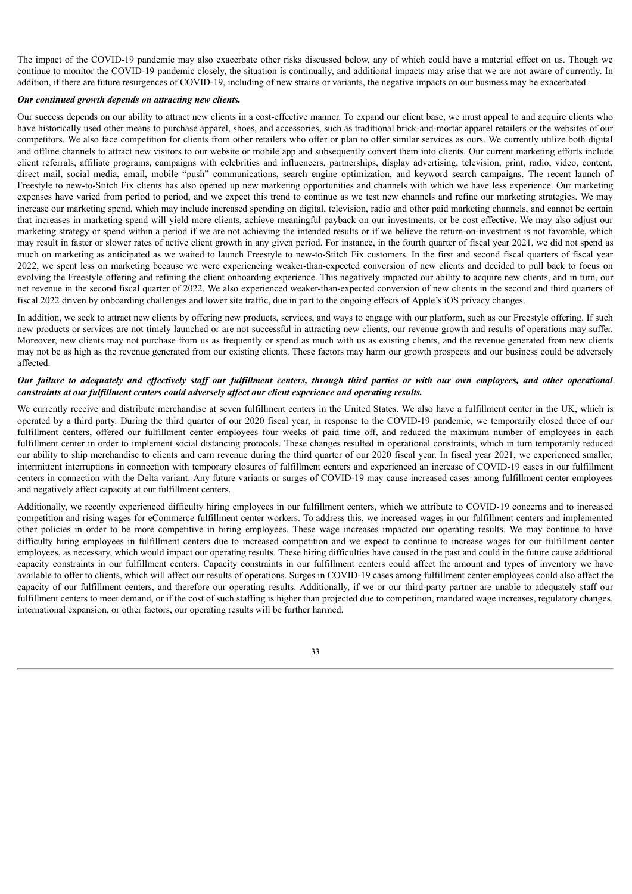The impact of the COVID-19 pandemic may also exacerbate other risks discussed below, any of which could have a material effect on us. Though we continue to monitor the COVID-19 pandemic closely, the situation is continually, and additional impacts may arise that we are not aware of currently. In addition, if there are future resurgences of COVID-19, including of new strains or variants, the negative impacts on our business may be exacerbated.

# *Our continued growth depends on attracting new clients.*

Our success depends on our ability to attract new clients in a cost-effective manner. To expand our client base, we must appeal to and acquire clients who have historically used other means to purchase apparel, shoes, and accessories, such as traditional brick-and-mortar apparel retailers or the websites of our competitors. We also face competition for clients from other retailers who offer or plan to offer similar services as ours. We currently utilize both digital and offline channels to attract new visitors to our website or mobile app and subsequently convert them into clients. Our current marketing efforts include client referrals, affiliate programs, campaigns with celebrities and influencers, partnerships, display advertising, television, print, radio, video, content, direct mail, social media, email, mobile "push" communications, search engine optimization, and keyword search campaigns. The recent launch of Freestyle to new-to-Stitch Fix clients has also opened up new marketing opportunities and channels with which we have less experience. Our marketing expenses have varied from period to period, and we expect this trend to continue as we test new channels and refine our marketing strategies. We may increase our marketing spend, which may include increased spending on digital, television, radio and other paid marketing channels, and cannot be certain that increases in marketing spend will yield more clients, achieve meaningful payback on our investments, or be cost effective. We may also adjust our marketing strategy or spend within a period if we are not achieving the intended results or if we believe the return-on-investment is not favorable, which may result in faster or slower rates of active client growth in any given period. For instance, in the fourth quarter of fiscal year 2021, we did not spend as much on marketing as anticipated as we waited to launch Freestyle to new-to-Stitch Fix customers. In the first and second fiscal quarters of fiscal year 2022, we spent less on marketing because we were experiencing weaker-than-expected conversion of new clients and decided to pull back to focus on evolving the Freestyle offering and refining the client onboarding experience. This negatively impacted our ability to acquire new clients, and in turn, our net revenue in the second fiscal quarter of 2022. We also experienced weaker-than-expected conversion of new clients in the second and third quarters of fiscal 2022 driven by onboarding challenges and lower site traffic, due in part to the ongoing effects of Apple's iOS privacy changes.

In addition, we seek to attract new clients by offering new products, services, and ways to engage with our platform, such as our Freestyle offering. If such new products or services are not timely launched or are not successful in attracting new clients, our revenue growth and results of operations may suffer. Moreover, new clients may not purchase from us as frequently or spend as much with us as existing clients, and the revenue generated from new clients may not be as high as the revenue generated from our existing clients. These factors may harm our growth prospects and our business could be adversely affected.

# Our failure to adequately and effectively staff our fulfillment centers, through third parties or with our own employees, and other operational *constraints at our fulfillment centers could adversely af ect our client experience and operating results.*

We currently receive and distribute merchandise at seven fulfillment centers in the United States. We also have a fulfillment center in the UK, which is operated by a third party. During the third quarter of our 2020 fiscal year, in response to the COVID-19 pandemic, we temporarily closed three of our fulfillment centers, offered our fulfillment center employees four weeks of paid time off, and reduced the maximum number of employees in each fulfillment center in order to implement social distancing protocols. These changes resulted in operational constraints, which in turn temporarily reduced our ability to ship merchandise to clients and earn revenue during the third quarter of our 2020 fiscal year. In fiscal year 2021, we experienced smaller, intermittent interruptions in connection with temporary closures of fulfillment centers and experienced an increase of COVID-19 cases in our fulfillment centers in connection with the Delta variant. Any future variants or surges of COVID-19 may cause increased cases among fulfillment center employees and negatively affect capacity at our fulfillment centers.

Additionally, we recently experienced difficulty hiring employees in our fulfillment centers, which we attribute to COVID-19 concerns and to increased competition and rising wages for eCommerce fulfillment center workers. To address this, we increased wages in our fulfillment centers and implemented other policies in order to be more competitive in hiring employees. These wage increases impacted our operating results. We may continue to have difficulty hiring employees in fulfillment centers due to increased competition and we expect to continue to increase wages for our fulfillment center employees, as necessary, which would impact our operating results. These hiring difficulties have caused in the past and could in the future cause additional capacity constraints in our fulfillment centers. Capacity constraints in our fulfillment centers could affect the amount and types of inventory we have available to offer to clients, which will affect our results of operations. Surges in COVID-19 cases among fulfillment center employees could also affect the capacity of our fulfillment centers, and therefore our operating results. Additionally, if we or our third-party partner are unable to adequately staff our fulfillment centers to meet demand, or if the cost of such staffing is higher than projected due to competition, mandated wage increases, regulatory changes, international expansion, or other factors, our operating results will be further harmed.

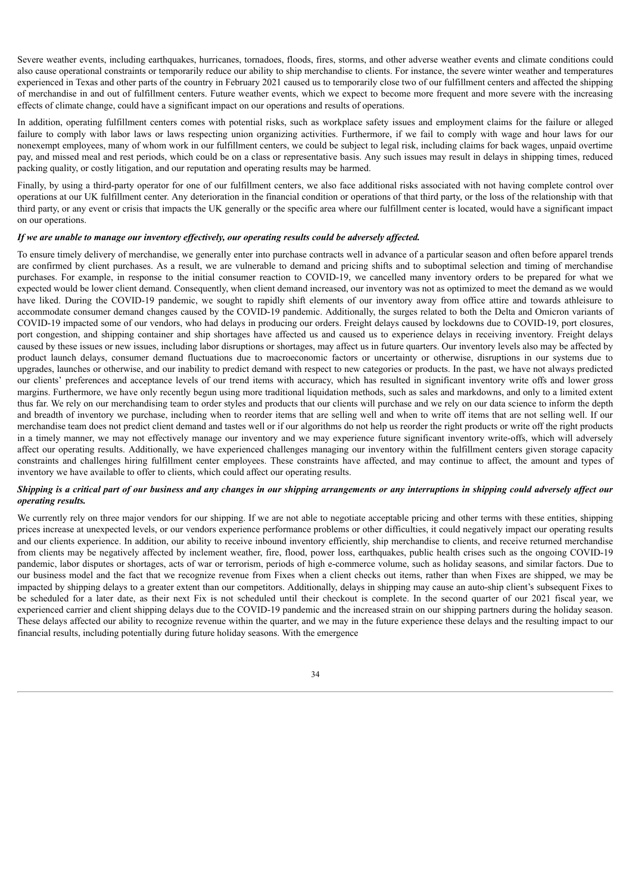Severe weather events, including earthquakes, hurricanes, tornadoes, floods, fires, storms, and other adverse weather events and climate conditions could also cause operational constraints or temporarily reduce our ability to ship merchandise to clients. For instance, the severe winter weather and temperatures experienced in Texas and other parts of the country in February 2021 caused us to temporarily close two of our fulfillment centers and affected the shipping of merchandise in and out of fulfillment centers. Future weather events, which we expect to become more frequent and more severe with the increasing effects of climate change, could have a significant impact on our operations and results of operations.

In addition, operating fulfillment centers comes with potential risks, such as workplace safety issues and employment claims for the failure or alleged failure to comply with labor laws or laws respecting union organizing activities. Furthermore, if we fail to comply with wage and hour laws for our nonexempt employees, many of whom work in our fulfillment centers, we could be subject to legal risk, including claims for back wages, unpaid overtime pay, and missed meal and rest periods, which could be on a class or representative basis. Any such issues may result in delays in shipping times, reduced packing quality, or costly litigation, and our reputation and operating results may be harmed.

Finally, by using a third-party operator for one of our fulfillment centers, we also face additional risks associated with not having complete control over operations at our UK fulfillment center. Any deterioration in the financial condition or operations of that third party, or the loss of the relationship with that third party, or any event or crisis that impacts the UK generally or the specific area where our fulfillment center is located, would have a significant impact on our operations.

# If we are unable to manage our inventory effectively, our operating results could be adversely affected.

To ensure timely delivery of merchandise, we generally enter into purchase contracts well in advance of a particular season and often before apparel trends are confirmed by client purchases. As a result, we are vulnerable to demand and pricing shifts and to suboptimal selection and timing of merchandise purchases. For example, in response to the initial consumer reaction to COVID-19, we cancelled many inventory orders to be prepared for what we expected would be lower client demand. Consequently, when client demand increased, our inventory was not as optimized to meet the demand as we would have liked. During the COVID-19 pandemic, we sought to rapidly shift elements of our inventory away from office attire and towards athleisure to accommodate consumer demand changes caused by the COVID-19 pandemic. Additionally, the surges related to both the Delta and Omicron variants of COVID-19 impacted some of our vendors, who had delays in producing our orders. Freight delays caused by lockdowns due to COVID-19, port closures, port congestion, and shipping container and ship shortages have affected us and caused us to experience delays in receiving inventory. Freight delays caused by these issues or new issues, including labor disruptions or shortages, may affect us in future quarters. Our inventory levels also may be affected by product launch delays, consumer demand fluctuations due to macroeconomic factors or uncertainty or otherwise, disruptions in our systems due to upgrades, launches or otherwise, and our inability to predict demand with respect to new categories or products. In the past, we have not always predicted our clients' preferences and acceptance levels of our trend items with accuracy, which has resulted in significant inventory write offs and lower gross margins. Furthermore, we have only recently begun using more traditional liquidation methods, such as sales and markdowns, and only to a limited extent thus far. We rely on our merchandising team to order styles and products that our clients will purchase and we rely on our data science to inform the depth and breadth of inventory we purchase, including when to reorder items that are selling well and when to write off items that are not selling well. If our merchandise team does not predict client demand and tastes well or if our algorithms do not help us reorder the right products or write off the right products in a timely manner, we may not effectively manage our inventory and we may experience future significant inventory write-offs, which will adversely affect our operating results. Additionally, we have experienced challenges managing our inventory within the fulfillment centers given storage capacity constraints and challenges hiring fulfillment center employees. These constraints have affected, and may continue to affect, the amount and types of inventory we have available to offer to clients, which could affect our operating results.

# Shipping is a critical part of our business and any changes in our shipping arrangements or any interruptions in shipping could adversely affect our *operating results.*

We currently rely on three major vendors for our shipping. If we are not able to negotiate acceptable pricing and other terms with these entities, shipping prices increase at unexpected levels, or our vendors experience performance problems or other difficulties, it could negatively impact our operating results and our clients experience. In addition, our ability to receive inbound inventory efficiently, ship merchandise to clients, and receive returned merchandise from clients may be negatively affected by inclement weather, fire, flood, power loss, earthquakes, public health crises such as the ongoing COVID-19 pandemic, labor disputes or shortages, acts of war or terrorism, periods of high e-commerce volume, such as holiday seasons, and similar factors. Due to our business model and the fact that we recognize revenue from Fixes when a client checks out items, rather than when Fixes are shipped, we may be impacted by shipping delays to a greater extent than our competitors. Additionally, delays in shipping may cause an auto-ship client's subsequent Fixes to be scheduled for a later date, as their next Fix is not scheduled until their checkout is complete. In the second quarter of our 2021 fiscal year, we experienced carrier and client shipping delays due to the COVID-19 pandemic and the increased strain on our shipping partners during the holiday season. These delays affected our ability to recognize revenue within the quarter, and we may in the future experience these delays and the resulting impact to our financial results, including potentially during future holiday seasons. With the emergence

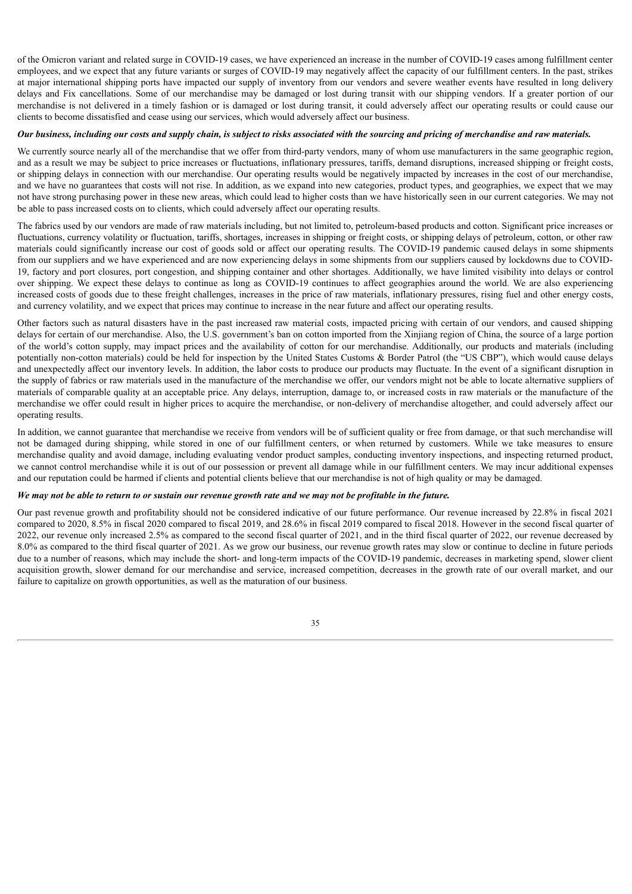of the Omicron variant and related surge in COVID-19 cases, we have experienced an increase in the number of COVID-19 cases among fulfillment center employees, and we expect that any future variants or surges of COVID-19 may negatively affect the capacity of our fulfillment centers. In the past, strikes at major international shipping ports have impacted our supply of inventory from our vendors and severe weather events have resulted in long delivery delays and Fix cancellations. Some of our merchandise may be damaged or lost during transit with our shipping vendors. If a greater portion of our merchandise is not delivered in a timely fashion or is damaged or lost during transit, it could adversely affect our operating results or could cause our clients to become dissatisfied and cease using our services, which would adversely affect our business.

# Our business, including our costs and supply chain, is subject to risks associated with the sourcing and pricing of merchandise and raw materials.

We currently source nearly all of the merchandise that we offer from third-party vendors, many of whom use manufacturers in the same geographic region, and as a result we may be subject to price increases or fluctuations, inflationary pressures, tariffs, demand disruptions, increased shipping or freight costs, or shipping delays in connection with our merchandise. Our operating results would be negatively impacted by increases in the cost of our merchandise, and we have no guarantees that costs will not rise. In addition, as we expand into new categories, product types, and geographies, we expect that we may not have strong purchasing power in these new areas, which could lead to higher costs than we have historically seen in our current categories. We may not be able to pass increased costs on to clients, which could adversely affect our operating results.

The fabrics used by our vendors are made of raw materials including, but not limited to, petroleum-based products and cotton. Significant price increases or fluctuations, currency volatility or fluctuation, tariffs, shortages, increases in shipping or freight costs, or shipping delays of petroleum, cotton, or other raw materials could significantly increase our cost of goods sold or affect our operating results. The COVID-19 pandemic caused delays in some shipments from our suppliers and we have experienced and are now experiencing delays in some shipments from our suppliers caused by lockdowns due to COVID-19, factory and port closures, port congestion, and shipping container and other shortages. Additionally, we have limited visibility into delays or control over shipping. We expect these delays to continue as long as COVID-19 continues to affect geographies around the world. We are also experiencing increased costs of goods due to these freight challenges, increases in the price of raw materials, inflationary pressures, rising fuel and other energy costs, and currency volatility, and we expect that prices may continue to increase in the near future and affect our operating results.

Other factors such as natural disasters have in the past increased raw material costs, impacted pricing with certain of our vendors, and caused shipping delays for certain of our merchandise. Also, the U.S. government's ban on cotton imported from the Xinjiang region of China, the source of a large portion of the world's cotton supply, may impact prices and the availability of cotton for our merchandise. Additionally, our products and materials (including potentially non-cotton materials) could be held for inspection by the United States Customs & Border Patrol (the "US CBP"), which would cause delays and unexpectedly affect our inventory levels. In addition, the labor costs to produce our products may fluctuate. In the event of a significant disruption in the supply of fabrics or raw materials used in the manufacture of the merchandise we offer, our vendors might not be able to locate alternative suppliers of materials of comparable quality at an acceptable price. Any delays, interruption, damage to, or increased costs in raw materials or the manufacture of the merchandise we offer could result in higher prices to acquire the merchandise, or non-delivery of merchandise altogether, and could adversely affect our operating results.

In addition, we cannot guarantee that merchandise we receive from vendors will be of sufficient quality or free from damage, or that such merchandise will not be damaged during shipping, while stored in one of our fulfillment centers, or when returned by customers. While we take measures to ensure merchandise quality and avoid damage, including evaluating vendor product samples, conducting inventory inspections, and inspecting returned product, we cannot control merchandise while it is out of our possession or prevent all damage while in our fulfillment centers. We may incur additional expenses and our reputation could be harmed if clients and potential clients believe that our merchandise is not of high quality or may be damaged.

# We may not be able to return to or sustain our revenue growth rate and we may not be profitable in the future.

Our past revenue growth and profitability should not be considered indicative of our future performance. Our revenue increased by 22.8% in fiscal 2021 compared to 2020, 8.5% in fiscal 2020 compared to fiscal 2019, and 28.6% in fiscal 2019 compared to fiscal 2018. However in the second fiscal quarter of 2022, our revenue only increased 2.5% as compared to the second fiscal quarter of 2021, and in the third fiscal quarter of 2022, our revenue decreased by 8.0% as compared to the third fiscal quarter of 2021. As we grow our business, our revenue growth rates may slow or continue to decline in future periods due to a number of reasons, which may include the short- and long-term impacts of the COVID-19 pandemic, decreases in marketing spend, slower client acquisition growth, slower demand for our merchandise and service, increased competition, decreases in the growth rate of our overall market, and our failure to capitalize on growth opportunities, as well as the maturation of our business.

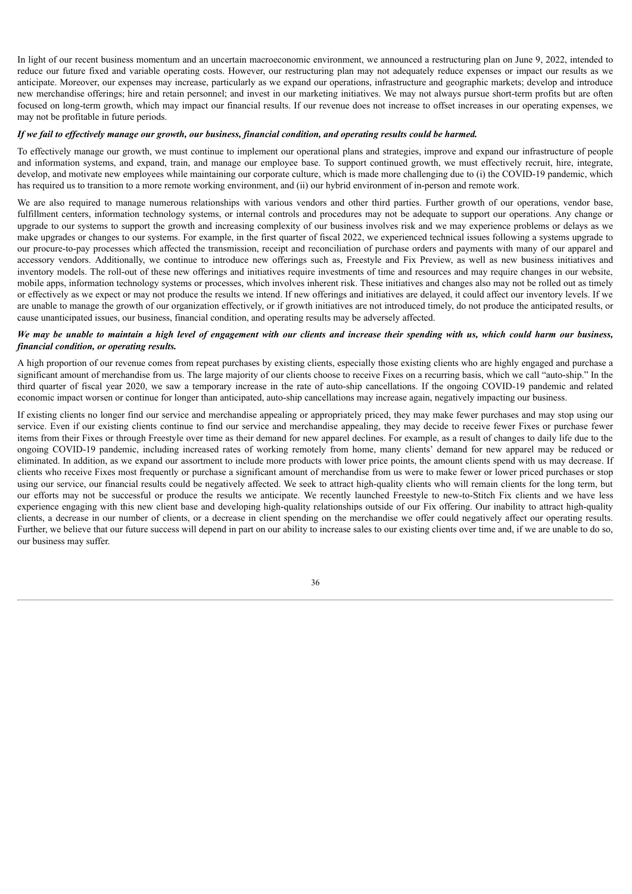In light of our recent business momentum and an uncertain macroeconomic environment, we announced a restructuring plan on June 9, 2022, intended to reduce our future fixed and variable operating costs. However, our restructuring plan may not adequately reduce expenses or impact our results as we anticipate. Moreover, our expenses may increase, particularly as we expand our operations, infrastructure and geographic markets; develop and introduce new merchandise offerings; hire and retain personnel; and invest in our marketing initiatives. We may not always pursue short-term profits but are often focused on long-term growth, which may impact our financial results. If our revenue does not increase to offset increases in our operating expenses, we may not be profitable in future periods.

# If we fail to effectively manage our growth, our business, financial condition, and operating results could be harmed.

To effectively manage our growth, we must continue to implement our operational plans and strategies, improve and expand our infrastructure of people and information systems, and expand, train, and manage our employee base. To support continued growth, we must effectively recruit, hire, integrate, develop, and motivate new employees while maintaining our corporate culture, which is made more challenging due to (i) the COVID-19 pandemic, which has required us to transition to a more remote working environment, and (ii) our hybrid environment of in-person and remote work.

We are also required to manage numerous relationships with various vendors and other third parties. Further growth of our operations, vendor base, fulfillment centers, information technology systems, or internal controls and procedures may not be adequate to support our operations. Any change or upgrade to our systems to support the growth and increasing complexity of our business involves risk and we may experience problems or delays as we make upgrades or changes to our systems. For example, in the first quarter of fiscal 2022, we experienced technical issues following a systems upgrade to our procure-to-pay processes which affected the transmission, receipt and reconciliation of purchase orders and payments with many of our apparel and accessory vendors. Additionally, we continue to introduce new offerings such as, Freestyle and Fix Preview, as well as new business initiatives and inventory models. The roll-out of these new offerings and initiatives require investments of time and resources and may require changes in our website, mobile apps, information technology systems or processes, which involves inherent risk. These initiatives and changes also may not be rolled out as timely or effectively as we expect or may not produce the results we intend. If new offerings and initiatives are delayed, it could affect our inventory levels. If we are unable to manage the growth of our organization effectively, or if growth initiatives are not introduced timely, do not produce the anticipated results, or cause unanticipated issues, our business, financial condition, and operating results may be adversely affected.

# We may be unable to maintain a high level of engagement with our clients and increase their spending with us, which could harm our business, *financial condition, or operating results.*

A high proportion of our revenue comes from repeat purchases by existing clients, especially those existing clients who are highly engaged and purchase a significant amount of merchandise from us. The large majority of our clients choose to receive Fixes on a recurring basis, which we call "auto-ship." In the third quarter of fiscal year 2020, we saw a temporary increase in the rate of auto-ship cancellations. If the ongoing COVID-19 pandemic and related economic impact worsen or continue for longer than anticipated, auto-ship cancellations may increase again, negatively impacting our business.

If existing clients no longer find our service and merchandise appealing or appropriately priced, they may make fewer purchases and may stop using our service. Even if our existing clients continue to find our service and merchandise appealing, they may decide to receive fewer Fixes or purchase fewer items from their Fixes or through Freestyle over time as their demand for new apparel declines. For example, as a result of changes to daily life due to the ongoing COVID-19 pandemic, including increased rates of working remotely from home, many clients' demand for new apparel may be reduced or eliminated. In addition, as we expand our assortment to include more products with lower price points, the amount clients spend with us may decrease. If clients who receive Fixes most frequently or purchase a significant amount of merchandise from us were to make fewer or lower priced purchases or stop using our service, our financial results could be negatively affected. We seek to attract high-quality clients who will remain clients for the long term, but our efforts may not be successful or produce the results we anticipate. We recently launched Freestyle to new-to-Stitch Fix clients and we have less experience engaging with this new client base and developing high-quality relationships outside of our Fix offering. Our inability to attract high-quality clients, a decrease in our number of clients, or a decrease in client spending on the merchandise we offer could negatively affect our operating results. Further, we believe that our future success will depend in part on our ability to increase sales to our existing clients over time and, if we are unable to do so, our business may suffer.

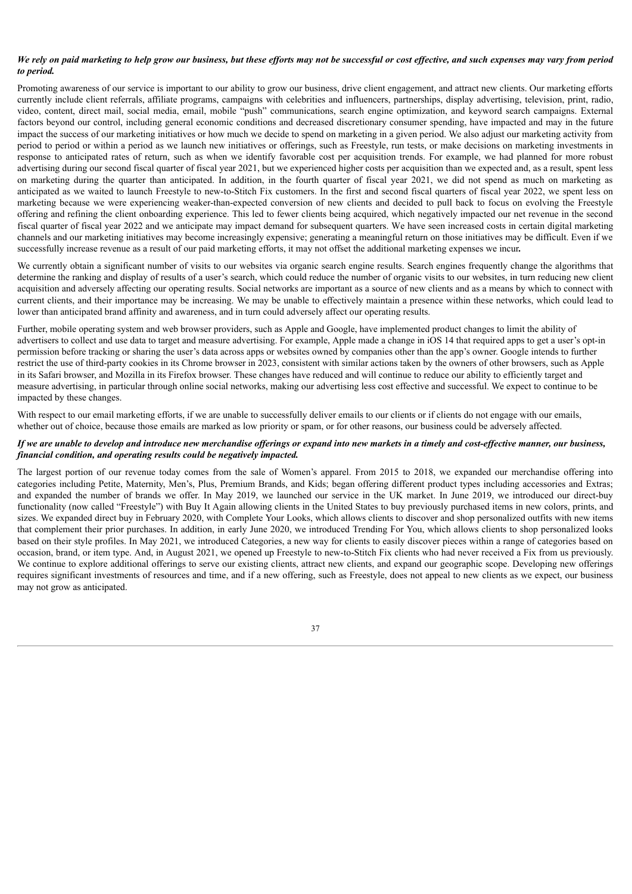# We rely on paid marketing to help grow our business, but these efforts may not be successful or cost effective, and such expenses may vary from period *to period.*

Promoting awareness of our service is important to our ability to grow our business, drive client engagement, and attract new clients. Our marketing efforts currently include client referrals, affiliate programs, campaigns with celebrities and influencers, partnerships, display advertising, television, print, radio, video, content, direct mail, social media, email, mobile "push" communications, search engine optimization, and keyword search campaigns. External factors beyond our control, including general economic conditions and decreased discretionary consumer spending, have impacted and may in the future impact the success of our marketing initiatives or how much we decide to spend on marketing in a given period. We also adjust our marketing activity from period to period or within a period as we launch new initiatives or offerings, such as Freestyle, run tests, or make decisions on marketing investments in response to anticipated rates of return, such as when we identify favorable cost per acquisition trends. For example, we had planned for more robust advertising during our second fiscal quarter of fiscal year 2021, but we experienced higher costs per acquisition than we expected and, as a result, spent less on marketing during the quarter than anticipated. In addition, in the fourth quarter of fiscal year 2021, we did not spend as much on marketing as anticipated as we waited to launch Freestyle to new-to-Stitch Fix customers. In the first and second fiscal quarters of fiscal year 2022, we spent less on marketing because we were experiencing weaker-than-expected conversion of new clients and decided to pull back to focus on evolving the Freestyle offering and refining the client onboarding experience. This led to fewer clients being acquired, which negatively impacted our net revenue in the second fiscal quarter of fiscal year 2022 and we anticipate may impact demand for subsequent quarters. We have seen increased costs in certain digital marketing channels and our marketing initiatives may become increasingly expensive; generating a meaningful return on those initiatives may be difficult. Even if we successfully increase revenue as a result of our paid marketing efforts, it may not offset the additional marketing expenses we incur*.*

We currently obtain a significant number of visits to our websites via organic search engine results. Search engines frequently change the algorithms that determine the ranking and display of results of a user's search, which could reduce the number of organic visits to our websites, in turn reducing new client acquisition and adversely affecting our operating results. Social networks are important as a source of new clients and as a means by which to connect with current clients, and their importance may be increasing. We may be unable to effectively maintain a presence within these networks, which could lead to lower than anticipated brand affinity and awareness, and in turn could adversely affect our operating results.

Further, mobile operating system and web browser providers, such as Apple and Google, have implemented product changes to limit the ability of advertisers to collect and use data to target and measure advertising. For example, Apple made a change in iOS 14 that required apps to get a user's opt-in permission before tracking or sharing the user's data across apps or websites owned by companies other than the app's owner. Google intends to further restrict the use of third-party cookies in its Chrome browser in 2023, consistent with similar actions taken by the owners of other browsers, such as Apple in its Safari browser, and Mozilla in its Firefox browser. These changes have reduced and will continue to reduce our ability to efficiently target and measure advertising, in particular through online social networks, making our advertising less cost effective and successful. We expect to continue to be impacted by these changes.

With respect to our email marketing efforts, if we are unable to successfully deliver emails to our clients or if clients do not engage with our emails. whether out of choice, because those emails are marked as low priority or spam, or for other reasons, our business could be adversely affected.

# If we are unable to develop and introduce new merchandise offerings or expand into new markets in a timely and cost-effective manner, our business, *financial condition, and operating results could be negatively impacted.*

The largest portion of our revenue today comes from the sale of Women's apparel. From 2015 to 2018, we expanded our merchandise offering into categories including Petite, Maternity, Men's, Plus, Premium Brands, and Kids; began offering different product types including accessories and Extras; and expanded the number of brands we offer. In May 2019, we launched our service in the UK market. In June 2019, we introduced our direct-buy functionality (now called "Freestyle") with Buy It Again allowing clients in the United States to buy previously purchased items in new colors, prints, and sizes. We expanded direct buy in February 2020, with Complete Your Looks, which allows clients to discover and shop personalized outfits with new items that complement their prior purchases. In addition, in early June 2020, we introduced Trending For You, which allows clients to shop personalized looks based on their style profiles. In May 2021, we introduced Categories, a new way for clients to easily discover pieces within a range of categories based on occasion, brand, or item type. And, in August 2021, we opened up Freestyle to new-to-Stitch Fix clients who had never received a Fix from us previously. We continue to explore additional offerings to serve our existing clients, attract new clients, and expand our geographic scope. Developing new offerings requires significant investments of resources and time, and if a new offering, such as Freestyle, does not appeal to new clients as we expect, our business may not grow as anticipated.

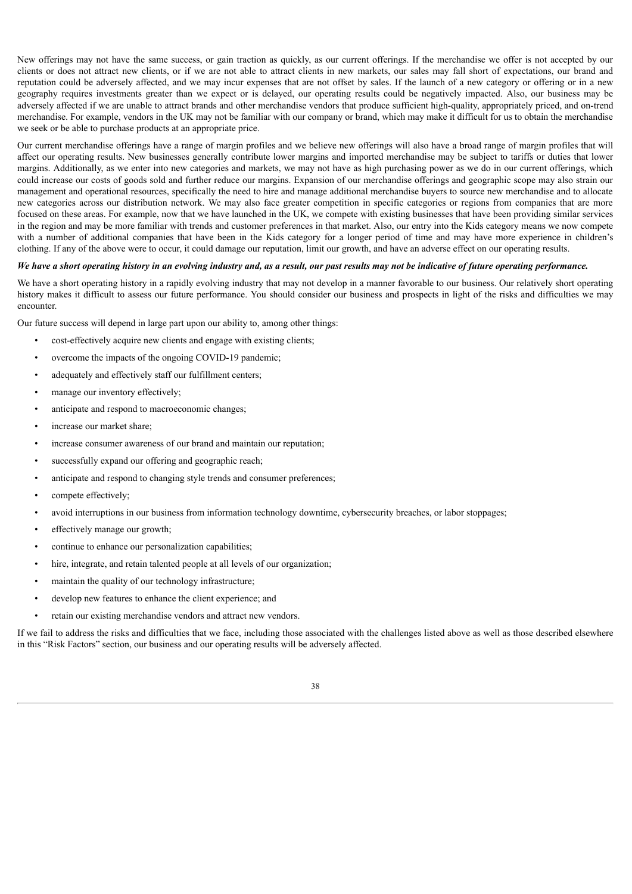New offerings may not have the same success, or gain traction as quickly, as our current offerings. If the merchandise we offer is not accepted by our clients or does not attract new clients, or if we are not able to attract clients in new markets, our sales may fall short of expectations, our brand and reputation could be adversely affected, and we may incur expenses that are not offset by sales. If the launch of a new category or offering or in a new geography requires investments greater than we expect or is delayed, our operating results could be negatively impacted. Also, our business may be adversely affected if we are unable to attract brands and other merchandise vendors that produce sufficient high-quality, appropriately priced, and on-trend merchandise. For example, vendors in the UK may not be familiar with our company or brand, which may make it difficult for us to obtain the merchandise we seek or be able to purchase products at an appropriate price.

Our current merchandise offerings have a range of margin profiles and we believe new offerings will also have a broad range of margin profiles that will affect our operating results. New businesses generally contribute lower margins and imported merchandise may be subject to tariffs or duties that lower margins. Additionally, as we enter into new categories and markets, we may not have as high purchasing power as we do in our current offerings, which could increase our costs of goods sold and further reduce our margins. Expansion of our merchandise offerings and geographic scope may also strain our management and operational resources, specifically the need to hire and manage additional merchandise buyers to source new merchandise and to allocate new categories across our distribution network. We may also face greater competition in specific categories or regions from companies that are more focused on these areas. For example, now that we have launched in the UK, we compete with existing businesses that have been providing similar services in the region and may be more familiar with trends and customer preferences in that market. Also, our entry into the Kids category means we now compete with a number of additional companies that have been in the Kids category for a longer period of time and may have more experience in children's clothing. If any of the above were to occur, it could damage our reputation, limit our growth, and have an adverse effect on our operating results.

#### We have a short operating history in an evolving industry and, as a result, our past results may not be indicative of future operating performance.

We have a short operating history in a rapidly evolving industry that may not develop in a manner favorable to our business. Our relatively short operating history makes it difficult to assess our future performance. You should consider our business and prospects in light of the risks and difficulties we may encounter.

Our future success will depend in large part upon our ability to, among other things:

- cost-effectively acquire new clients and engage with existing clients;
- overcome the impacts of the ongoing COVID-19 pandemic;
- adequately and effectively staff our fulfillment centers;
- manage our inventory effectively;
- anticipate and respond to macroeconomic changes;
- increase our market share:
- increase consumer awareness of our brand and maintain our reputation;
- successfully expand our offering and geographic reach;
- anticipate and respond to changing style trends and consumer preferences;
- compete effectively;
- avoid interruptions in our business from information technology downtime, cybersecurity breaches, or labor stoppages;
- effectively manage our growth;
- continue to enhance our personalization capabilities;
- hire, integrate, and retain talented people at all levels of our organization;
- maintain the quality of our technology infrastructure;
- develop new features to enhance the client experience; and
- retain our existing merchandise vendors and attract new vendors.

If we fail to address the risks and difficulties that we face, including those associated with the challenges listed above as well as those described elsewhere in this "Risk Factors" section, our business and our operating results will be adversely affected.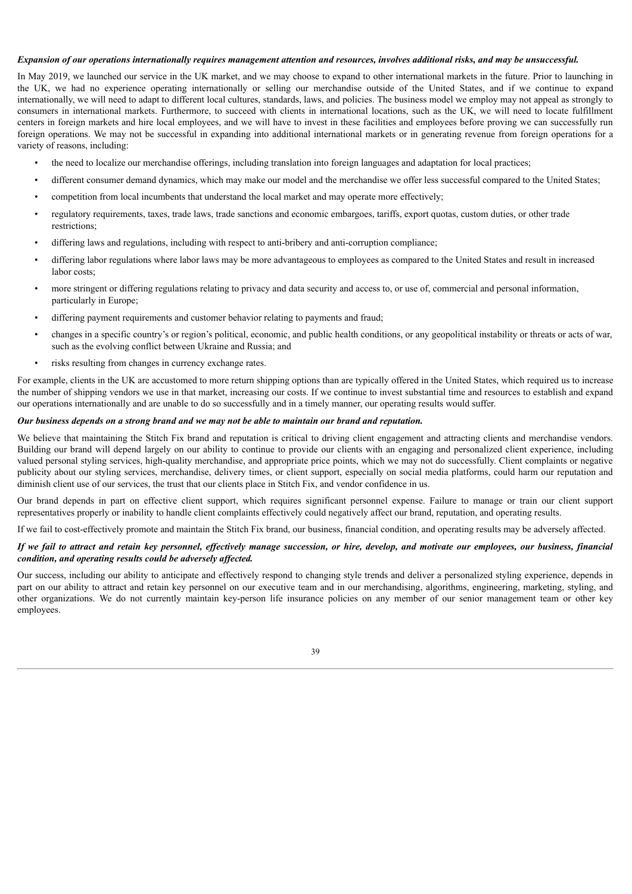# Expansion of our operations internationally requires management attention and resources, involves additional risks, and may be unsuccessful.

In May 2019, we launched our service in the UK market, and we may choose to expand to other international markets in the future. Prior to launching in the UK, we had no experience operating internationally or selling our merchandise outside of the United States, and if we continue to expand internationally, we will need to adapt to different local cultures, standards, laws, and policies. The business model we employ may not appeal as strongly to consumers in international markets. Furthermore, to succeed with clients in international locations, such as the UK, we will need to locate fulfillment centers in foreign markets and hire local employees, and we will have to invest in these facilities and employees before proving we can successfully run foreign operations. We may not be successful in expanding into additional international markets or in generating revenue from foreign operations for a variety of reasons, including:

- the need to localize our merchandise offerings, including translation into foreign languages and adaptation for local practices;
- different consumer demand dynamics, which may make our model and the merchandise we offer less successful compared to the United States;
- competition from local incumbents that understand the local market and may operate more effectively;
- regulatory requirements, taxes, trade laws, trade sanctions and economic embargoes, tariffs, export quotas, custom duties, or other trade restrictions;
- differing laws and regulations, including with respect to anti-bribery and anti-corruption compliance;
- differing labor regulations where labor laws may be more advantageous to employees as compared to the United States and result in increased labor costs;
- more stringent or differing regulations relating to privacy and data security and access to, or use of, commercial and personal information, particularly in Europe;
- differing payment requirements and customer behavior relating to payments and fraud;
- changes in a specific country's or region's political, economic, and public health conditions, or any geopolitical instability or threats or acts of war, such as the evolving conflict between Ukraine and Russia; and
- risks resulting from changes in currency exchange rates.

For example, clients in the UK are accustomed to more return shipping options than are typically offered in the United States, which required us to increase the number of shipping vendors we use in that market, increasing our costs. If we continue to invest substantial time and resources to establish and expand our operations internationally and are unable to do so successfully and in a timely manner, our operating results would suffer.

# Our business depends on a strong brand and we may not be able to maintain our brand and reputation.

We believe that maintaining the Stitch Fix brand and reputation is critical to driving client engagement and attracting clients and merchandise vendors. Building our brand will depend largely on our ability to continue to provide our clients with an engaging and personalized client experience, including valued personal styling services, high-quality merchandise, and appropriate price points, which we may not do successfully. Client complaints or negative publicity about our styling services, merchandise, delivery times, or client support, especially on social media platforms, could harm our reputation and diminish client use of our services, the trust that our clients place in Stitch Fix, and vendor confidence in us.

Our brand depends in part on effective client support, which requires significant personnel expense. Failure to manage or train our client support representatives properly or inability to handle client complaints effectively could negatively affect our brand, reputation, and operating results.

If we fail to cost-effectively promote and maintain the Stitch Fix brand, our business, financial condition, and operating results may be adversely affected.

# If we fail to attract and retain key personnel, effectively manage succession, or hire, develop, and motivate our employees, our business, financial *condition, and operating results could be adversely af ected.*

Our success, including our ability to anticipate and effectively respond to changing style trends and deliver a personalized styling experience, depends in part on our ability to attract and retain key personnel on our executive team and in our merchandising, algorithms, engineering, marketing, styling, and other organizations. We do not currently maintain key-person life insurance policies on any member of our senior management team or other key employees.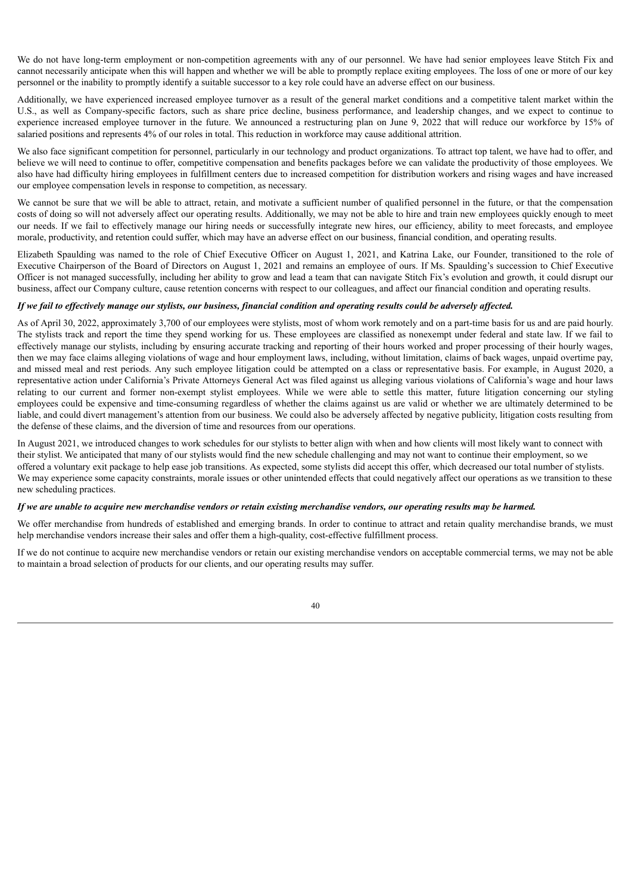We do not have long-term employment or non-competition agreements with any of our personnel. We have had senior employees leave Stitch Fix and cannot necessarily anticipate when this will happen and whether we will be able to promptly replace exiting employees. The loss of one or more of our key personnel or the inability to promptly identify a suitable successor to a key role could have an adverse effect on our business.

Additionally, we have experienced increased employee turnover as a result of the general market conditions and a competitive talent market within the U.S., as well as Company-specific factors, such as share price decline, business performance, and leadership changes, and we expect to continue to experience increased employee turnover in the future. We announced a restructuring plan on June 9, 2022 that will reduce our workforce by 15% of salaried positions and represents 4% of our roles in total. This reduction in workforce may cause additional attrition.

We also face significant competition for personnel, particularly in our technology and product organizations. To attract top talent, we have had to offer, and believe we will need to continue to offer, competitive compensation and benefits packages before we can validate the productivity of those employees. We also have had difficulty hiring employees in fulfillment centers due to increased competition for distribution workers and rising wages and have increased our employee compensation levels in response to competition, as necessary.

We cannot be sure that we will be able to attract, retain, and motivate a sufficient number of qualified personnel in the future, or that the compensation costs of doing so will not adversely affect our operating results. Additionally, we may not be able to hire and train new employees quickly enough to meet our needs. If we fail to effectively manage our hiring needs or successfully integrate new hires, our efficiency, ability to meet forecasts, and employee morale, productivity, and retention could suffer, which may have an adverse effect on our business, financial condition, and operating results.

Elizabeth Spaulding was named to the role of Chief Executive Officer on August 1, 2021, and Katrina Lake, our Founder, transitioned to the role of Executive Chairperson of the Board of Directors on August 1, 2021 and remains an employee of ours. If Ms. Spaulding's succession to Chief Executive Officer is not managed successfully, including her ability to grow and lead a team that can navigate Stitch Fix's evolution and growth, it could disrupt our business, affect our Company culture, cause retention concerns with respect to our colleagues, and affect our financial condition and operating results.

# If we fail to effectively manage our stylists, our business, financial condition and operating results could be adversely affected.

As of April 30, 2022, approximately 3,700 of our employees were stylists, most of whom work remotely and on a part-time basis for us and are paid hourly. The stylists track and report the time they spend working for us. These employees are classified as nonexempt under federal and state law. If we fail to effectively manage our stylists, including by ensuring accurate tracking and reporting of their hours worked and proper processing of their hourly wages, then we may face claims alleging violations of wage and hour employment laws, including, without limitation, claims of back wages, unpaid overtime pay, and missed meal and rest periods. Any such employee litigation could be attempted on a class or representative basis. For example, in August 2020, a representative action under California's Private Attorneys General Act was filed against us alleging various violations of California's wage and hour laws relating to our current and former non-exempt stylist employees. While we were able to settle this matter, future litigation concerning our styling employees could be expensive and time-consuming regardless of whether the claims against us are valid or whether we are ultimately determined to be liable, and could divert management's attention from our business. We could also be adversely affected by negative publicity, litigation costs resulting from the defense of these claims, and the diversion of time and resources from our operations.

In August 2021, we introduced changes to work schedules for our stylists to better align with when and how clients will most likely want to connect with their stylist. We anticipated that many of our stylists would find the new schedule challenging and may not want to continue their employment, so we offered a voluntary exit package to help ease job transitions. As expected, some stylists did accept this offer, which decreased our total number of stylists. We may experience some capacity constraints, morale issues or other unintended effects that could negatively affect our operations as we transition to these new scheduling practices.

## If we are unable to acquire new merchandise vendors or retain existing merchandise vendors, our operating results may be harmed.

We offer merchandise from hundreds of established and emerging brands. In order to continue to attract and retain quality merchandise brands, we must help merchandise vendors increase their sales and offer them a high-quality, cost-effective fulfillment process.

If we do not continue to acquire new merchandise vendors or retain our existing merchandise vendors on acceptable commercial terms, we may not be able to maintain a broad selection of products for our clients, and our operating results may suffer.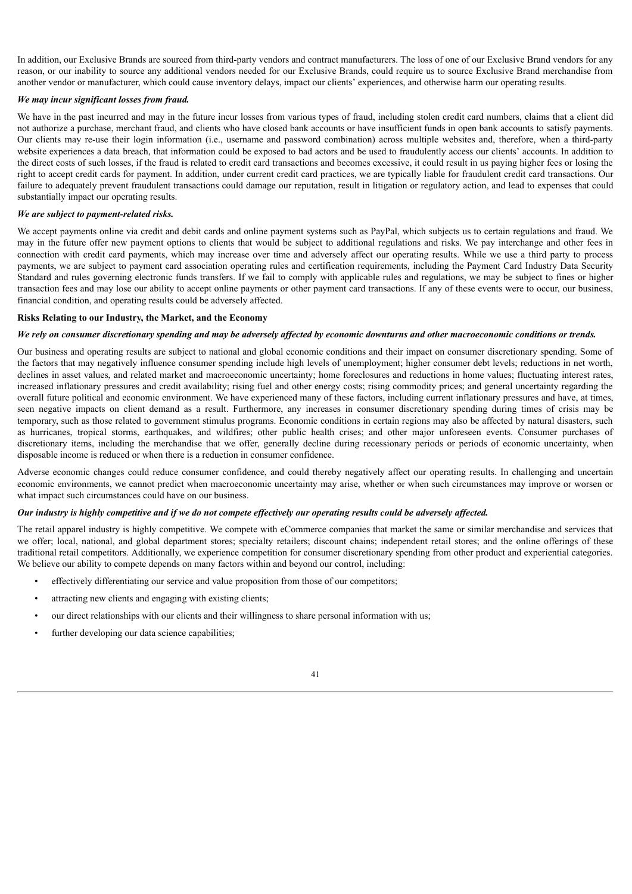In addition, our Exclusive Brands are sourced from third-party vendors and contract manufacturers. The loss of one of our Exclusive Brand vendors for any reason, or our inability to source any additional vendors needed for our Exclusive Brands, could require us to source Exclusive Brand merchandise from another vendor or manufacturer, which could cause inventory delays, impact our clients' experiences, and otherwise harm our operating results.

# *We may incur significant losses from fraud.*

We have in the past incurred and may in the future incur losses from various types of fraud, including stolen credit card numbers, claims that a client did not authorize a purchase, merchant fraud, and clients who have closed bank accounts or have insufficient funds in open bank accounts to satisfy payments. Our clients may re-use their login information (i.e., username and password combination) across multiple websites and, therefore, when a third-party website experiences a data breach, that information could be exposed to bad actors and be used to fraudulently access our clients' accounts. In addition to the direct costs of such losses, if the fraud is related to credit card transactions and becomes excessive, it could result in us paying higher fees or losing the right to accept credit cards for payment. In addition, under current credit card practices, we are typically liable for fraudulent credit card transactions. Our failure to adequately prevent fraudulent transactions could damage our reputation, result in litigation or regulatory action, and lead to expenses that could substantially impact our operating results.

#### *We are subject to payment-related risks.*

We accept payments online via credit and debit cards and online payment systems such as PayPal, which subjects us to certain regulations and fraud. We may in the future offer new payment options to clients that would be subject to additional regulations and risks. We pay interchange and other fees in connection with credit card payments, which may increase over time and adversely affect our operating results. While we use a third party to process payments, we are subject to payment card association operating rules and certification requirements, including the Payment Card Industry Data Security Standard and rules governing electronic funds transfers. If we fail to comply with applicable rules and regulations, we may be subject to fines or higher transaction fees and may lose our ability to accept online payments or other payment card transactions. If any of these events were to occur, our business, financial condition, and operating results could be adversely affected.

# **Risks Relating to our Industry, the Market, and the Economy**

# We rely on consumer discretionary spending and may be adversely affected by economic downturns and other macroeconomic conditions or trends.

Our business and operating results are subject to national and global economic conditions and their impact on consumer discretionary spending. Some of the factors that may negatively influence consumer spending include high levels of unemployment; higher consumer debt levels; reductions in net worth, declines in asset values, and related market and macroeconomic uncertainty; home foreclosures and reductions in home values; fluctuating interest rates, increased inflationary pressures and credit availability; rising fuel and other energy costs; rising commodity prices; and general uncertainty regarding the overall future political and economic environment. We have experienced many of these factors, including current inflationary pressures and have, at times, seen negative impacts on client demand as a result. Furthermore, any increases in consumer discretionary spending during times of crisis may be temporary, such as those related to government stimulus programs. Economic conditions in certain regions may also be affected by natural disasters, such as hurricanes, tropical storms, earthquakes, and wildfires; other public health crises; and other major unforeseen events. Consumer purchases of discretionary items, including the merchandise that we offer, generally decline during recessionary periods or periods of economic uncertainty, when disposable income is reduced or when there is a reduction in consumer confidence.

Adverse economic changes could reduce consumer confidence, and could thereby negatively affect our operating results. In challenging and uncertain economic environments, we cannot predict when macroeconomic uncertainty may arise, whether or when such circumstances may improve or worsen or what impact such circumstances could have on our business.

# Our industry is highly competitive and if we do not compete effectively our operating results could be adversely affected.

The retail apparel industry is highly competitive. We compete with eCommerce companies that market the same or similar merchandise and services that we offer; local, national, and global department stores; specialty retailers; discount chains; independent retail stores; and the online offerings of these traditional retail competitors. Additionally, we experience competition for consumer discretionary spending from other product and experiential categories. We believe our ability to compete depends on many factors within and beyond our control, including:

- effectively differentiating our service and value proposition from those of our competitors;
- attracting new clients and engaging with existing clients;
- our direct relationships with our clients and their willingness to share personal information with us;
- further developing our data science capabilities;

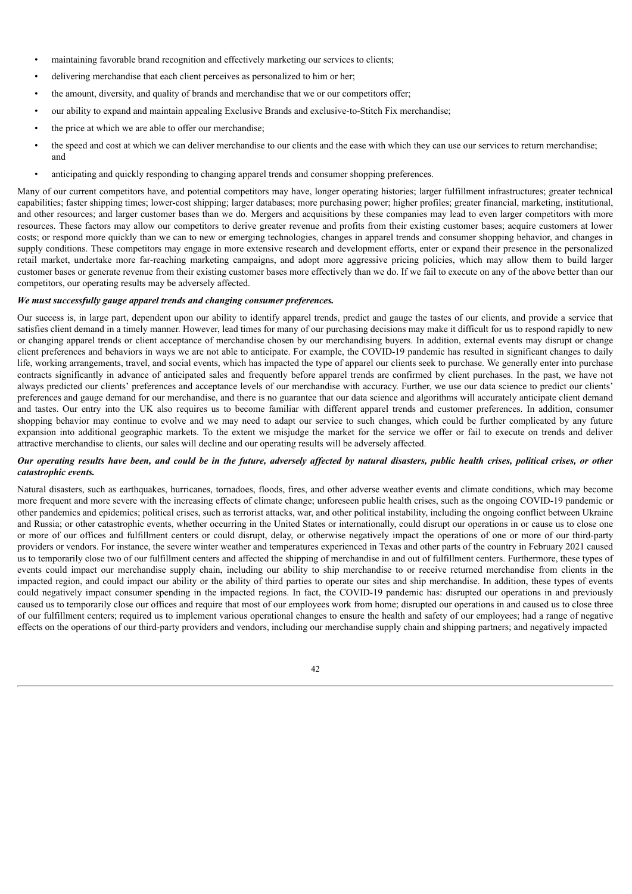- maintaining favorable brand recognition and effectively marketing our services to clients;
- delivering merchandise that each client perceives as personalized to him or her;
- the amount, diversity, and quality of brands and merchandise that we or our competitors offer;
- our ability to expand and maintain appealing Exclusive Brands and exclusive-to-Stitch Fix merchandise;
- the price at which we are able to offer our merchandise;
- the speed and cost at which we can deliver merchandise to our clients and the ease with which they can use our services to return merchandise; and
- anticipating and quickly responding to changing apparel trends and consumer shopping preferences.

Many of our current competitors have, and potential competitors may have, longer operating histories; larger fulfillment infrastructures; greater technical capabilities; faster shipping times; lower-cost shipping; larger databases; more purchasing power; higher profiles; greater financial, marketing, institutional, and other resources; and larger customer bases than we do. Mergers and acquisitions by these companies may lead to even larger competitors with more resources. These factors may allow our competitors to derive greater revenue and profits from their existing customer bases; acquire customers at lower costs; or respond more quickly than we can to new or emerging technologies, changes in apparel trends and consumer shopping behavior, and changes in supply conditions. These competitors may engage in more extensive research and development efforts, enter or expand their presence in the personalized retail market, undertake more far-reaching marketing campaigns, and adopt more aggressive pricing policies, which may allow them to build larger customer bases or generate revenue from their existing customer bases more effectively than we do. If we fail to execute on any of the above better than our competitors, our operating results may be adversely affected.

# *We must successfully gauge apparel trends and changing consumer preferences.*

Our success is, in large part, dependent upon our ability to identify apparel trends, predict and gauge the tastes of our clients, and provide a service that satisfies client demand in a timely manner. However, lead times for many of our purchasing decisions may make it difficult for us to respond rapidly to new or changing apparel trends or client acceptance of merchandise chosen by our merchandising buyers. In addition, external events may disrupt or change client preferences and behaviors in ways we are not able to anticipate. For example, the COVID-19 pandemic has resulted in significant changes to daily life, working arrangements, travel, and social events, which has impacted the type of apparel our clients seek to purchase. We generally enter into purchase contracts significantly in advance of anticipated sales and frequently before apparel trends are confirmed by client purchases. In the past, we have not always predicted our clients' preferences and acceptance levels of our merchandise with accuracy. Further, we use our data science to predict our clients' preferences and gauge demand for our merchandise, and there is no guarantee that our data science and algorithms will accurately anticipate client demand and tastes. Our entry into the UK also requires us to become familiar with different apparel trends and customer preferences. In addition, consumer shopping behavior may continue to evolve and we may need to adapt our service to such changes, which could be further complicated by any future expansion into additional geographic markets. To the extent we misjudge the market for the service we offer or fail to execute on trends and deliver attractive merchandise to clients, our sales will decline and our operating results will be adversely affected.

## Our operating results have been, and could be in the future, adversely affected by natural disasters, public health crises, political crises, or other *catastrophic events.*

Natural disasters, such as earthquakes, hurricanes, tornadoes, floods, fires, and other adverse weather events and climate conditions, which may become more frequent and more severe with the increasing effects of climate change; unforeseen public health crises, such as the ongoing COVID-19 pandemic or other pandemics and epidemics; political crises, such as terrorist attacks, war, and other political instability, including the ongoing conflict between Ukraine and Russia; or other catastrophic events, whether occurring in the United States or internationally, could disrupt our operations in or cause us to close one or more of our offices and fulfillment centers or could disrupt, delay, or otherwise negatively impact the operations of one or more of our third-party providers or vendors. For instance, the severe winter weather and temperatures experienced in Texas and other parts of the country in February 2021 caused us to temporarily close two of our fulfillment centers and affected the shipping of merchandise in and out of fulfillment centers. Furthermore, these types of events could impact our merchandise supply chain, including our ability to ship merchandise to or receive returned merchandise from clients in the impacted region, and could impact our ability or the ability of third parties to operate our sites and ship merchandise. In addition, these types of events could negatively impact consumer spending in the impacted regions. In fact, the COVID-19 pandemic has: disrupted our operations in and previously caused us to temporarily close our offices and require that most of our employees work from home; disrupted our operations in and caused us to close three of our fulfillment centers; required us to implement various operational changes to ensure the health and safety of our employees; had a range of negative effects on the operations of our third-party providers and vendors, including our merchandise supply chain and shipping partners; and negatively impacted

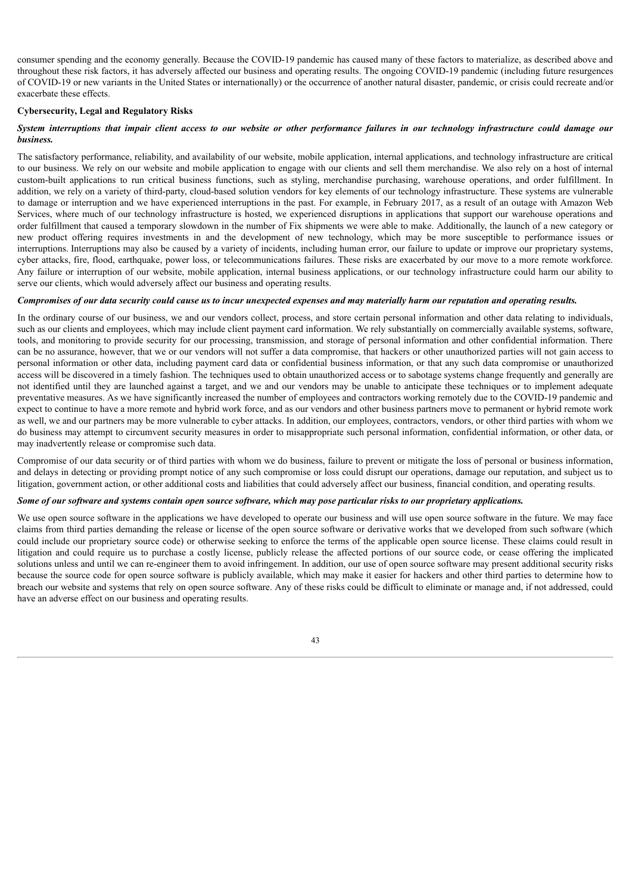consumer spending and the economy generally. Because the COVID-19 pandemic has caused many of these factors to materialize, as described above and throughout these risk factors, it has adversely affected our business and operating results. The ongoing COVID-19 pandemic (including future resurgences of COVID-19 or new variants in the United States or internationally) or the occurrence of another natural disaster, pandemic, or crisis could recreate and/or exacerbate these effects.

# **Cybersecurity, Legal and Regulatory Risks**

# System interruptions that impair client access to our website or other performance failures in our technology infrastructure could damage our *business.*

The satisfactory performance, reliability, and availability of our website, mobile application, internal applications, and technology infrastructure are critical to our business. We rely on our website and mobile application to engage with our clients and sell them merchandise. We also rely on a host of internal custom-built applications to run critical business functions, such as styling, merchandise purchasing, warehouse operations, and order fulfillment. In addition, we rely on a variety of third-party, cloud-based solution vendors for key elements of our technology infrastructure. These systems are vulnerable to damage or interruption and we have experienced interruptions in the past. For example, in February 2017, as a result of an outage with Amazon Web Services, where much of our technology infrastructure is hosted, we experienced disruptions in applications that support our warehouse operations and order fulfillment that caused a temporary slowdown in the number of Fix shipments we were able to make. Additionally, the launch of a new category or new product offering requires investments in and the development of new technology, which may be more susceptible to performance issues or interruptions. Interruptions may also be caused by a variety of incidents, including human error, our failure to update or improve our proprietary systems, cyber attacks, fire, flood, earthquake, power loss, or telecommunications failures. These risks are exacerbated by our move to a more remote workforce. Any failure or interruption of our website, mobile application, internal business applications, or our technology infrastructure could harm our ability to serve our clients, which would adversely affect our business and operating results.

# Compromises of our data security could cause us to incur unexpected expenses and may materially harm our reputation and operating results.

In the ordinary course of our business, we and our vendors collect, process, and store certain personal information and other data relating to individuals, such as our clients and employees, which may include client payment card information. We rely substantially on commercially available systems, software, tools, and monitoring to provide security for our processing, transmission, and storage of personal information and other confidential information. There can be no assurance, however, that we or our vendors will not suffer a data compromise, that hackers or other unauthorized parties will not gain access to personal information or other data, including payment card data or confidential business information, or that any such data compromise or unauthorized access will be discovered in a timely fashion. The techniques used to obtain unauthorized access or to sabotage systems change frequently and generally are not identified until they are launched against a target, and we and our vendors may be unable to anticipate these techniques or to implement adequate preventative measures. As we have significantly increased the number of employees and contractors working remotely due to the COVID-19 pandemic and expect to continue to have a more remote and hybrid work force, and as our vendors and other business partners move to permanent or hybrid remote work as well, we and our partners may be more vulnerable to cyber attacks. In addition, our employees, contractors, vendors, or other third parties with whom we do business may attempt to circumvent security measures in order to misappropriate such personal information, confidential information, or other data, or may inadvertently release or compromise such data.

Compromise of our data security or of third parties with whom we do business, failure to prevent or mitigate the loss of personal or business information, and delays in detecting or providing prompt notice of any such compromise or loss could disrupt our operations, damage our reputation, and subject us to litigation, government action, or other additional costs and liabilities that could adversely affect our business, financial condition, and operating results.

# Some of our software and systems contain open source software, which may pose particular risks to our proprietary applications.

We use open source software in the applications we have developed to operate our business and will use open source software in the future. We may face claims from third parties demanding the release or license of the open source software or derivative works that we developed from such software (which could include our proprietary source code) or otherwise seeking to enforce the terms of the applicable open source license. These claims could result in litigation and could require us to purchase a costly license, publicly release the affected portions of our source code, or cease offering the implicated solutions unless and until we can re-engineer them to avoid infringement. In addition, our use of open source software may present additional security risks because the source code for open source software is publicly available, which may make it easier for hackers and other third parties to determine how to breach our website and systems that rely on open source software. Any of these risks could be difficult to eliminate or manage and, if not addressed, could have an adverse effect on our business and operating results.

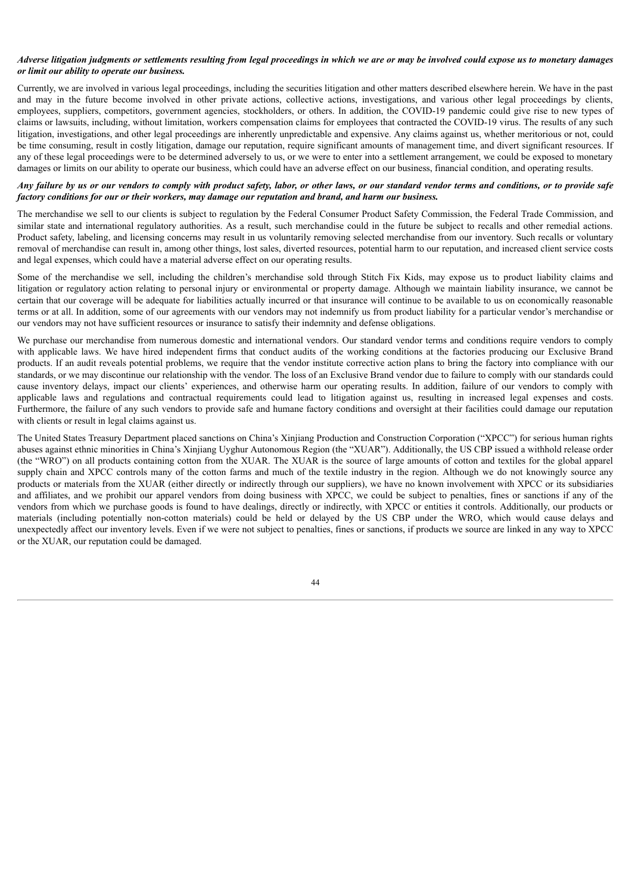# Adverse litigation judgments or settlements resulting from legal proceedings in which we are or may be involved could expose us to monetary damages *or limit our ability to operate our business.*

Currently, we are involved in various legal proceedings, including the securities litigation and other matters described elsewhere herein. We have in the past and may in the future become involved in other private actions, collective actions, investigations, and various other legal proceedings by clients, employees, suppliers, competitors, government agencies, stockholders, or others. In addition, the COVID-19 pandemic could give rise to new types of claims or lawsuits, including, without limitation, workers compensation claims for employees that contracted the COVID-19 virus. The results of any such litigation, investigations, and other legal proceedings are inherently unpredictable and expensive. Any claims against us, whether meritorious or not, could be time consuming, result in costly litigation, damage our reputation, require significant amounts of management time, and divert significant resources. If any of these legal proceedings were to be determined adversely to us, or we were to enter into a settlement arrangement, we could be exposed to monetary damages or limits on our ability to operate our business, which could have an adverse effect on our business, financial condition, and operating results.

# Any failure by us or our vendors to comply with product safety, labor, or other laws, or our standard vendor terms and conditions, or to provide safe *factory conditions for our or their workers, may damage our reputation and brand, and harm our business.*

The merchandise we sell to our clients is subject to regulation by the Federal Consumer Product Safety Commission, the Federal Trade Commission, and similar state and international regulatory authorities. As a result, such merchandise could in the future be subject to recalls and other remedial actions. Product safety, labeling, and licensing concerns may result in us voluntarily removing selected merchandise from our inventory. Such recalls or voluntary removal of merchandise can result in, among other things, lost sales, diverted resources, potential harm to our reputation, and increased client service costs and legal expenses, which could have a material adverse effect on our operating results.

Some of the merchandise we sell, including the children's merchandise sold through Stitch Fix Kids, may expose us to product liability claims and litigation or regulatory action relating to personal injury or environmental or property damage. Although we maintain liability insurance, we cannot be certain that our coverage will be adequate for liabilities actually incurred or that insurance will continue to be available to us on economically reasonable terms or at all. In addition, some of our agreements with our vendors may not indemnify us from product liability for a particular vendor's merchandise or our vendors may not have sufficient resources or insurance to satisfy their indemnity and defense obligations.

We purchase our merchandise from numerous domestic and international vendors. Our standard vendor terms and conditions require vendors to comply with applicable laws. We have hired independent firms that conduct audits of the working conditions at the factories producing our Exclusive Brand products. If an audit reveals potential problems, we require that the vendor institute corrective action plans to bring the factory into compliance with our standards, or we may discontinue our relationship with the vendor. The loss of an Exclusive Brand vendor due to failure to comply with our standards could cause inventory delays, impact our clients' experiences, and otherwise harm our operating results. In addition, failure of our vendors to comply with applicable laws and regulations and contractual requirements could lead to litigation against us, resulting in increased legal expenses and costs. Furthermore, the failure of any such vendors to provide safe and humane factory conditions and oversight at their facilities could damage our reputation with clients or result in legal claims against us.

The United States Treasury Department placed sanctions on China's Xinjiang Production and Construction Corporation ("XPCC") for serious human rights abuses against ethnic minorities in China's Xinjiang Uyghur Autonomous Region (the "XUAR"). Additionally, the US CBP issued a withhold release order (the "WRO") on all products containing cotton from the XUAR. The XUAR is the source of large amounts of cotton and textiles for the global apparel supply chain and XPCC controls many of the cotton farms and much of the textile industry in the region. Although we do not knowingly source any products or materials from the XUAR (either directly or indirectly through our suppliers), we have no known involvement with XPCC or its subsidiaries and affiliates, and we prohibit our apparel vendors from doing business with XPCC, we could be subject to penalties, fines or sanctions if any of the vendors from which we purchase goods is found to have dealings, directly or indirectly, with XPCC or entities it controls. Additionally, our products or materials (including potentially non-cotton materials) could be held or delayed by the US CBP under the WRO, which would cause delays and unexpectedly affect our inventory levels. Even if we were not subject to penalties, fines or sanctions, if products we source are linked in any way to XPCC or the XUAR, our reputation could be damaged.

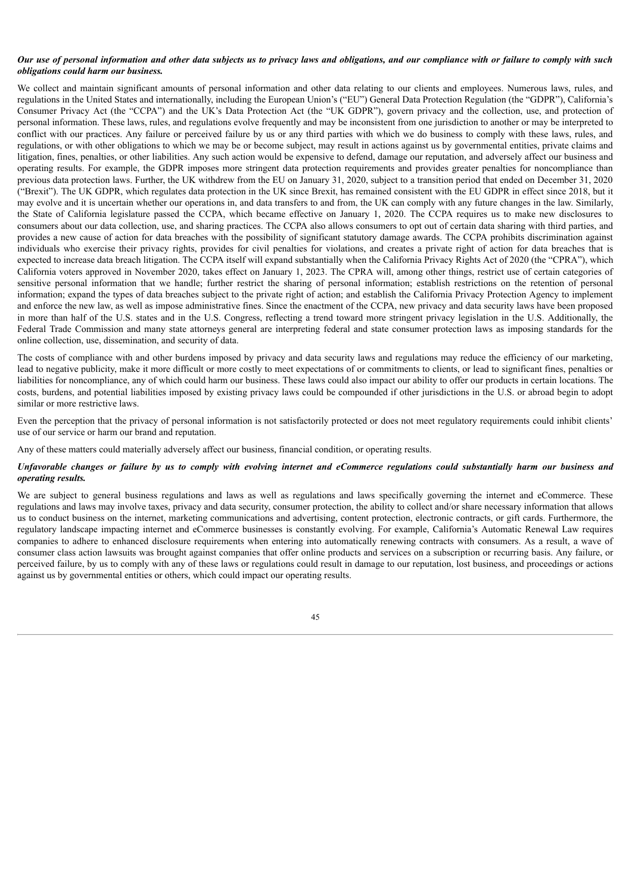### Our use of personal information and other data subjects us to privacy laws and obligations, and our compliance with or failure to comply with such *obligations could harm our business.*

We collect and maintain significant amounts of personal information and other data relating to our clients and employees. Numerous laws, rules, and regulations in the United States and internationally, including the European Union's ("EU") General Data Protection Regulation (the "GDPR"), California's Consumer Privacy Act (the "CCPA") and the UK's Data Protection Act (the "UK GDPR"), govern privacy and the collection, use, and protection of personal information. These laws, rules, and regulations evolve frequently and may be inconsistent from one jurisdiction to another or may be interpreted to conflict with our practices. Any failure or perceived failure by us or any third parties with which we do business to comply with these laws, rules, and regulations, or with other obligations to which we may be or become subject, may result in actions against us by governmental entities, private claims and litigation, fines, penalties, or other liabilities. Any such action would be expensive to defend, damage our reputation, and adversely affect our business and operating results. For example, the GDPR imposes more stringent data protection requirements and provides greater penalties for noncompliance than previous data protection laws. Further, the UK withdrew from the EU on January 31, 2020, subject to a transition period that ended on December 31, 2020 ("Brexit"). The UK GDPR, which regulates data protection in the UK since Brexit, has remained consistent with the EU GDPR in effect since 2018, but it may evolve and it is uncertain whether our operations in, and data transfers to and from, the UK can comply with any future changes in the law. Similarly, the State of California legislature passed the CCPA, which became effective on January 1, 2020. The CCPA requires us to make new disclosures to consumers about our data collection, use, and sharing practices. The CCPA also allows consumers to opt out of certain data sharing with third parties, and provides a new cause of action for data breaches with the possibility of significant statutory damage awards. The CCPA prohibits discrimination against individuals who exercise their privacy rights, provides for civil penalties for violations, and creates a private right of action for data breaches that is expected to increase data breach litigation. The CCPA itself will expand substantially when the California Privacy Rights Act of 2020 (the "CPRA"), which California voters approved in November 2020, takes effect on January 1, 2023. The CPRA will, among other things, restrict use of certain categories of sensitive personal information that we handle; further restrict the sharing of personal information; establish restrictions on the retention of personal information; expand the types of data breaches subject to the private right of action; and establish the California Privacy Protection Agency to implement and enforce the new law, as well as impose administrative fines. Since the enactment of the CCPA, new privacy and data security laws have been proposed in more than half of the U.S. states and in the U.S. Congress, reflecting a trend toward more stringent privacy legislation in the U.S. Additionally, the Federal Trade Commission and many state attorneys general are interpreting federal and state consumer protection laws as imposing standards for the online collection, use, dissemination, and security of data.

The costs of compliance with and other burdens imposed by privacy and data security laws and regulations may reduce the efficiency of our marketing, lead to negative publicity, make it more difficult or more costly to meet expectations of or commitments to clients, or lead to significant fines, penalties or liabilities for noncompliance, any of which could harm our business. These laws could also impact our ability to offer our products in certain locations. The costs, burdens, and potential liabilities imposed by existing privacy laws could be compounded if other jurisdictions in the U.S. or abroad begin to adopt similar or more restrictive laws.

Even the perception that the privacy of personal information is not satisfactorily protected or does not meet regulatory requirements could inhibit clients' use of our service or harm our brand and reputation.

Any of these matters could materially adversely affect our business, financial condition, or operating results.

# Unfavorable changes or failure by us to comply with evolving internet and eCommerce regulations could substantially harm our business and *operating results.*

We are subject to general business regulations and laws as well as regulations and laws specifically governing the internet and eCommerce. These regulations and laws may involve taxes, privacy and data security, consumer protection, the ability to collect and/or share necessary information that allows us to conduct business on the internet, marketing communications and advertising, content protection, electronic contracts, or gift cards. Furthermore, the regulatory landscape impacting internet and eCommerce businesses is constantly evolving. For example, California's Automatic Renewal Law requires companies to adhere to enhanced disclosure requirements when entering into automatically renewing contracts with consumers. As a result, a wave of consumer class action lawsuits was brought against companies that offer online products and services on a subscription or recurring basis. Any failure, or perceived failure, by us to comply with any of these laws or regulations could result in damage to our reputation, lost business, and proceedings or actions against us by governmental entities or others, which could impact our operating results.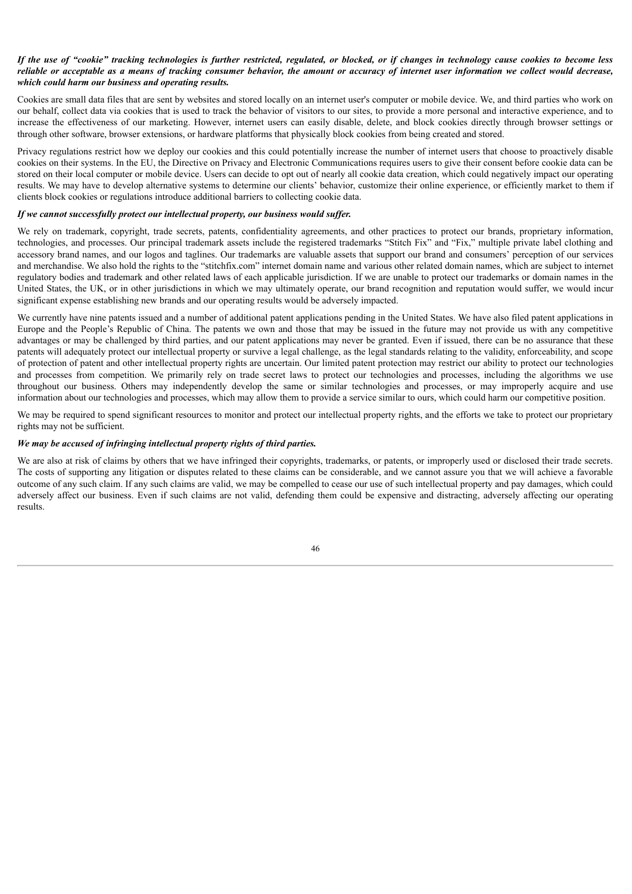# If the use of "cookie" tracking technologies is further restricted, regulated, or blocked, or if changes in technology cause cookies to become less reliable or acceptable as a means of tracking consumer behavior, the amount or accuracy of internet user information we collect would decrease, *which could harm our business and operating results.*

Cookies are small data files that are sent by websites and stored locally on an internet user's computer or mobile device. We, and third parties who work on our behalf, collect data via cookies that is used to track the behavior of visitors to our sites, to provide a more personal and interactive experience, and to increase the effectiveness of our marketing. However, internet users can easily disable, delete, and block cookies directly through browser settings or through other software, browser extensions, or hardware platforms that physically block cookies from being created and stored.

Privacy regulations restrict how we deploy our cookies and this could potentially increase the number of internet users that choose to proactively disable cookies on their systems. In the EU, the Directive on Privacy and Electronic Communications requires users to give their consent before cookie data can be stored on their local computer or mobile device. Users can decide to opt out of nearly all cookie data creation, which could negatively impact our operating results. We may have to develop alternative systems to determine our clients' behavior, customize their online experience, or efficiently market to them if clients block cookies or regulations introduce additional barriers to collecting cookie data.

# *If* we cannot successfully protect our intellectual property, our business would suffer.

We rely on trademark, copyright, trade secrets, patents, confidentiality agreements, and other practices to protect our brands, proprietary information, technologies, and processes. Our principal trademark assets include the registered trademarks "Stitch Fix" and "Fix," multiple private label clothing and accessory brand names, and our logos and taglines. Our trademarks are valuable assets that support our brand and consumers' perception of our services and merchandise. We also hold the rights to the "stitchfix.com" internet domain name and various other related domain names, which are subject to internet regulatory bodies and trademark and other related laws of each applicable jurisdiction. If we are unable to protect our trademarks or domain names in the United States, the UK, or in other jurisdictions in which we may ultimately operate, our brand recognition and reputation would suffer, we would incur significant expense establishing new brands and our operating results would be adversely impacted.

We currently have nine patents issued and a number of additional patent applications pending in the United States. We have also filed patent applications in Europe and the People's Republic of China. The patents we own and those that may be issued in the future may not provide us with any competitive advantages or may be challenged by third parties, and our patent applications may never be granted. Even if issued, there can be no assurance that these patents will adequately protect our intellectual property or survive a legal challenge, as the legal standards relating to the validity, enforceability, and scope of protection of patent and other intellectual property rights are uncertain. Our limited patent protection may restrict our ability to protect our technologies and processes from competition. We primarily rely on trade secret laws to protect our technologies and processes, including the algorithms we use throughout our business. Others may independently develop the same or similar technologies and processes, or may improperly acquire and use information about our technologies and processes, which may allow them to provide a service similar to ours, which could harm our competitive position.

We may be required to spend significant resources to monitor and protect our intellectual property rights, and the efforts we take to protect our proprietary rights may not be sufficient.

# *We may be accused of infringing intellectual property rights of third parties.*

We are also at risk of claims by others that we have infringed their copyrights, trademarks, or patents, or improperly used or disclosed their trade secrets. The costs of supporting any litigation or disputes related to these claims can be considerable, and we cannot assure you that we will achieve a favorable outcome of any such claim. If any such claims are valid, we may be compelled to cease our use of such intellectual property and pay damages, which could adversely affect our business. Even if such claims are not valid, defending them could be expensive and distracting, adversely affecting our operating results.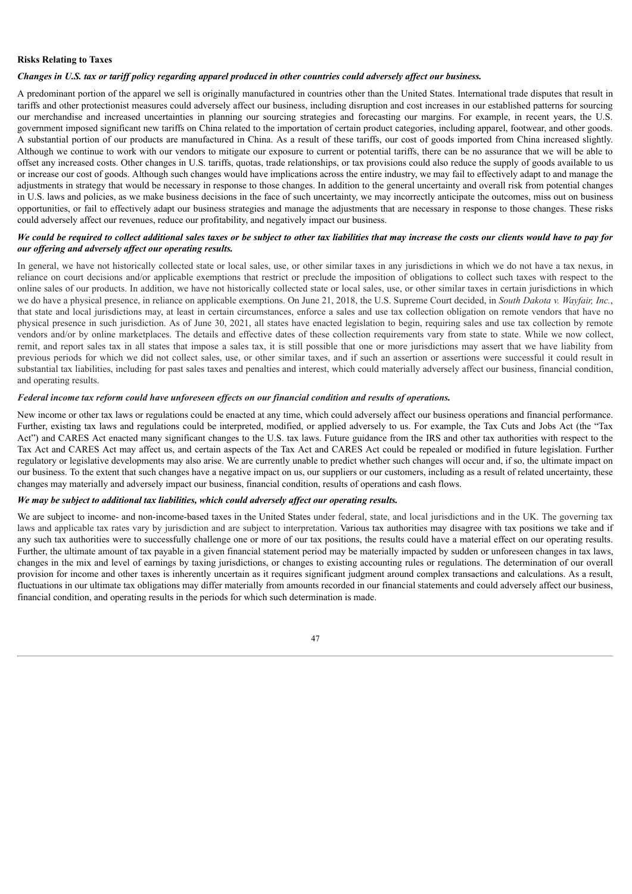#### **Risks Relating to Taxes**

# Changes in U.S. tax or tariff policy regarding apparel produced in other countries could adversely affect our business.

A predominant portion of the apparel we sell is originally manufactured in countries other than the United States. International trade disputes that result in tariffs and other protectionist measures could adversely affect our business, including disruption and cost increases in our established patterns for sourcing our merchandise and increased uncertainties in planning our sourcing strategies and forecasting our margins. For example, in recent years, the U.S. government imposed significant new tariffs on China related to the importation of certain product categories, including apparel, footwear, and other goods. A substantial portion of our products are manufactured in China. As a result of these tariffs, our cost of goods imported from China increased slightly. Although we continue to work with our vendors to mitigate our exposure to current or potential tariffs, there can be no assurance that we will be able to offset any increased costs. Other changes in U.S. tariffs, quotas, trade relationships, or tax provisions could also reduce the supply of goods available to us or increase our cost of goods. Although such changes would have implications across the entire industry, we may fail to effectively adapt to and manage the adjustments in strategy that would be necessary in response to those changes. In addition to the general uncertainty and overall risk from potential changes in U.S. laws and policies, as we make business decisions in the face of such uncertainty, we may incorrectly anticipate the outcomes, miss out on business opportunities, or fail to effectively adapt our business strategies and manage the adjustments that are necessary in response to those changes. These risks could adversely affect our revenues, reduce our profitability, and negatively impact our business.

# We could be required to collect additional sales taxes or be subject to other tax liabilities that may increase the costs our clients would have to pay for *our of ering and adversely af ect our operating results.*

In general, we have not historically collected state or local sales, use, or other similar taxes in any jurisdictions in which we do not have a tax nexus, in reliance on court decisions and/or applicable exemptions that restrict or preclude the imposition of obligations to collect such taxes with respect to the online sales of our products. In addition, we have not historically collected state or local sales, use, or other similar taxes in certain jurisdictions in which we do have a physical presence, in reliance on applicable exemptions. On June 21, 2018, the U.S. Supreme Court decided, in *South Dakota v. Wayfair, Inc.*, that state and local jurisdictions may, at least in certain circumstances, enforce a sales and use tax collection obligation on remote vendors that have no physical presence in such jurisdiction. As of June 30, 2021, all states have enacted legislation to begin, requiring sales and use tax collection by remote vendors and/or by online marketplaces. The details and effective dates of these collection requirements vary from state to state. While we now collect, remit, and report sales tax in all states that impose a sales tax, it is still possible that one or more jurisdictions may assert that we have liability from previous periods for which we did not collect sales, use, or other similar taxes, and if such an assertion or assertions were successful it could result in substantial tax liabilities, including for past sales taxes and penalties and interest, which could materially adversely affect our business, financial condition, and operating results.

#### Federal income tax reform could have unforeseen effects on our financial condition and results of operations.

New income or other tax laws or regulations could be enacted at any time, which could adversely affect our business operations and financial performance. Further, existing tax laws and regulations could be interpreted, modified, or applied adversely to us. For example, the Tax Cuts and Jobs Act (the "Tax Act") and CARES Act enacted many significant changes to the U.S. tax laws. Future guidance from the IRS and other tax authorities with respect to the Tax Act and CARES Act may affect us, and certain aspects of the Tax Act and CARES Act could be repealed or modified in future legislation. Further regulatory or legislative developments may also arise. We are currently unable to predict whether such changes will occur and, if so, the ultimate impact on our business. To the extent that such changes have a negative impact on us, our suppliers or our customers, including as a result of related uncertainty, these changes may materially and adversely impact our business, financial condition, results of operations and cash flows.

#### *We may be subject to additional tax liabilities, which could adversely af ect our operating results.*

We are subject to income- and non-income-based taxes in the United States under federal, state, and local jurisdictions and in the UK. The governing tax laws and applicable tax rates vary by jurisdiction and are subject to interpretation. Various tax authorities may disagree with tax positions we take and if any such tax authorities were to successfully challenge one or more of our tax positions, the results could have a material effect on our operating results. Further, the ultimate amount of tax payable in a given financial statement period may be materially impacted by sudden or unforeseen changes in tax laws, changes in the mix and level of earnings by taxing jurisdictions, or changes to existing accounting rules or regulations. The determination of our overall provision for income and other taxes is inherently uncertain as it requires significant judgment around complex transactions and calculations. As a result, fluctuations in our ultimate tax obligations may differ materially from amounts recorded in our financial statements and could adversely affect our business, financial condition, and operating results in the periods for which such determination is made.

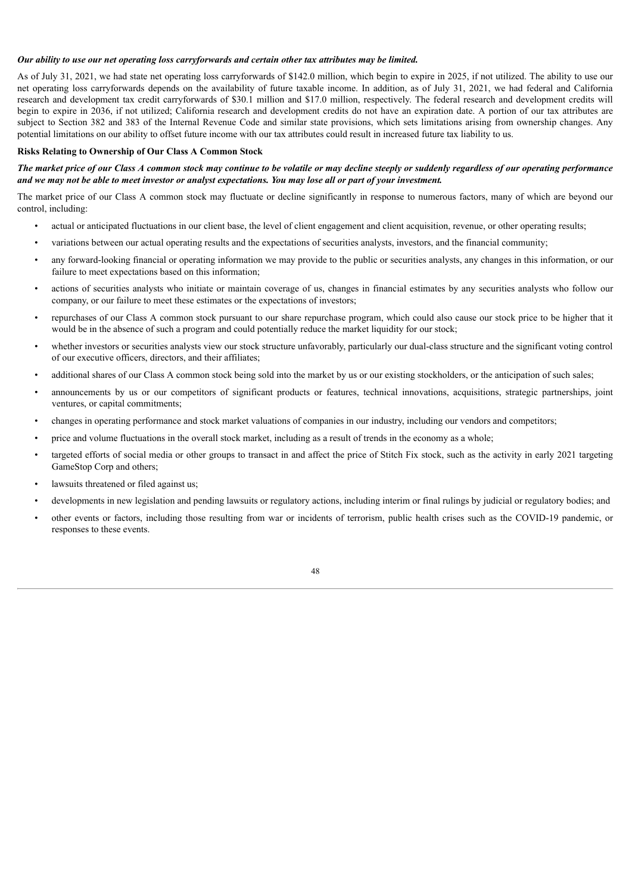#### *Our ability to use our net operating loss carryforwards and certain other tax attributes may be limited.*

As of July 31, 2021, we had state net operating loss carryforwards of \$142.0 million, which begin to expire in 2025, if not utilized. The ability to use our net operating loss carryforwards depends on the availability of future taxable income. In addition, as of July 31, 2021, we had federal and California research and development tax credit carryforwards of \$30.1 million and \$17.0 million, respectively. The federal research and development credits will begin to expire in 2036, if not utilized; California research and development credits do not have an expiration date. A portion of our tax attributes are subject to Section 382 and 383 of the Internal Revenue Code and similar state provisions, which sets limitations arising from ownership changes. Any potential limitations on our ability to offset future income with our tax attributes could result in increased future tax liability to us.

#### **Risks Relating to Ownership of Our Class A Common Stock**

# The market price of our Class A common stock may continue to be volatile or may decline steeply or suddenly regardless of our operating performance and we may not be able to meet investor or analyst expectations. You may lose all or part of your investment.

The market price of our Class A common stock may fluctuate or decline significantly in response to numerous factors, many of which are beyond our control, including:

- actual or anticipated fluctuations in our client base, the level of client engagement and client acquisition, revenue, or other operating results;
- variations between our actual operating results and the expectations of securities analysts, investors, and the financial community;
- any forward-looking financial or operating information we may provide to the public or securities analysts, any changes in this information, or our failure to meet expectations based on this information;
- actions of securities analysts who initiate or maintain coverage of us, changes in financial estimates by any securities analysts who follow our company, or our failure to meet these estimates or the expectations of investors;
- repurchases of our Class A common stock pursuant to our share repurchase program, which could also cause our stock price to be higher that it would be in the absence of such a program and could potentially reduce the market liquidity for our stock;
- whether investors or securities analysts view our stock structure unfavorably, particularly our dual-class structure and the significant voting control of our executive officers, directors, and their affiliates;
- additional shares of our Class A common stock being sold into the market by us or our existing stockholders, or the anticipation of such sales;
- announcements by us or our competitors of significant products or features, technical innovations, acquisitions, strategic partnerships, joint ventures, or capital commitments;
- changes in operating performance and stock market valuations of companies in our industry, including our vendors and competitors;
- price and volume fluctuations in the overall stock market, including as a result of trends in the economy as a whole;
- targeted efforts of social media or other groups to transact in and affect the price of Stitch Fix stock, such as the activity in early 2021 targeting GameStop Corp and others;
- lawsuits threatened or filed against us;
- developments in new legislation and pending lawsuits or regulatory actions, including interim or final rulings by judicial or regulatory bodies; and
- other events or factors, including those resulting from war or incidents of terrorism, public health crises such as the COVID-19 pandemic, or responses to these events.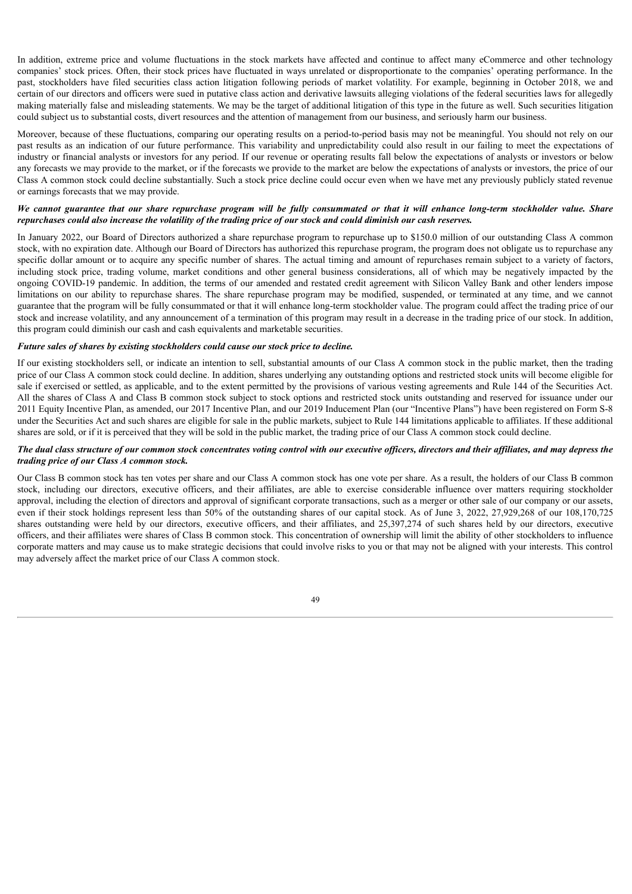In addition, extreme price and volume fluctuations in the stock markets have affected and continue to affect many eCommerce and other technology companies' stock prices. Often, their stock prices have fluctuated in ways unrelated or disproportionate to the companies' operating performance. In the past, stockholders have filed securities class action litigation following periods of market volatility. For example, beginning in October 2018, we and certain of our directors and officers were sued in putative class action and derivative lawsuits alleging violations of the federal securities laws for allegedly making materially false and misleading statements. We may be the target of additional litigation of this type in the future as well. Such securities litigation could subject us to substantial costs, divert resources and the attention of management from our business, and seriously harm our business.

Moreover, because of these fluctuations, comparing our operating results on a period-to-period basis may not be meaningful. You should not rely on our past results as an indication of our future performance. This variability and unpredictability could also result in our failing to meet the expectations of industry or financial analysts or investors for any period. If our revenue or operating results fall below the expectations of analysts or investors or below any forecasts we may provide to the market, or if the forecasts we provide to the market are below the expectations of analysts or investors, the price of our Class A common stock could decline substantially. Such a stock price decline could occur even when we have met any previously publicly stated revenue or earnings forecasts that we may provide.

# We cannot guarantee that our share repurchase program will be fully consummated or that it will enhance long-term stockholder value. Share repurchases could also increase the volatility of the trading price of our stock and could diminish our cash reserves.

In January 2022, our Board of Directors authorized a share repurchase program to repurchase up to \$150.0 million of our outstanding Class A common stock, with no expiration date. Although our Board of Directors has authorized this repurchase program, the program does not obligate us to repurchase any specific dollar amount or to acquire any specific number of shares. The actual timing and amount of repurchases remain subject to a variety of factors, including stock price, trading volume, market conditions and other general business considerations, all of which may be negatively impacted by the ongoing COVID-19 pandemic. In addition, the terms of our amended and restated credit agreement with Silicon Valley Bank and other lenders impose limitations on our ability to repurchase shares. The share repurchase program may be modified, suspended, or terminated at any time, and we cannot guarantee that the program will be fully consummated or that it will enhance long-term stockholder value. The program could affect the trading price of our stock and increase volatility, and any announcement of a termination of this program may result in a decrease in the trading price of our stock. In addition, this program could diminish our cash and cash equivalents and marketable securities.

# *Future sales of shares by existing stockholders could cause our stock price to decline.*

If our existing stockholders sell, or indicate an intention to sell, substantial amounts of our Class A common stock in the public market, then the trading price of our Class A common stock could decline. In addition, shares underlying any outstanding options and restricted stock units will become eligible for sale if exercised or settled, as applicable, and to the extent permitted by the provisions of various vesting agreements and Rule 144 of the Securities Act. All the shares of Class A and Class B common stock subject to stock options and restricted stock units outstanding and reserved for issuance under our 2011 Equity Incentive Plan, as amended, our 2017 Incentive Plan, and our 2019 Inducement Plan (our "Incentive Plans") have been registered on Form S-8 under the Securities Act and such shares are eligible for sale in the public markets, subject to Rule 144 limitations applicable to affiliates. If these additional shares are sold, or if it is perceived that they will be sold in the public market, the trading price of our Class A common stock could decline.

# The dual class structure of our common stock concentrates voting control with our executive officers, directors and their affiliates, and may depress the *trading price of our Class A common stock.*

Our Class B common stock has ten votes per share and our Class A common stock has one vote per share. As a result, the holders of our Class B common stock, including our directors, executive officers, and their affiliates, are able to exercise considerable influence over matters requiring stockholder approval, including the election of directors and approval of significant corporate transactions, such as a merger or other sale of our company or our assets, even if their stock holdings represent less than 50% of the outstanding shares of our capital stock. As of June 3, 2022, 27,929,268 of our 108,170,725 shares outstanding were held by our directors, executive officers, and their affiliates, and 25,397,274 of such shares held by our directors, executive officers, and their affiliates were shares of Class B common stock. This concentration of ownership will limit the ability of other stockholders to influence corporate matters and may cause us to make strategic decisions that could involve risks to you or that may not be aligned with your interests. This control may adversely affect the market price of our Class A common stock.

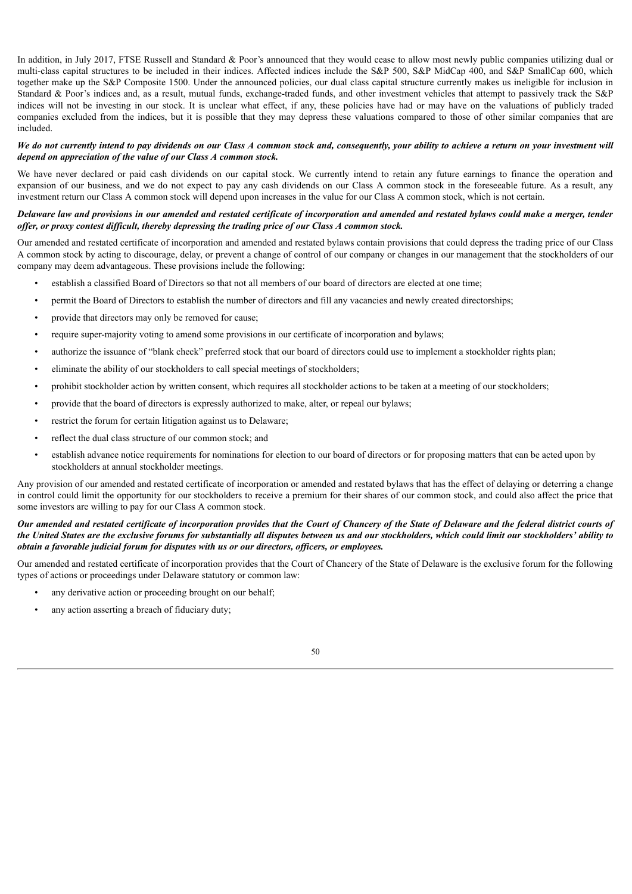In addition, in July 2017, FTSE Russell and Standard & Poor's announced that they would cease to allow most newly public companies utilizing dual or multi-class capital structures to be included in their indices. Affected indices include the S&P 500, S&P MidCap 400, and S&P SmallCap 600, which together make up the S&P Composite 1500. Under the announced policies, our dual class capital structure currently makes us ineligible for inclusion in Standard & Poor's indices and, as a result, mutual funds, exchange-traded funds, and other investment vehicles that attempt to passively track the S&P indices will not be investing in our stock. It is unclear what effect, if any, these policies have had or may have on the valuations of publicly traded companies excluded from the indices, but it is possible that they may depress these valuations compared to those of other similar companies that are included.

# We do not currently intend to pay dividends on our Class A common stock and, consequently, your ability to achieve a return on your investment will *depend on appreciation of the value of our Class A common stock.*

We have never declared or paid cash dividends on our capital stock. We currently intend to retain any future earnings to finance the operation and expansion of our business, and we do not expect to pay any cash dividends on our Class A common stock in the foreseeable future. As a result, any investment return our Class A common stock will depend upon increases in the value for our Class A common stock, which is not certain.

# Delaware law and provisions in our amended and restated certificate of incorporation and amended and restated bylaws could make a merger, tender offer, or proxy contest difficult, thereby depressing the trading price of our Class A common stock.

Our amended and restated certificate of incorporation and amended and restated bylaws contain provisions that could depress the trading price of our Class A common stock by acting to discourage, delay, or prevent a change of control of our company or changes in our management that the stockholders of our company may deem advantageous. These provisions include the following:

- establish a classified Board of Directors so that not all members of our board of directors are elected at one time;
- permit the Board of Directors to establish the number of directors and fill any vacancies and newly created directorships;
- provide that directors may only be removed for cause;
- require super-majority voting to amend some provisions in our certificate of incorporation and bylaws;
- authorize the issuance of "blank check" preferred stock that our board of directors could use to implement a stockholder rights plan;
- eliminate the ability of our stockholders to call special meetings of stockholders;
- prohibit stockholder action by written consent, which requires all stockholder actions to be taken at a meeting of our stockholders;
- provide that the board of directors is expressly authorized to make, alter, or repeal our bylaws;
- restrict the forum for certain litigation against us to Delaware;
- reflect the dual class structure of our common stock; and
- establish advance notice requirements for nominations for election to our board of directors or for proposing matters that can be acted upon by stockholders at annual stockholder meetings.

Any provision of our amended and restated certificate of incorporation or amended and restated bylaws that has the effect of delaying or deterring a change in control could limit the opportunity for our stockholders to receive a premium for their shares of our common stock, and could also affect the price that some investors are willing to pay for our Class A common stock.

# Our amended and restated certificate of incorporation provides that the Court of Chancery of the State of Delaware and the federal district courts of the United States are the exclusive forums for substantially all disputes between us and our stockholders, which could limit our stockholders' ability to *obtain a favorable judicial forum for disputes with us or our directors, of icers, or employees.*

Our amended and restated certificate of incorporation provides that the Court of Chancery of the State of Delaware is the exclusive forum for the following types of actions or proceedings under Delaware statutory or common law:

- any derivative action or proceeding brought on our behalf;
- any action asserting a breach of fiduciary duty;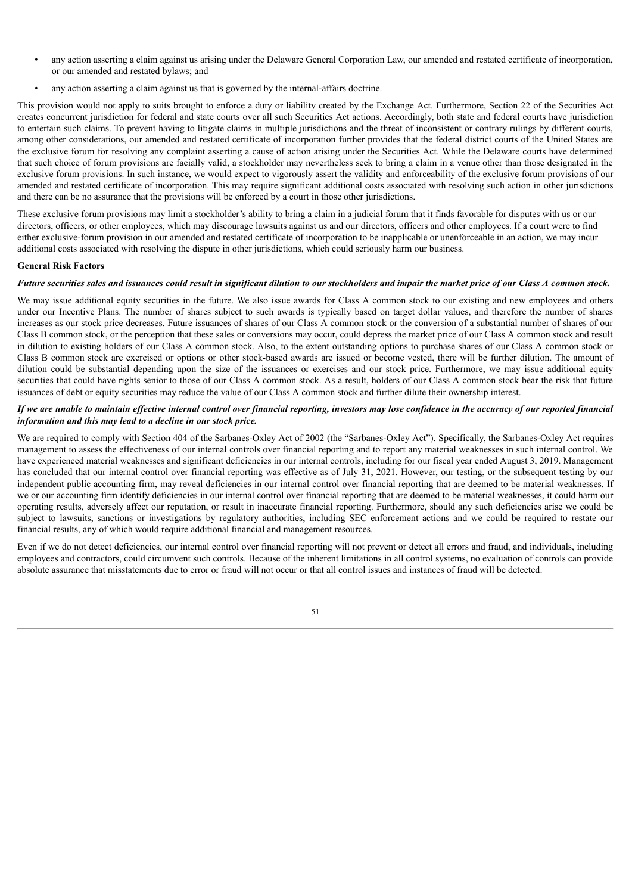- any action asserting a claim against us arising under the Delaware General Corporation Law, our amended and restated certificate of incorporation, or our amended and restated bylaws; and
- any action asserting a claim against us that is governed by the internal-affairs doctrine.

This provision would not apply to suits brought to enforce a duty or liability created by the Exchange Act. Furthermore, Section 22 of the Securities Act creates concurrent jurisdiction for federal and state courts over all such Securities Act actions. Accordingly, both state and federal courts have jurisdiction to entertain such claims. To prevent having to litigate claims in multiple jurisdictions and the threat of inconsistent or contrary rulings by different courts, among other considerations, our amended and restated certificate of incorporation further provides that the federal district courts of the United States are the exclusive forum for resolving any complaint asserting a cause of action arising under the Securities Act. While the Delaware courts have determined that such choice of forum provisions are facially valid, a stockholder may nevertheless seek to bring a claim in a venue other than those designated in the exclusive forum provisions. In such instance, we would expect to vigorously assert the validity and enforceability of the exclusive forum provisions of our amended and restated certificate of incorporation. This may require significant additional costs associated with resolving such action in other jurisdictions and there can be no assurance that the provisions will be enforced by a court in those other jurisdictions.

These exclusive forum provisions may limit a stockholder's ability to bring a claim in a judicial forum that it finds favorable for disputes with us or our directors, officers, or other employees, which may discourage lawsuits against us and our directors, officers and other employees. If a court were to find either exclusive-forum provision in our amended and restated certificate of incorporation to be inapplicable or unenforceable in an action, we may incur additional costs associated with resolving the dispute in other jurisdictions, which could seriously harm our business.

# **General Risk Factors**

# Future securities sales and issuances could result in significant dilution to our stockholders and impair the market price of our Class A common stock.

We may issue additional equity securities in the future. We also issue awards for Class A common stock to our existing and new employees and others under our Incentive Plans. The number of shares subject to such awards is typically based on target dollar values, and therefore the number of shares increases as our stock price decreases. Future issuances of shares of our Class A common stock or the conversion of a substantial number of shares of our Class B common stock, or the perception that these sales or conversions may occur, could depress the market price of our Class A common stock and result in dilution to existing holders of our Class A common stock. Also, to the extent outstanding options to purchase shares of our Class A common stock or Class B common stock are exercised or options or other stock-based awards are issued or become vested, there will be further dilution. The amount of dilution could be substantial depending upon the size of the issuances or exercises and our stock price. Furthermore, we may issue additional equity securities that could have rights senior to those of our Class A common stock. As a result, holders of our Class A common stock bear the risk that future issuances of debt or equity securities may reduce the value of our Class A common stock and further dilute their ownership interest.

# If we are unable to maintain effective internal control over financial reporting, investors may lose confidence in the accuracy of our reported financial *information and this may lead to a decline in our stock price.*

We are required to comply with Section 404 of the Sarbanes-Oxley Act of 2002 (the "Sarbanes-Oxley Act"). Specifically, the Sarbanes-Oxley Act requires management to assess the effectiveness of our internal controls over financial reporting and to report any material weaknesses in such internal control. We have experienced material weaknesses and significant deficiencies in our internal controls, including for our fiscal year ended August 3, 2019. Management has concluded that our internal control over financial reporting was effective as of July 31, 2021. However, our testing, or the subsequent testing by our independent public accounting firm, may reveal deficiencies in our internal control over financial reporting that are deemed to be material weaknesses. If we or our accounting firm identify deficiencies in our internal control over financial reporting that are deemed to be material weaknesses, it could harm our operating results, adversely affect our reputation, or result in inaccurate financial reporting. Furthermore, should any such deficiencies arise we could be subject to lawsuits, sanctions or investigations by regulatory authorities, including SEC enforcement actions and we could be required to restate our financial results, any of which would require additional financial and management resources.

Even if we do not detect deficiencies, our internal control over financial reporting will not prevent or detect all errors and fraud, and individuals, including employees and contractors, could circumvent such controls. Because of the inherent limitations in all control systems, no evaluation of controls can provide absolute assurance that misstatements due to error or fraud will not occur or that all control issues and instances of fraud will be detected.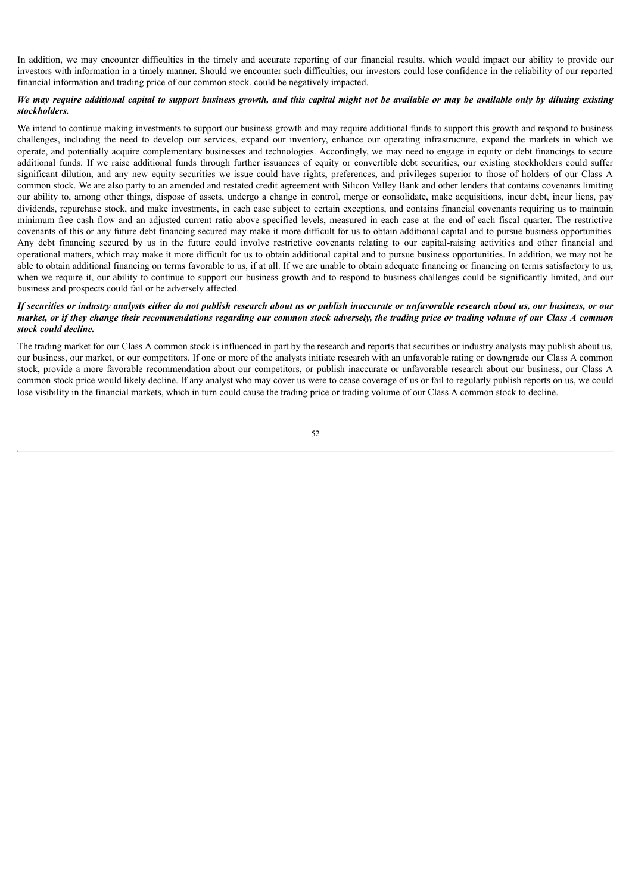In addition, we may encounter difficulties in the timely and accurate reporting of our financial results, which would impact our ability to provide our investors with information in a timely manner. Should we encounter such difficulties, our investors could lose confidence in the reliability of our reported financial information and trading price of our common stock. could be negatively impacted.

# We may require additional capital to support business growth, and this capital might not be available or may be available only by diluting existing *stockholders.*

We intend to continue making investments to support our business growth and may require additional funds to support this growth and respond to business challenges, including the need to develop our services, expand our inventory, enhance our operating infrastructure, expand the markets in which we operate, and potentially acquire complementary businesses and technologies. Accordingly, we may need to engage in equity or debt financings to secure additional funds. If we raise additional funds through further issuances of equity or convertible debt securities, our existing stockholders could suffer significant dilution, and any new equity securities we issue could have rights, preferences, and privileges superior to those of holders of our Class A common stock. We are also party to an amended and restated credit agreement with Silicon Valley Bank and other lenders that contains covenants limiting our ability to, among other things, dispose of assets, undergo a change in control, merge or consolidate, make acquisitions, incur debt, incur liens, pay dividends, repurchase stock, and make investments, in each case subject to certain exceptions, and contains financial covenants requiring us to maintain minimum free cash flow and an adjusted current ratio above specified levels, measured in each case at the end of each fiscal quarter. The restrictive covenants of this or any future debt financing secured may make it more difficult for us to obtain additional capital and to pursue business opportunities. Any debt financing secured by us in the future could involve restrictive covenants relating to our capital-raising activities and other financial and operational matters, which may make it more difficult for us to obtain additional capital and to pursue business opportunities. In addition, we may not be able to obtain additional financing on terms favorable to us, if at all. If we are unable to obtain adequate financing or financing on terms satisfactory to us, when we require it, our ability to continue to support our business growth and to respond to business challenges could be significantly limited, and our business and prospects could fail or be adversely affected.

# If securities or industry analysts either do not publish research about us or publish inaccurate or unfavorable research about us, our business, or our market, or if they change their recommendations regarding our common stock adversely, the trading price or trading volume of our Class A common *stock could decline.*

<span id="page-51-0"></span>The trading market for our Class A common stock is influenced in part by the research and reports that securities or industry analysts may publish about us, our business, our market, or our competitors. If one or more of the analysts initiate research with an unfavorable rating or downgrade our Class A common stock, provide a more favorable recommendation about our competitors, or publish inaccurate or unfavorable research about our business, our Class A common stock price would likely decline. If any analyst who may cover us were to cease coverage of us or fail to regularly publish reports on us, we could lose visibility in the financial markets, which in turn could cause the trading price or trading volume of our Class A common stock to decline.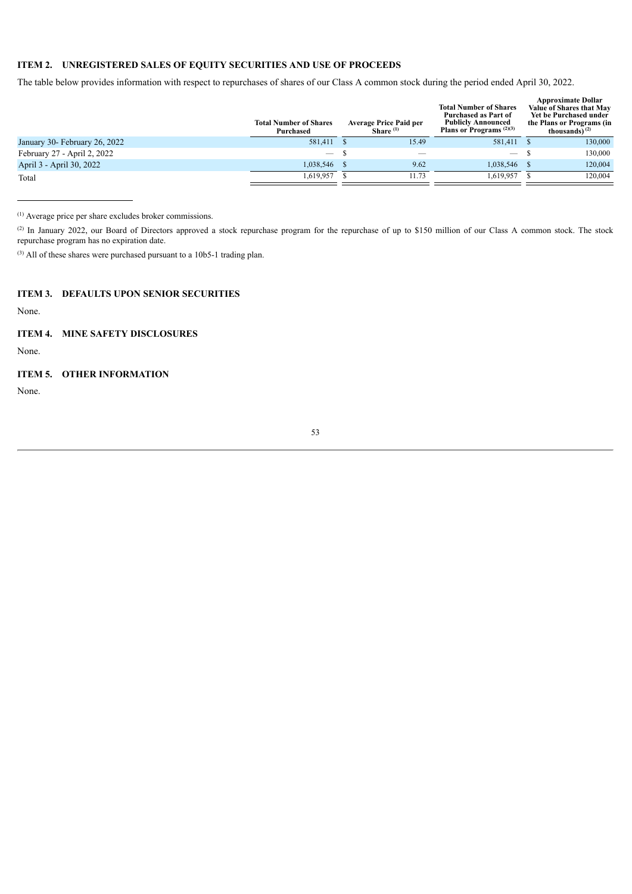# **ITEM 2. UNREGISTERED SALES OF EQUITY SECURITIES AND USE OF PROCEEDS**

The table below provides information with respect to repurchases of shares of our Class A common stock during the period ended April 30, 2022.

|                               | <b>Total Number of Shares</b><br>Purchased | <b>Average Price Paid per</b><br>Share $(1)$ | <b>Total Number of Shares</b><br>Purchased as Part of<br><b>Publicly Announced</b><br><b>Plans or Programs</b> $^{(2)(3)}$ | <b>Approximate Dollar</b><br>Value of Shares that May<br>Yet be Purchased under<br>the Plans or Programs (in<br>thousands) $^{(2)}$ |
|-------------------------------|--------------------------------------------|----------------------------------------------|----------------------------------------------------------------------------------------------------------------------------|-------------------------------------------------------------------------------------------------------------------------------------|
| January 30- February 26, 2022 | 581,411                                    | 15.49                                        | 581,411                                                                                                                    | 130,000                                                                                                                             |
| February 27 - April 2, 2022   | $\hspace{0.05cm}$                          |                                              | $\overline{\phantom{0}}$                                                                                                   | 130,000                                                                                                                             |
| April 3 - April 30, 2022      | 1,038,546                                  | 9.62                                         | 1,038,546                                                                                                                  | 120,004                                                                                                                             |
| Total                         | 1,619,957                                  | 11.73                                        | 1.619.957                                                                                                                  | 120,004                                                                                                                             |

Average price per share excludes broker commissions. (1)

(2) In January 2022, our Board of Directors approved a stock repurchase program for the repurchase of up to \$150 million of our Class A common stock. The stock repurchase program has no expiration date.

 $(3)$  All of these shares were purchased pursuant to a 10b5-1 trading plan.

# <span id="page-52-0"></span>**ITEM 3. DEFAULTS UPON SENIOR SECURITIES**

None.

# <span id="page-52-1"></span>**ITEM 4. MINE SAFETY DISCLOSURES**

None.

# <span id="page-52-2"></span>**ITEM 5. OTHER INFORMATION**

<span id="page-52-3"></span>None.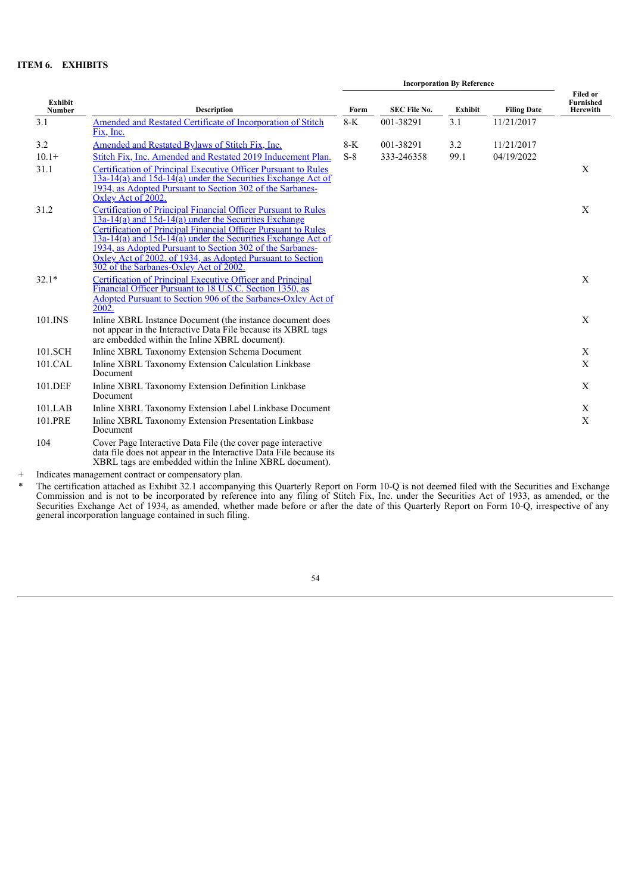# **ITEM 6. EXHIBITS**

|                          |                                                                                                                                                                                                                                                                                                                                                                                                                                               | <b>Incorporation By Reference</b> |                     |                |                    |                                                        |
|--------------------------|-----------------------------------------------------------------------------------------------------------------------------------------------------------------------------------------------------------------------------------------------------------------------------------------------------------------------------------------------------------------------------------------------------------------------------------------------|-----------------------------------|---------------------|----------------|--------------------|--------------------------------------------------------|
| Exhibit<br><b>Number</b> | <b>Description</b>                                                                                                                                                                                                                                                                                                                                                                                                                            | Form                              | <b>SEC File No.</b> | <b>Exhibit</b> | <b>Filing Date</b> | <b>Filed or</b><br><b>Furnished</b><br><b>Herewith</b> |
| 3.1                      | Amended and Restated Certificate of Incorporation of Stitch<br>Fix, Inc.                                                                                                                                                                                                                                                                                                                                                                      | $8-K$                             | 001-38291           | 3.1            | 11/21/2017         |                                                        |
| 3.2                      | <b>Amended and Restated Bylaws of Stitch Fix, Inc.</b>                                                                                                                                                                                                                                                                                                                                                                                        | $8-K$                             | 001-38291           | 3.2            | 11/21/2017         |                                                        |
| $10.1+$                  | Stitch Fix, Inc. Amended and Restated 2019 Inducement Plan.                                                                                                                                                                                                                                                                                                                                                                                   | $S-8$                             | 333-246358          | 99.1           | 04/19/2022         |                                                        |
| 31.1                     | Certification of Principal Executive Officer Pursuant to Rules<br>$13a-14(a)$ and $15d-14(a)$ under the Securities Exchange Act of<br>1934, as Adopted Pursuant to Section 302 of the Sarbanes-<br>Oxley Act of 2002.                                                                                                                                                                                                                         |                                   |                     |                |                    | X                                                      |
| 31.2                     | <b>Certification of Principal Financial Officer Pursuant to Rules</b><br>$13a-14(a)$ and $15d-14(a)$ under the Securities Exchange<br>Certification of Principal Financial Officer Pursuant to Rules<br>$13a-14(a)$ and $15d-14(a)$ under the Securities Exchange Act of<br>1934, as Adopted Pursuant to Section 302 of the Sarbanes-<br>Oxley Act of 2002. of 1934, as Adopted Pursuant to Section<br>302 of the Sarbanes-Oxley Act of 2002. |                                   |                     |                |                    | X                                                      |
| $32.1*$                  | <b>Certification of Principal Executive Officer and Principal</b><br>Financial Officer Pursuant to 18 U.S.C. Section 1350, as<br>Adopted Pursuant to Section 906 of the Sarbanes-Oxley Act of<br>2002.                                                                                                                                                                                                                                        |                                   |                     |                |                    | X                                                      |
| 101.INS                  | Inline XBRL Instance Document (the instance document does<br>not appear in the Interactive Data File because its XBRL tags<br>are embedded within the Inline XBRL document).                                                                                                                                                                                                                                                                  |                                   |                     |                |                    | $\mathbf X$                                            |
| 101.SCH                  | Inline XBRL Taxonomy Extension Schema Document                                                                                                                                                                                                                                                                                                                                                                                                |                                   |                     |                |                    | X                                                      |
| 101.CAL                  | Inline XBRL Taxonomy Extension Calculation Linkbase<br>Document                                                                                                                                                                                                                                                                                                                                                                               |                                   |                     |                |                    | X                                                      |
| 101.DEF                  | Inline XBRL Taxonomy Extension Definition Linkbase<br>Document                                                                                                                                                                                                                                                                                                                                                                                |                                   |                     |                |                    | X                                                      |
| 101.LAB                  | Inline XBRL Taxonomy Extension Label Linkbase Document                                                                                                                                                                                                                                                                                                                                                                                        |                                   |                     |                |                    | X                                                      |
| 101.PRE                  | Inline XBRL Taxonomy Extension Presentation Linkbase<br>Document                                                                                                                                                                                                                                                                                                                                                                              |                                   |                     |                |                    | $\mathbf X$                                            |
| 104                      | Cover Page Interactive Data File (the cover page interactive<br>data file does not appear in the Interactive Data File because its<br>XBRL tags are embedded within the Inline XBRL document).                                                                                                                                                                                                                                                |                                   |                     |                |                    |                                                        |
|                          | Indicates management contract or compensatory plan                                                                                                                                                                                                                                                                                                                                                                                            |                                   |                     |                |                    |                                                        |

+ Indicates management contract or compensatory plan.

<span id="page-53-0"></span>\* The certification attached as Exhibit 32.1 accompanying this Quarterly Report on Form 10-Q is not deemed filed with the Securities and Exchange Commission and is not to be incorporated by reference into any filing of Stitch Fix, Inc. under the Securities Act of 1933, as amended, or the Securities Exchange Act of 1934, as amended, whether made before or after the date of this Quarterly Report on Form 10-Q, irrespective of any general incorporation language contained in such filing.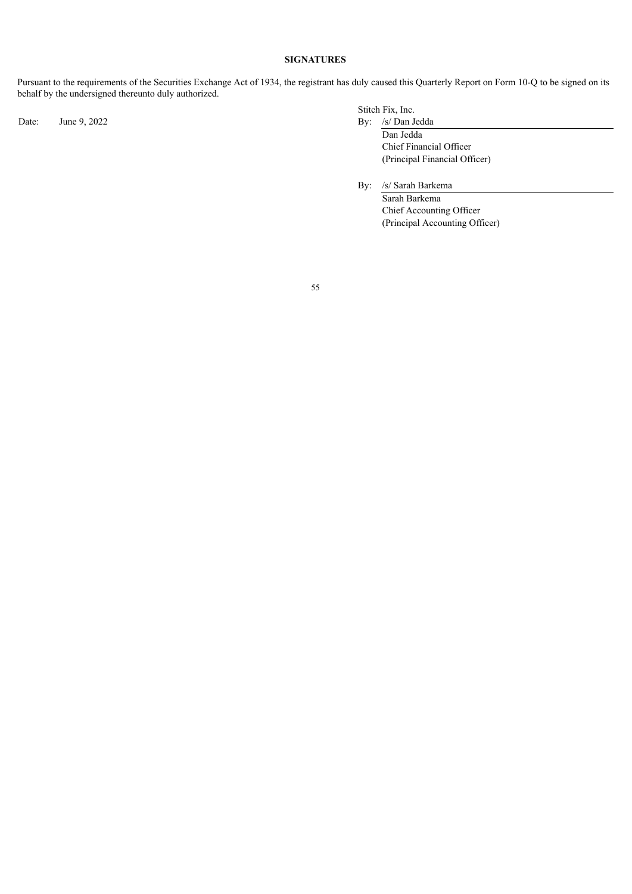# **SIGNATURES**

Pursuant to the requirements of the Securities Exchange Act of 1934, the registrant has duly caused this Quarterly Report on Form 10-Q to be signed on its behalf by the undersigned thereunto duly authorized.

Date: June 9, 2022 By: /s/ Dan Jedda

Stitch Fix, Inc.

Dan Jedda Chief Financial Officer (Principal Financial Officer)

By: /s/ Sarah Barkema

Sarah Barkema Chief Accounting Officer (Principal Accounting Officer)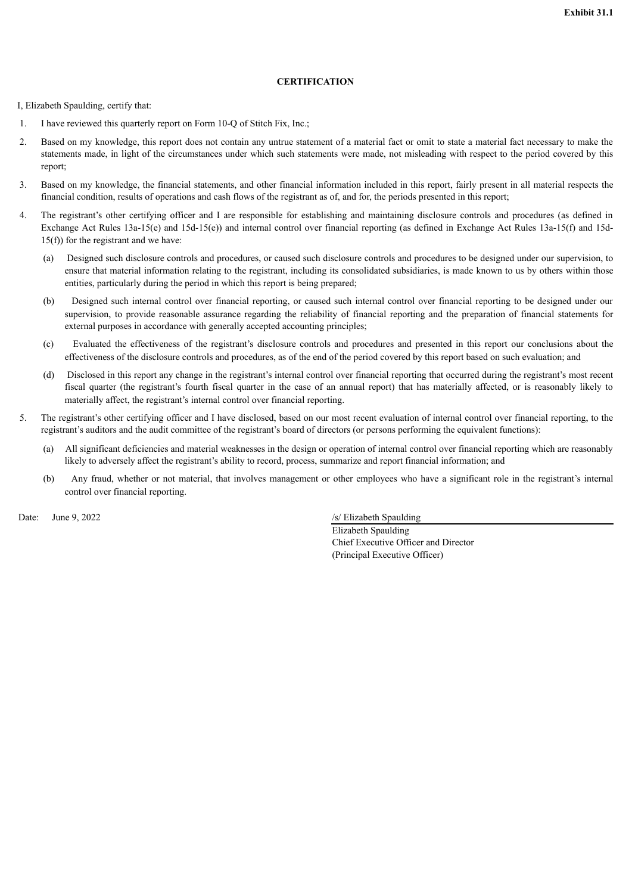# **CERTIFICATION**

<span id="page-55-0"></span>I, Elizabeth Spaulding, certify that:

- 1. I have reviewed this quarterly report on Form 10-Q of Stitch Fix, Inc.;
- 2. Based on my knowledge, this report does not contain any untrue statement of a material fact or omit to state a material fact necessary to make the statements made, in light of the circumstances under which such statements were made, not misleading with respect to the period covered by this report;
- 3. Based on my knowledge, the financial statements, and other financial information included in this report, fairly present in all material respects the financial condition, results of operations and cash flows of the registrant as of, and for, the periods presented in this report;
- 4. The registrant's other certifying officer and I are responsible for establishing and maintaining disclosure controls and procedures (as defined in Exchange Act Rules 13a-15(e) and 15d-15(e)) and internal control over financial reporting (as defined in Exchange Act Rules 13a-15(f) and 15d-15(f)) for the registrant and we have:
	- (a) Designed such disclosure controls and procedures, or caused such disclosure controls and procedures to be designed under our supervision, to ensure that material information relating to the registrant, including its consolidated subsidiaries, is made known to us by others within those entities, particularly during the period in which this report is being prepared;
	- (b) Designed such internal control over financial reporting, or caused such internal control over financial reporting to be designed under our supervision, to provide reasonable assurance regarding the reliability of financial reporting and the preparation of financial statements for external purposes in accordance with generally accepted accounting principles;
	- (c) Evaluated the effectiveness of the registrant's disclosure controls and procedures and presented in this report our conclusions about the effectiveness of the disclosure controls and procedures, as of the end of the period covered by this report based on such evaluation; and
	- (d) Disclosed in this report any change in the registrant's internal control over financial reporting that occurred during the registrant's most recent fiscal quarter (the registrant's fourth fiscal quarter in the case of an annual report) that has materially affected, or is reasonably likely to materially affect, the registrant's internal control over financial reporting.
- 5. The registrant's other certifying officer and I have disclosed, based on our most recent evaluation of internal control over financial reporting, to the registrant's auditors and the audit committee of the registrant's board of directors (or persons performing the equivalent functions):
	- (a) All significant deficiencies and material weaknesses in the design or operation of internal control over financial reporting which are reasonably likely to adversely affect the registrant's ability to record, process, summarize and report financial information; and
	- (b) Any fraud, whether or not material, that involves management or other employees who have a significant role in the registrant's internal control over financial reporting.

Date: June 9, 2022 /s/ Elizabeth Spaulding

Elizabeth Spaulding Chief Executive Officer and Director (Principal Executive Officer)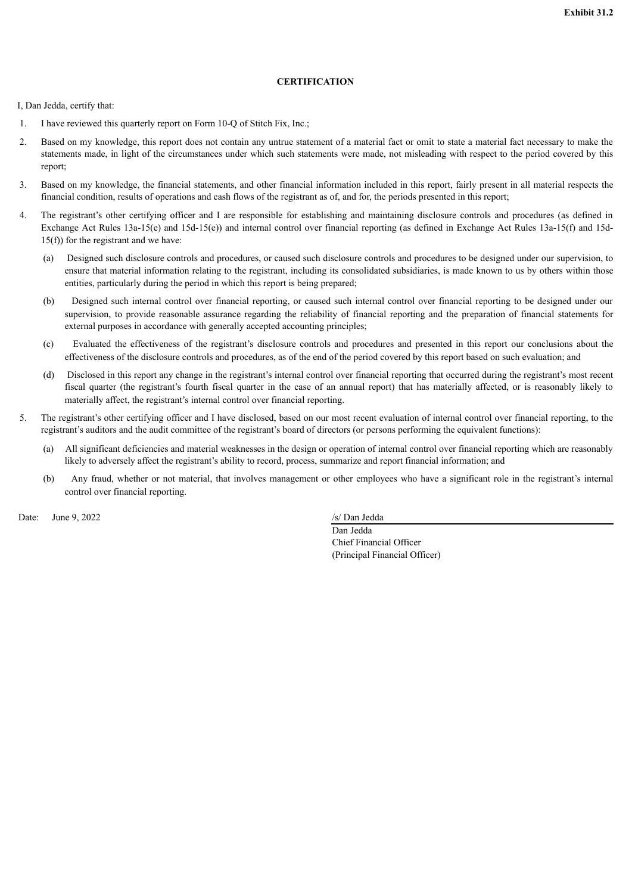# **CERTIFICATION**

<span id="page-56-0"></span>I, Dan Jedda, certify that:

- 1. I have reviewed this quarterly report on Form 10-Q of Stitch Fix, Inc.;
- 2. Based on my knowledge, this report does not contain any untrue statement of a material fact or omit to state a material fact necessary to make the statements made, in light of the circumstances under which such statements were made, not misleading with respect to the period covered by this report;
- 3. Based on my knowledge, the financial statements, and other financial information included in this report, fairly present in all material respects the financial condition, results of operations and cash flows of the registrant as of, and for, the periods presented in this report;
- 4. The registrant's other certifying officer and I are responsible for establishing and maintaining disclosure controls and procedures (as defined in Exchange Act Rules 13a-15(e) and 15d-15(e)) and internal control over financial reporting (as defined in Exchange Act Rules 13a-15(f) and 15d-15(f)) for the registrant and we have:
	- (a) Designed such disclosure controls and procedures, or caused such disclosure controls and procedures to be designed under our supervision, to ensure that material information relating to the registrant, including its consolidated subsidiaries, is made known to us by others within those entities, particularly during the period in which this report is being prepared;
	- (b) Designed such internal control over financial reporting, or caused such internal control over financial reporting to be designed under our supervision, to provide reasonable assurance regarding the reliability of financial reporting and the preparation of financial statements for external purposes in accordance with generally accepted accounting principles;
	- (c) Evaluated the effectiveness of the registrant's disclosure controls and procedures and presented in this report our conclusions about the effectiveness of the disclosure controls and procedures, as of the end of the period covered by this report based on such evaluation; and
	- (d) Disclosed in this report any change in the registrant's internal control over financial reporting that occurred during the registrant's most recent fiscal quarter (the registrant's fourth fiscal quarter in the case of an annual report) that has materially affected, or is reasonably likely to materially affect, the registrant's internal control over financial reporting.
- 5. The registrant's other certifying officer and I have disclosed, based on our most recent evaluation of internal control over financial reporting, to the registrant's auditors and the audit committee of the registrant's board of directors (or persons performing the equivalent functions):
	- (a) All significant deficiencies and material weaknesses in the design or operation of internal control over financial reporting which are reasonably likely to adversely affect the registrant's ability to record, process, summarize and report financial information; and
	- (b) Any fraud, whether or not material, that involves management or other employees who have a significant role in the registrant's internal control over financial reporting.

Date: June 9, 2022 /s/ Dan Jedda

Dan Jedda Chief Financial Officer (Principal Financial Officer)